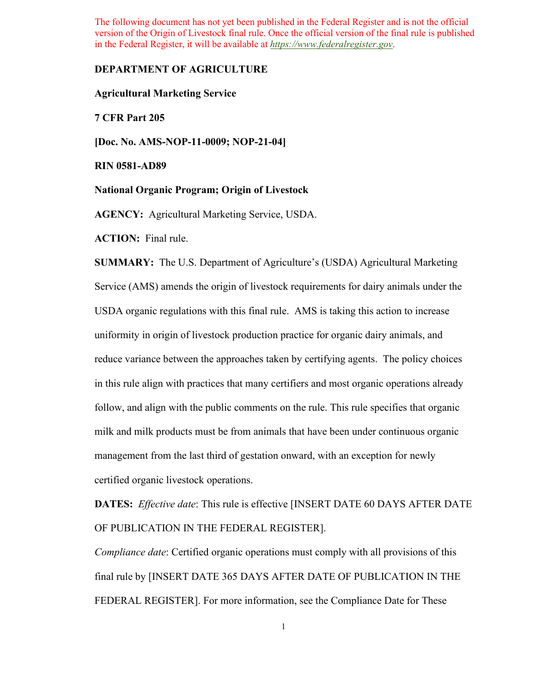## **DEPARTMENT OF AGRICULTURE**

**Agricultural Marketing Service** 

**7 CFR Part 205** 

 **[Doc. No. AMS-NOP-11-0009; NOP-21-04]** 

**RIN 0581-AD89** 

**National Organic Program; Origin of Livestock** 

 **National Organic Program; Origin of Livestock AGENCY:** Agricultural Marketing Service, USDA.

 **ACTION:** Final rule.

 **SUMMARY:** The U.S. Department of Agriculture's (USDA) Agricultural Marketing milk and milk products must be from animals that have been under continuous organic Service (AMS) amends the origin of livestock requirements for dairy animals under the USDA organic regulations with this final rule. AMS is taking this action to increase uniformity in origin of livestock production practice for organic dairy animals, and reduce variance between the approaches taken by certifying agents. The policy choices in this rule align with practices that many certifiers and most organic operations already follow, and align with the public comments on the rule. This rule specifies that organic management from the last third of gestation onward, with an exception for newly certified organic livestock operations.

 **DATES:** *Effective date*: This rule is effective [INSERT DATE 60 DAYS AFTER DATE OF PUBLICATION IN THE FEDERAL REGISTER].

 final rule by [INSERT DATE 365 DAYS AFTER DATE OF PUBLICATION IN THE *Compliance date*: Certified organic operations must comply with all provisions of this FEDERAL REGISTER]. For more information, see the Compliance Date for These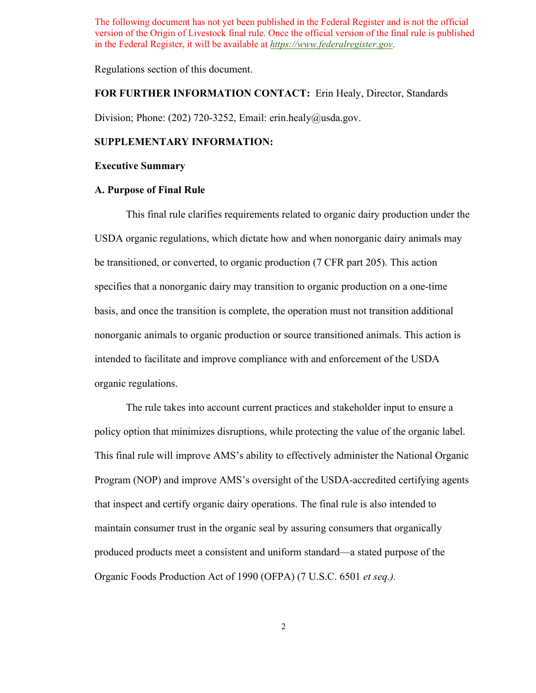Regulations section of this document.

## **FOR FURTHER INFORMATION CONTACT:** Erin Healy, Director, Standards

Division; Phone: (202) 720-3252, Email: [erin.healy@usda.gov.](mailto:erin.healy@usda.gov)

## **SUPPLEMENTARY INFORMATION:**

#### **Executive Summary**

## **A. Purpose of Final Rule**

 This final rule clarifies requirements related to organic dairy production under the specifies that a nonorganic dairy may transition to organic production on a one-time basis, and once the transition is complete, the operation must not transition additional USDA organic regulations, which dictate how and when nonorganic dairy animals may be transitioned, or converted, to organic production (7 CFR part 205). This action nonorganic animals to organic production or source transitioned animals. This action is intended to facilitate and improve compliance with and enforcement of the USDA organic regulations.

 policy option that minimizes disruptions, while protecting the value of the organic label.  Organic Foods Production Act of 1990 (OFPA) (7 U.S.C. 6501 *et seq.).* The rule takes into account current practices and stakeholder input to ensure a This final rule will improve AMS's ability to effectively administer the National Organic Program (NOP) and improve AMS's oversight of the USDA-accredited certifying agents that inspect and certify organic dairy operations. The final rule is also intended to maintain consumer trust in the organic seal by assuring consumers that organically produced products meet a consistent and uniform standard—a stated purpose of the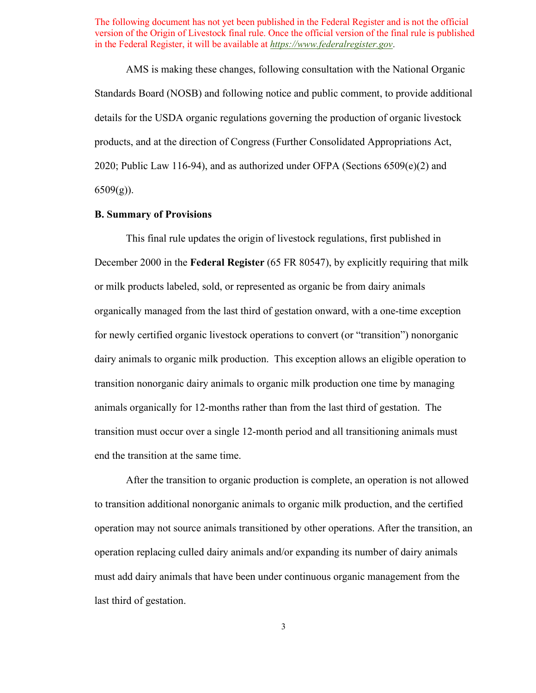AMS is making these changes, following consultation with the National Organic Standards Board (NOSB) and following notice and public comment, to provide additional 2020; Public Law 116-94), and as authorized under OFPA (Sections 6509(e)(2) and details for the USDA organic regulations governing the production of organic livestock products, and at the direction of Congress (Further Consolidated Appropriations Act,  $6509(g)$ ).

# **B. Summary of Provisions**

 or milk products labeled, sold, or represented as organic be from dairy animals for newly certified organic livestock operations to convert (or "transition") nonorganic dairy animals to organic milk production. This exception allows an eligible operation to This final rule updates the origin of livestock regulations, first published in December 2000 in the **Federal Register** (65 FR 80547), by explicitly requiring that milk organically managed from the last third of gestation onward, with a one-time exception transition nonorganic dairy animals to organic milk production one time by managing animals organically for 12-months rather than from the last third of gestation. The transition must occur over a single 12-month period and all transitioning animals must end the transition at the same time.

After the transition to organic production is complete, an operation is not allowed to transition additional nonorganic animals to organic milk production, and the certified operation may not source animals transitioned by other operations. After the transition, an operation replacing culled dairy animals and/or expanding its number of dairy animals must add dairy animals that have been under continuous organic management from the last third of gestation.

3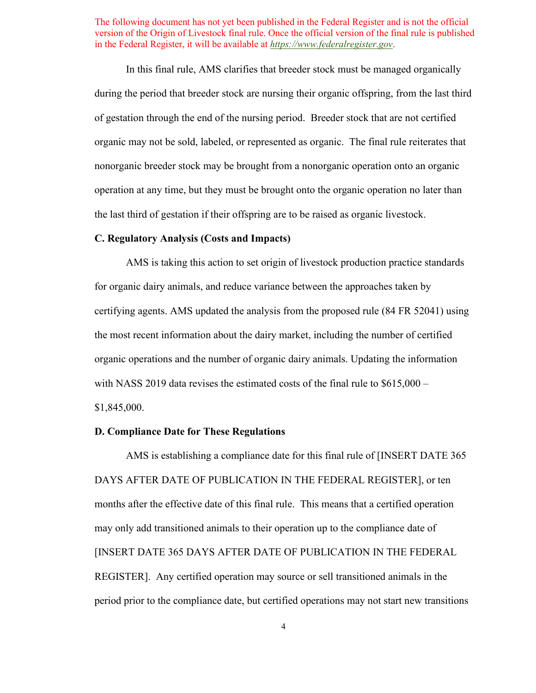of gestation through the end of the nursing period. Breeder stock that are not certified organic may not be sold, labeled, or represented as organic. The final rule reiterates that operation at any time, but they must be brought onto the organic operation no later than the last third of gestation if their offspring are to be raised as organic livestock. In this final rule, AMS clarifies that breeder stock must be managed organically during the period that breeder stock are nursing their organic offspring, from the last third nonorganic breeder stock may be brought from a nonorganic operation onto an organic

#### **C. Regulatory Analysis (Costs and Impacts)**

 for organic dairy animals, and reduce variance between the approaches taken by AMS is taking this action to set origin of livestock production practice standards certifying agents. AMS updated the analysis from the proposed rule (84 FR 52041) using the most recent information about the dairy market, including the number of certified organic operations and the number of organic dairy animals. Updating the information with NASS 2019 data revises the estimated costs of the final rule to  $$615,000-$ \$1,845,000.

# **D. Compliance Date for These Regulations**

 DAYS AFTER DATE OF PUBLICATION IN THE FEDERAL REGISTER], or ten months after the effective date of this final rule. This means that a certified operation [INSERT DATE 365 DAYS AFTER DATE OF PUBLICATION IN THE FEDERAL AMS is establishing a compliance date for this final rule of [INSERT DATE 365 may only add transitioned animals to their operation up to the compliance date of REGISTER]. Any certified operation may source or sell transitioned animals in the period prior to the compliance date, but certified operations may not start new transitions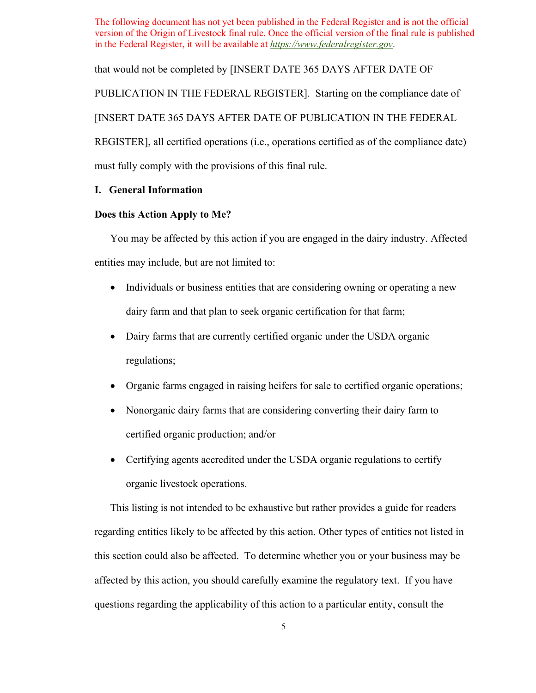that would not be completed by [INSERT DATE 365 DAYS AFTER DATE OF

PUBLICATION IN THE FEDERAL REGISTER]. Starting on the compliance date of

[INSERT DATE 365 DAYS AFTER DATE OF PUBLICATION IN THE FEDERAL

REGISTER], all certified operations (i.e., operations certified as of the compliance date) must fully comply with the provisions of this final rule.

# **I. General Information**

# **Does this Action Apply to Me?**

You may be affected by this action if you are engaged in the dairy industry. Affected entities may include, but are not limited to:

- • Individuals or business entities that are considering owning or operating a new dairy farm and that plan to seek organic certification for that farm;
- regulations; • Dairy farms that are currently certified organic under the USDA organic
- Organic farms engaged in raising heifers for sale to certified organic operations;
- • Nonorganic dairy farms that are considering converting their dairy farm to certified organic production; and/or
- Certifying agents accredited under the USDA organic regulations to certify organic livestock operations.

 This listing is not intended to be exhaustive but rather provides a guide for readers affected by this action, you should carefully examine the regulatory text. If you have regarding entities likely to be affected by this action. Other types of entities not listed in this section could also be affected. To determine whether you or your business may be questions regarding the applicability of this action to a particular entity, consult the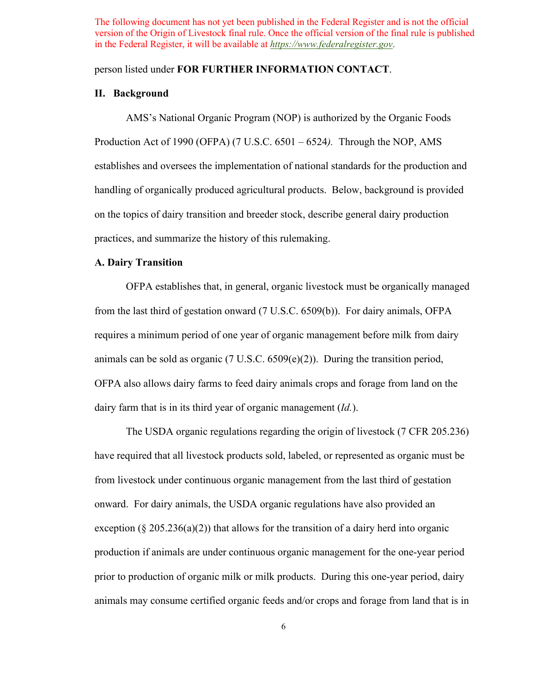## person listed under **FOR FURTHER INFORMATION CONTACT**.

## **II. Background**

 AMS's National Organic Program (NOP) is authorized by the Organic Foods Production Act of 1990 (OFPA) (7 U.S.C. 6501 – 6524*).* Through the NOP, AMS establishes and oversees the implementation of national standards for the production and handling of organically produced agricultural products. Below, background is provided on the topics of dairy transition and breeder stock, describe general dairy production practices, and summarize the history of this rulemaking.

# **A. Dairy Transition**

 OFPA establishes that, in general, organic livestock must be organically managed from the last third of gestation onward (7 U.S.C. 6509(b)). For dairy animals, OFPA animals can be sold as organic  $(7 \text{ U.S.C. } 6509(e)(2))$ . During the transition period, dairy farm that is in its third year of organic management  $(Id$ .). requires a minimum period of one year of organic management before milk from dairy OFPA also allows dairy farms to feed dairy animals crops and forage from land on the

 have required that all livestock products sold, labeled, or represented as organic must be exception ( $\S 205.236(a)(2)$ ) that allows for the transition of a dairy herd into organic prior to production of organic milk or milk products. During this one-year period, dairy animals may consume certified organic feeds and/or crops and forage from land that is in The USDA organic regulations regarding the origin of livestock (*7* CFR 205.236). from livestock under continuous organic management from the last third of gestation onward. For dairy animals, the USDA organic regulations have also provided an production if animals are under continuous organic management for the one-year period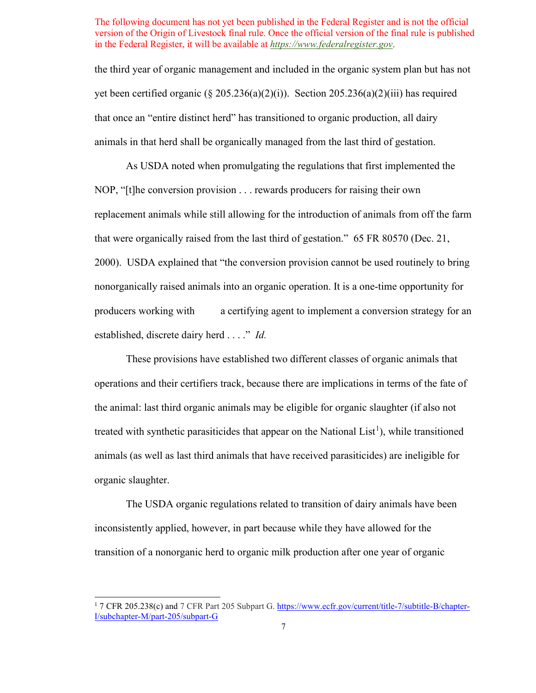the third year of organic management and included in the organic system plan but has not yet been certified organic ( $\S 205.236(a)(2)(i)$ ). Section 205.236(a)(2)(iii) has required that once an "entire distinct herd" has transitioned to organic production, all dairy animals in that herd shall be organically managed from the last third of gestation.

 established, discrete dairy herd . . . ." *Id.*  As USDA noted when promulgating the regulations that first implemented the NOP, "[t]he conversion provision . . . rewards producers for raising their own replacement animals while still allowing for the introduction of animals from off the farm that were organically raised from the last third of gestation." 65 FR 80570 (Dec. 21, 2000). USDA explained that "the conversion provision cannot be used routinely to bring nonorganically raised animals into an organic operation. It is a one-time opportunity for producers working with a certifying agent to implement a conversion strategy for an

 These provisions have established two different classes of organic animals that the animal: last third organic animals may be eligible for organic slaughter (if also not operations and their certifiers track, because there are implications in terms of the fate of treated with synthetic parasiticides that appear on the National List<sup>[1](#page-6-0)</sup>), while transitioned animals (as well as last third animals that have received parasiticides) are ineligible for organic slaughter.

The USDA organic regulations related to transition of dairy animals have been inconsistently applied, however, in part because while they have allowed for the transition of a nonorganic herd to organic milk production after one year of organic

<span id="page-6-0"></span><sup>&</sup>lt;sup>1</sup> 7 CFR 205.238(c) and 7 CFR Part 205 Subpart G[. https://www.ecfr.gov/current/title-7/subtitle-B/chapter-](https://www.ecfr.gov/current/title-7/subtitle-B/chapter-I/subchapter-M/part-205/subpart-G)[I/subchapter-M/part-205/subpart-G](https://www.ecfr.gov/current/title-7/subtitle-B/chapter-I/subchapter-M/part-205/subpart-G)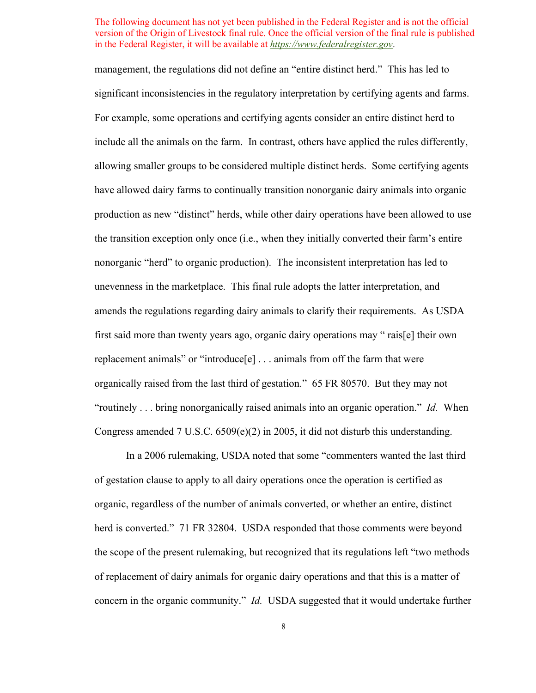management, the regulations did not define an "entire distinct herd." This has led to significant inconsistencies in the regulatory interpretation by certifying agents and farms. include all the animals on the farm. In contrast, others have applied the rules differently, allowing smaller groups to be considered multiple distinct herds. Some certifying agents have allowed dairy farms to continually transition nonorganic dairy animals into organic production as new "distinct" herds, while other dairy operations have been allowed to use the transition exception only once (i.e., when they initially converted their farm's entire nonorganic "herd" to organic production). The inconsistent interpretation has led to unevenness in the marketplace. This final rule adopts the latter interpretation, and "routinely . . . bring nonorganically raised animals into an organic operation." *Id.* When For example, some operations and certifying agents consider an entire distinct herd to amends the regulations regarding dairy animals to clarify their requirements. As USDA first said more than twenty years ago, organic dairy operations may " rais[e] their own replacement animals" or "introduce<sup>[e]</sup> . . . animals from off the farm that were organically raised from the last third of gestation." 65 FR 80570. But they may not Congress amended 7 U.S.C.  $6509(e)(2)$  in 2005, it did not disturb this understanding.

 concern in the organic community." *Id.* USDA suggested that it would undertake further In a 2006 rulemaking, USDA noted that some "commenters wanted the last third of gestation clause to apply to all dairy operations once the operation is certified as organic, regardless of the number of animals converted, or whether an entire, distinct herd is converted." 71 FR 32804. USDA responded that those comments were beyond the scope of the present rulemaking, but recognized that its regulations left "two methods of replacement of dairy animals for organic dairy operations and that this is a matter of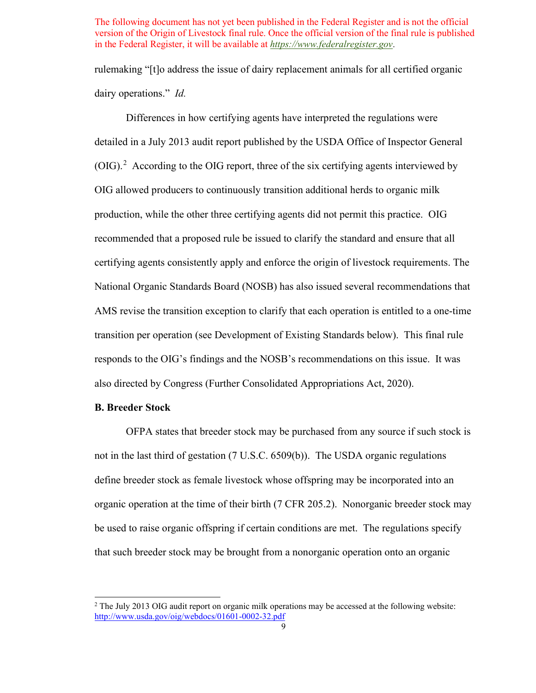dairy operations." *Id.*  rulemaking "[t]o address the issue of dairy replacement animals for all certified organic

 responds to the OIG's findings and the NOSB's recommendations on this issue. It was Differences in how certifying agents have interpreted the regulations were detailed in a July 2013 audit report published by the USDA Office of Inspector General  $(OIG).<sup>2</sup>$  $(OIG).<sup>2</sup>$  $(OIG).<sup>2</sup>$  According to the OIG report, three of the six certifying agents interviewed by OIG allowed producers to continuously transition additional herds to organic milk production, while the other three certifying agents did not permit this practice. OIG recommended that a proposed rule be issued to clarify the standard and ensure that all certifying agents consistently apply and enforce the origin of livestock requirements. The National Organic Standards Board (NOSB) has also issued several recommendations that AMS revise the transition exception to clarify that each operation is entitled to a one-time transition per operation (see Development of Existing Standards below). This final rule also directed by Congress (Further Consolidated Appropriations Act, 2020).

# **B. Breeder Stock**

 be used to raise organic offspring if certain conditions are met. The regulations specify OFPA states that breeder stock may be purchased from any source if such stock is not in the last third of gestation (7 U.S.C. 6509(b)). The USDA organic regulations define breeder stock as female livestock whose offspring may be incorporated into an organic operation at the time of their birth (7 CFR 205.2). Nonorganic breeder stock may that such breeder stock may be brought from a nonorganic operation onto an organic

<span id="page-8-0"></span><sup>&</sup>lt;sup>2</sup> The July 2013 OIG audit report on organic milk operations may be accessed at the following website: <http://www.usda.gov/oig/webdocs/01601-0002-32.pdf>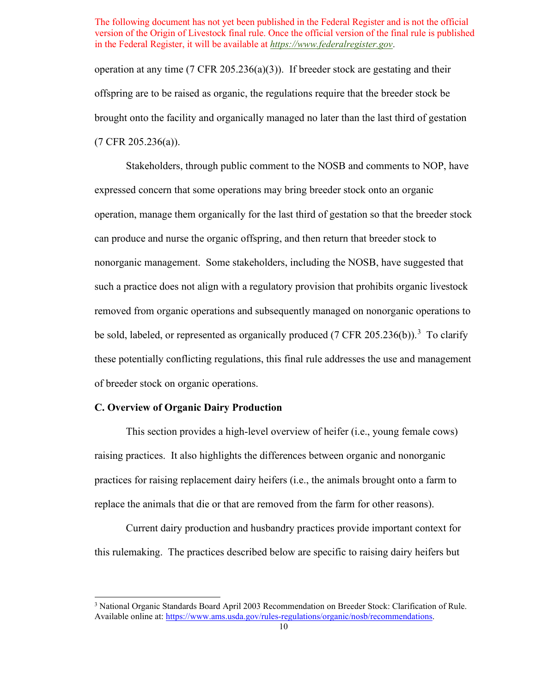operation at any time  $(7 \text{ CFR } 205.236(a)(3))$ . If breeder stock are gestating and their offspring are to be raised as organic, the regulations require that the breeder stock be brought onto the facility and organically managed no later than the last third of gestation (7 CFR 205.236(a)).

 nonorganic management. Some stakeholders, including the NOSB, have suggested that Stakeholders, through public comment to the NOSB and comments to NOP, have expressed concern that some operations may bring breeder stock onto an organic operation, manage them organically for the last third of gestation so that the breeder stock can produce and nurse the organic offspring, and then return that breeder stock to such a practice does not align with a regulatory provision that prohibits organic livestock removed from organic operations and subsequently managed on nonorganic operations to be sold, labeled, or represented as organically produced  $(7 \text{ CFR } 205.236(b)).$  $(7 \text{ CFR } 205.236(b)).$  $(7 \text{ CFR } 205.236(b)).$ <sup>3</sup> To clarify these potentially conflicting regulations, this final rule addresses the use and management of breeder stock on organic operations.

# **C. Overview of Organic Dairy Production**

This section provides a high-level overview of heifer (i.e., young female cows) raising practices. It also highlights the differences between organic and nonorganic practices for raising replacement dairy heifers (i.e., the animals brought onto a farm to replace the animals that die or that are removed from the farm for other reasons).

Current dairy production and husbandry practices provide important context for this rulemaking. The practices described below are specific to raising dairy heifers but

<span id="page-9-0"></span><sup>&</sup>lt;sup>3</sup> National Organic Standards Board April 2003 Recommendation on Breeder Stock: Clarification of Rule. Available online at: [https://www.ams.usda.gov/rules-regulations/organic/nosb/recommendations.](https://www.ams.usda.gov/rules-regulations/organic/nosb/recommendations)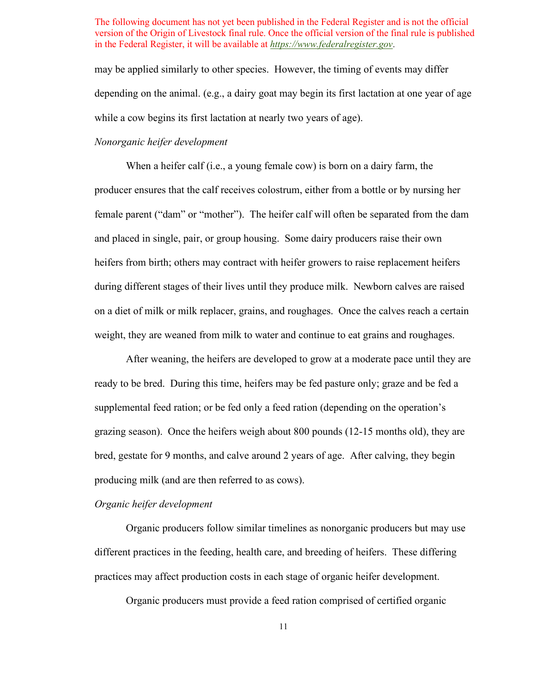may be applied similarly to other species. However, the timing of events may differ while a cow begins its first lactation at nearly two years of age). depending on the animal. (e.g., a dairy goat may begin its first lactation at one year of age

# *Nonorganic heifer development*

 When a heifer calf (i.e., a young female cow) is born on a dairy farm, the producer ensures that the calf receives colostrum, either from a bottle or by nursing her female parent ("dam" or "mother"). The heifer calf will often be separated from the dam and placed in single, pair, or group housing. Some dairy producers raise their own during different stages of their lives until they produce milk. Newborn calves are raised on a diet of milk or milk replacer, grains, and roughages. Once the calves reach a certain heifers from birth; others may contract with heifer growers to raise replacement heifers weight, they are weaned from milk to water and continue to eat grains and roughages.

 supplemental feed ration; or be fed only a feed ration (depending on the operation's After weaning, the heifers are developed to grow at a moderate pace until they are ready to be bred. During this time, heifers may be fed pasture only; graze and be fed a grazing season). Once the heifers weigh about 800 pounds (12-15 months old), they are bred, gestate for 9 months, and calve around 2 years of age. After calving, they begin producing milk (and are then referred to as cows).

#### *Organic heifer development*

 Organic producers follow similar timelines as nonorganic producers but may use different practices in the feeding, health care, and breeding of heifers. These differing practices may affect production costs in each stage of organic heifer development.

Organic producers must provide a feed ration comprised of certified organic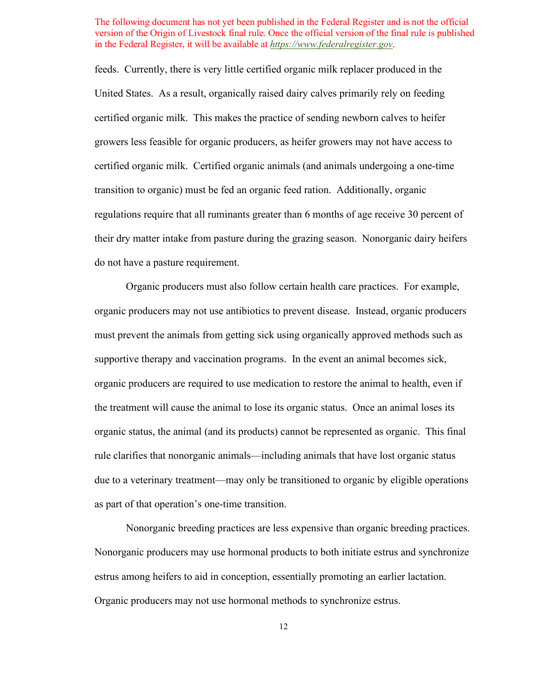certified organic milk. This makes the practice of sending newborn calves to heifer feeds. Currently, there is very little certified organic milk replacer produced in the United States. As a result, organically raised dairy calves primarily rely on feeding growers less feasible for organic producers, as heifer growers may not have access to certified organic milk. Certified organic animals (and animals undergoing a one-time transition to organic) must be fed an organic feed ration. Additionally, organic regulations require that all ruminants greater than 6 months of age receive 30 percent of their dry matter intake from pasture during the grazing season. Nonorganic dairy heifers do not have a pasture requirement.

 organic producers are required to use medication to restore the animal to health, even if the treatment will cause the animal to lose its organic status. Once an animal loses its organic status, the animal (and its products) cannot be represented as organic. This final due to a veterinary treatment—may only be transitioned to organic by eligible operations Organic producers must also follow certain health care practices. For example, organic producers may not use antibiotics to prevent disease. Instead, organic producers must prevent the animals from getting sick using organically approved methods such as supportive therapy and vaccination programs. In the event an animal becomes sick, rule clarifies that nonorganic animals—including animals that have lost organic status as part of that operation's one-time transition.

Nonorganic breeding practices are less expensive than organic breeding practices. Nonorganic producers may use hormonal products to both initiate estrus and synchronize estrus among heifers to aid in conception, essentially promoting an earlier lactation. Organic producers may not use hormonal methods to synchronize estrus.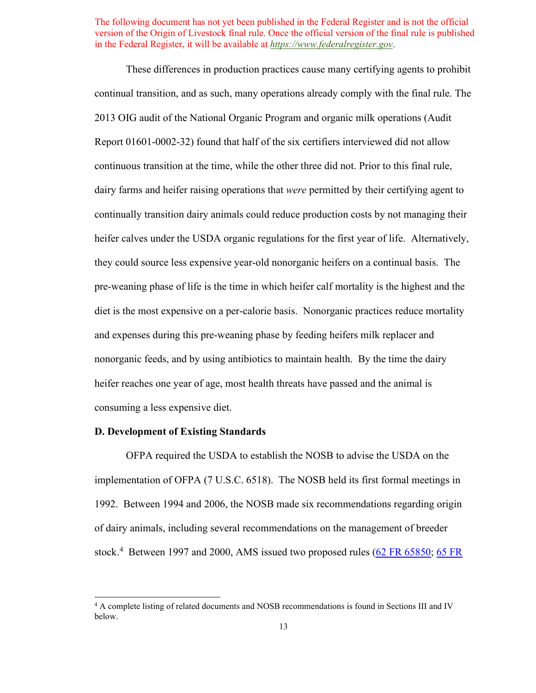These differences in production practices cause many certifying agents to prohibit Report 01601-0002-32) found that half of the six certifiers interviewed did not allow and expenses during this pre-weaning phase by feeding heifers milk replacer and continual transition, and as such, many operations already comply with the final rule. The 2013 OIG audit of the National Organic Program and organic milk operations (Audit continuous transition at the time, while the other three did not. Prior to this final rule, dairy farms and heifer raising operations that *were* permitted by their certifying agent to continually transition dairy animals could reduce production costs by not managing their heifer calves under the USDA organic regulations for the first year of life. Alternatively, they could source less expensive year-old nonorganic heifers on a continual basis. The pre-weaning phase of life is the time in which heifer calf mortality is the highest and the diet is the most expensive on a per-calorie basis. Nonorganic practices reduce mortality nonorganic feeds, and by using antibiotics to maintain health. By the time the dairy heifer reaches one year of age, most health threats have passed and the animal is consuming a less expensive diet.

# **D. Development of Existing Standards**

OFPA required the USDA to establish the NOSB to advise the USDA on the implementation of OFPA (7 U.S.C. 6518). The NOSB held its first formal meetings in 1992. Between 1994 and 2006, the NOSB made six recommendations regarding origin of dairy animals, including several recommendations on the management of breeder stock.<sup>[4](#page-12-0)</sup> Between 1997 and 2000, AMS issued two proposed rules [\(62 FR 65850;](https://www.federalregister.gov/documents/1997/12/16/97-32322/national-organic-program) 65 FR

<span id="page-12-0"></span><sup>&</sup>lt;sup>4</sup> A complete listing of related documents and NOSB recommendations is found in Sections III and IV below.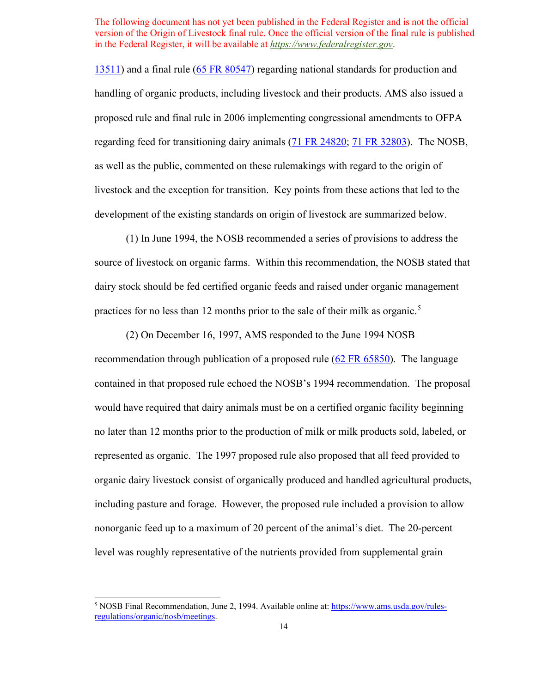as well as the public, commented on these rulemakings with regard to the origin of [13511\)](https://www.federalregister.gov/documents/2000/03/13/00-5723/national-organic-program) and a final rule [\(65 FR 80547\)](https://www.federalregister.gov/documents/2000/12/21/00-32257/national-organic-program) regarding national standards for production and handling of organic products, including livestock and their products. AMS also issued a proposed rule and final rule in 2006 implementing congressional amendments to OFPA regarding feed for transitioning dairy animals [\(71 FR 24820;](https://www.federalregister.gov/documents/2006/04/27/06-4006/national-organic-program-revisions-to-livestock-standards-based-on-court-order-harvey-v-johanns-and) [71 FR 32803\)](https://www.federalregister.gov/documents/2006/06/07/06-5203/national-organic-program-revisions-to-livestock-standards-based-on-court-order-harvey-v-johanns-and). The NOSB, livestock and the exception for transition. Key points from these actions that led to the development of the existing standards on origin of livestock are summarized below.

practices for no less than 12 months prior to the sale of their milk as organic.<sup>[5](#page-13-0)</sup> (1) In June 1994, the NOSB recommended a series of provisions to address the source of livestock on organic farms. Within this recommendation, the NOSB stated that dairy stock should be fed certified organic feeds and raised under organic management

(2) On December 16, 1997, AMS responded to the June 1994 NOSB recommendation through publication of a proposed rule  $(62 FR 65850)$ . The language contained in that proposed rule echoed the NOSB's 1994 recommendation. The proposal would have required that dairy animals must be on a certified organic facility beginning no later than 12 months prior to the production of milk or milk products sold, labeled, or represented as organic. The 1997 proposed rule also proposed that all feed provided to organic dairy livestock consist of organically produced and handled agricultural products, including pasture and forage. However, the proposed rule included a provision to allow nonorganic feed up to a maximum of 20 percent of the animal's diet. The 20-percent level was roughly representative of the nutrients provided from supplemental grain

<span id="page-13-0"></span><sup>&</sup>lt;sup>5</sup> NOSB Final Recommendation, June 2, 1994. Available online at[: https://www.ams.usda.gov/rules](https://www.ams.usda.gov/rules-regulations/organic/nosb/meetings)[regulations/organic/nosb/meetings.](https://www.ams.usda.gov/rules-regulations/organic/nosb/meetings)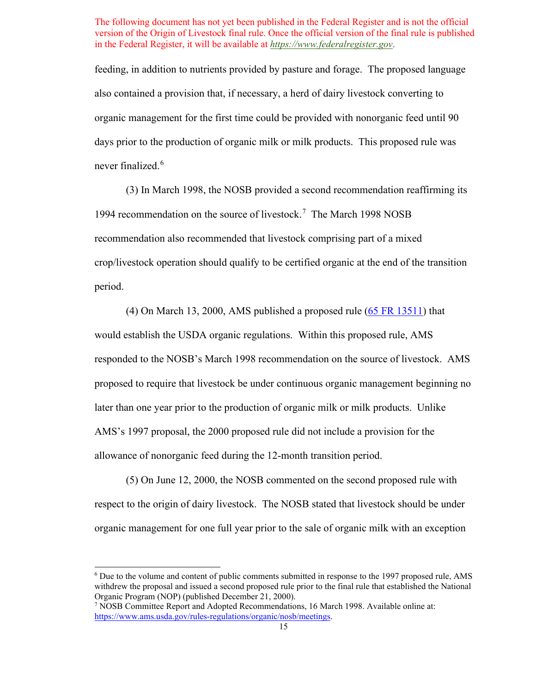feeding, in addition to nutrients provided by pasture and forage. The proposed language also contained a provision that, if necessary, a herd of dairy livestock converting to organic management for the first time could be provided with nonorganic feed until 90 days prior to the production of organic milk or milk products. This proposed rule was never finalized.<sup>[6](#page-14-0)</sup>

1994 recommendation on the source of livestock.<sup>7</sup> The March 1998 NOSB (3) In March 1998, the NOSB provided a second recommendation reaffirming its recommendation also recommended that livestock comprising part of a mixed crop/livestock operation should qualify to be certified organic at the end of the transition period.

(4) On March 13, 2000, AMS published a proposed rule [\(65 FR 13511\)](https://www.federalregister.gov/documents/2000/03/13/00-5723/national-organic-program) that would establish the USDA organic regulations. Within this proposed rule, AMS responded to the NOSB's March 1998 recommendation on the source of livestock. AMS proposed to require that livestock be under continuous organic management beginning no later than one year prior to the production of organic milk or milk products. Unlike AMS's 1997 proposal, the 2000 proposed rule did not include a provision for the allowance of nonorganic feed during the 12-month transition period.

(5) On June 12, 2000, the NOSB commented on the second proposed rule with respect to the origin of dairy livestock. The NOSB stated that livestock should be under organic management for one full year prior to the sale of organic milk with an exception

<span id="page-14-0"></span><sup>6</sup> Due to the volume and content of public comments submitted in response to the 1997 proposed rule, AMS withdrew the proposal and issued a second proposed rule prior to the final rule that established the National Organic Program (NOP) (published December 21, 2000).

<span id="page-14-1"></span> 7 NOSB Committee Report and Adopted Recommendations, 16 March 1998. Available online at: [https://www.ams.usda.gov/rules-regulations/organic/nosb/meetings.](https://www.ams.usda.gov/rules-regulations/organic/nosb/meetings)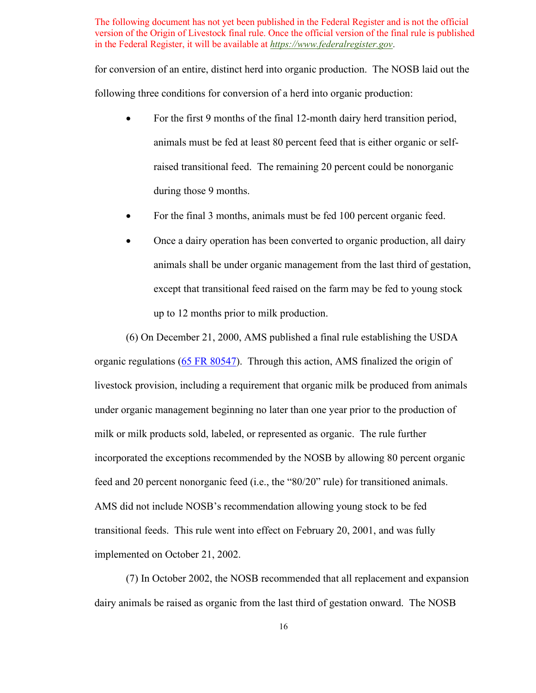for conversion of an entire, distinct herd into organic production. The NOSB laid out the following three conditions for conversion of a herd into organic production:

- For the first 9 months of the final 12-month dairy herd transition period, animals must be fed at least 80 percent feed that is either organic or selfraised transitional feed. The remaining 20 percent could be nonorganic during those 9 months.
- For the final 3 months, animals must be fed 100 percent organic feed.
- Once a dairy operation has been converted to organic production, all dairy animals shall be under organic management from the last third of gestation, except that transitional feed raised on the farm may be fed to young stock up to 12 months prior to milk production.

(6) On December 21, 2000, AMS published a final rule establishing the USDA organic regulations [\(65 FR 80547\)](https://www.federalregister.gov/documents/2000/12/21/00-32257/national-organic-program). Through this action, AMS finalized the origin of livestock provision, including a requirement that organic milk be produced from animals under organic management beginning no later than one year prior to the production of milk or milk products sold, labeled, or represented as organic. The rule further incorporated the exceptions recommended by the NOSB by allowing 80 percent organic feed and 20 percent nonorganic feed (i.e., the "80/20" rule) for transitioned animals. AMS did not include NOSB's recommendation allowing young stock to be fed transitional feeds. This rule went into effect on February 20, 2001, and was fully implemented on October 21, 2002.

(7) In October 2002, the NOSB recommended that all replacement and expansion dairy animals be raised as organic from the last third of gestation onward. The NOSB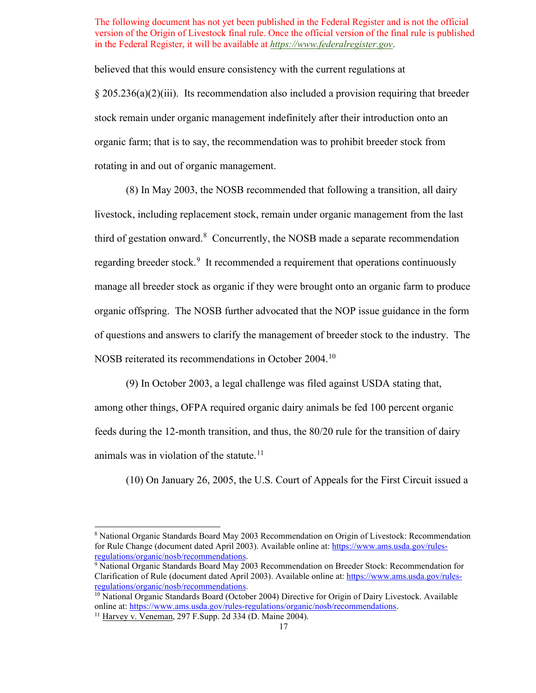believed that this would ensure consistency with the current regulations at

§ 205.236(a)(2)(iii). Its recommendation also included a provision requiring that breeder stock remain under organic management indefinitely after their introduction onto an organic farm; that is to say, the recommendation was to prohibit breeder stock from rotating in and out of organic management.

regarding breeder stock.<sup>9</sup> It recommended a requirement that operations continuously NOSB reiterated its recommendations in October 2004.<sup>10</sup> (8) In May 2003, the NOSB recommended that following a transition, all dairy livestock, including replacement stock, remain under organic management from the last third of gestation onward.<sup>[8](#page-16-0)</sup> Concurrently, the NOSB made a separate recommendation manage all breeder stock as organic if they were brought onto an organic farm to produce organic offspring. The NOSB further advocated that the NOP issue guidance in the form of questions and answers to clarify the management of breeder stock to the industry. The

(9) In October 2003, a legal challenge was filed against USDA stating that,

animals was in violation of the statute.<sup>11</sup> among other things, OFPA required organic dairy animals be fed 100 percent organic feeds during the 12-month transition, and thus, the 80/20 rule for the transition of dairy

(10) On January 26, 2005, the U.S. Court of Appeals for the First Circuit issued a

<span id="page-16-0"></span><sup>8</sup> National Organic Standards Board May 2003 Recommendation on Origin of Livestock: Recommendation for Rule Change (document dated April 2003). Available online at: [https://www.ams.usda.gov/rules](https://www.ams.usda.gov/rules-regulations/organic/nosb/recommendations)[regulations/organic/nosb/recommendations.](https://www.ams.usda.gov/rules-regulations/organic/nosb/recommendations)<br><sup>9</sup> National Organic Standards Board May 2003 Recommendation on Breeder Stock: Recommendation for

<span id="page-16-1"></span>Clarification of Rule (document dated April 2003). Available online at: [https://www.ams.usda.gov/rules](https://www.ams.usda.gov/rules-regulations/organic/nosb/recommendations)[regulations/organic/nosb/recommendations.](https://www.ams.usda.gov/rules-regulations/organic/nosb/recommendations)<br><sup>10</sup> National Organic Standards Board (October 2004) Directive for Origin of Dairy Livestock. Available

<span id="page-16-3"></span><span id="page-16-2"></span>online at: [https://www.ams.usda.gov/rules-regulations/organic/nosb/recommendations.](https://www.ams.usda.gov/rules-regulations/organic/nosb/recommendations)<br><sup>11</sup> Harvey v. Veneman, 297 F.Supp. 2d 334 (D. Maine 2004).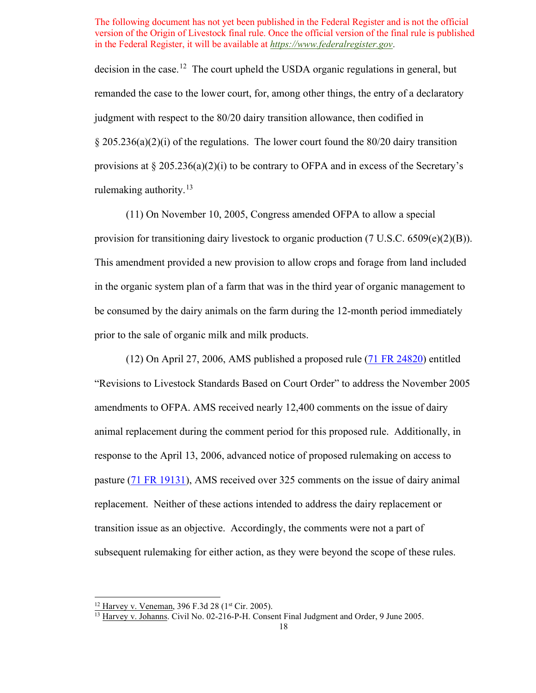decision in the case.<sup>[12](#page-17-0)</sup> The court upheld the USDA organic regulations in general, but remanded the case to the lower court, for, among other things, the entry of a declaratory judgment with respect to the 80/20 dairy transition allowance, then codified in  $\S 205.236(a)(2)(i)$  of the regulations. The lower court found the 80/20 dairy transition provisions at  $\S 205.236(a)(2)(i)$  to be contrary to OFPA and in excess of the Secretary's rulemaking authority. $13$ 

(11) On November 10, 2005, Congress amended OFPA to allow a special provision for transitioning dairy livestock to organic production (7 U.S.C. 6509(e)(2)(B)). This amendment provided a new provision to allow crops and forage from land included in the organic system plan of a farm that was in the third year of organic management to be consumed by the dairy animals on the farm during the 12-month period immediately prior to the sale of organic milk and milk products.

(12) On April 27, 2006, AMS published a proposed rule [\(71 FR 24820\)](https://www.federalregister.gov/documents/2006/04/27/06-4006/national-organic-program-revisions-to-livestock-standards-based-on-court-order-harvey-v-johanns-and) entitled "Revisions to Livestock Standards Based on Court Order" to address the November 2005 amendments to OFPA. AMS received nearly 12,400 comments on the issue of dairy animal replacement during the comment period for this proposed rule. Additionally, in response to the April 13, 2006, advanced notice of proposed rulemaking on access to pasture [\(71 FR 19131\)](https://www.federalregister.gov/documents/2006/04/13/06-3541/national-organic-program-nop-access-to-pasture-livestock), AMS received over 325 comments on the issue of dairy animal replacement. Neither of these actions intended to address the dairy replacement or transition issue as an objective. Accordingly, the comments were not a part of subsequent rulemaking for either action, as they were beyond the scope of these rules.

<sup>&</sup>lt;sup>12</sup> Harvey v. Veneman, 396 F.3d 28 ( $1<sup>st</sup> Cir. 2005$ ).

<span id="page-17-1"></span><span id="page-17-0"></span><sup>&</sup>lt;sup>13</sup> Harvey v. Johanns. Civil No. 02-216-P-H. Consent Final Judgment and Order, 9 June 2005.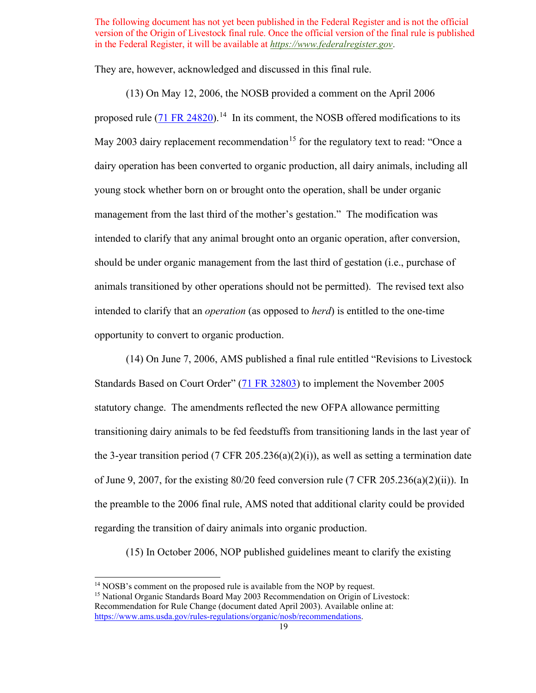They are, however, acknowledged and discussed in this final rule.

proposed rule [\(71 FR 24820\)](https://www.federalregister.gov/documents/2006/04/27/06-4006/national-organic-program-revisions-to-livestock-standards-based-on-court-order-harvey-v-johanns-and).<sup>[14](#page-18-0)</sup> In its comment, the NOSB offered modifications to its young stock whether born on or brought onto the operation, shall be under organic management from the last third of the mother's gestation." The modification was animals transitioned by other operations should not be permitted). The revised text also (13) On May 12, 2006, the NOSB provided a comment on the April 2006 May 2003 dairy replacement recommendation<sup>15</sup> for the regulatory text to read: "Once a dairy operation has been converted to organic production, all dairy animals, including all intended to clarify that any animal brought onto an organic operation, after conversion, should be under organic management from the last third of gestation (i.e., purchase of intended to clarify that an *operation* (as opposed to *herd*) is entitled to the one-time opportunity to convert to organic production.

 transitioning dairy animals to be fed feedstuffs from transitioning lands in the last year of of June 9, 2007, for the existing 80/20 feed conversion rule (7 CFR 205.236(a)(2)(ii)). In (14) On June 7, 2006, AMS published a final rule entitled "Revisions to Livestock Standards Based on Court Order" [\(71 FR 32803\)](https://www.federalregister.gov/documents/2006/06/07/06-5203/national-organic-program-revisions-to-livestock-standards-based-on-court-order-harvey-v-johanns-and) to implement the November 2005 statutory change. The amendments reflected the new OFPA allowance permitting the 3-year transition period (7 CFR 205.236(a)(2)(i)), as well as setting a termination date the preamble to the 2006 final rule, AMS noted that additional clarity could be provided regarding the transition of dairy animals into organic production.

(15) In October 2006, NOP published guidelines meant to clarify the existing

<span id="page-18-0"></span><sup>&</sup>lt;sup>14</sup> NOSB's comment on the proposed rule is available from the NOP by request.<br><sup>15</sup> National Organic Standards Board May 2003 Recommendation on Origin of Livestock:

<span id="page-18-1"></span> Recommendation for Rule Change (document dated April 2003). Available online at: [https://www.ams.usda.gov/rules-regulations/organic/nosb/recommendations.](https://www.ams.usda.gov/rules-regulations/organic/nosb/recommendations)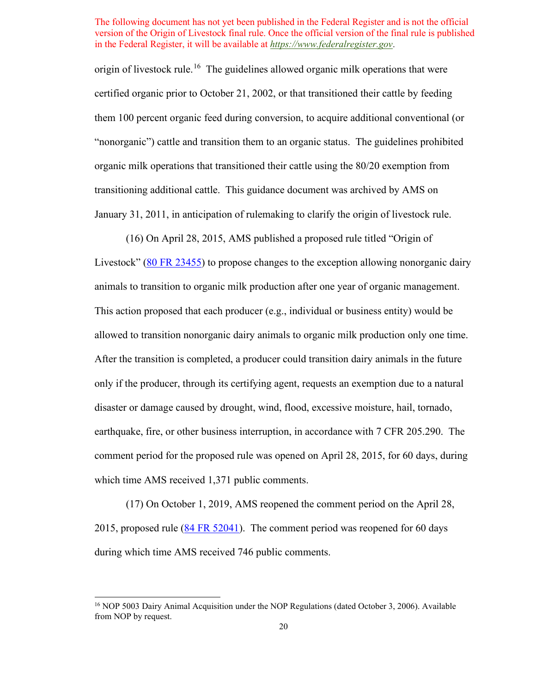origin of livestock rule.<sup>[16](#page-19-0)</sup> The guidelines allowed organic milk operations that were certified organic prior to October 21, 2002, or that transitioned their cattle by feeding them 100 percent organic feed during conversion, to acquire additional conventional (or "nonorganic") cattle and transition them to an organic status. The guidelines prohibited organic milk operations that transitioned their cattle using the 80/20 exemption from transitioning additional cattle. This guidance document was archived by AMS on January 31, 2011, in anticipation of rulemaking to clarify the origin of livestock rule.

(16) On April 28, 2015, AMS published a proposed rule titled "Origin of Livestock" [\(80 FR 23455\)](https://www.federalregister.gov/documents/2015/04/28/2015-09851/national-organic-program-origin-of-livestock) to propose changes to the exception allowing nonorganic dairy animals to transition to organic milk production after one year of organic management. This action proposed that each producer (e.g., individual or business entity) would be allowed to transition nonorganic dairy animals to organic milk production only one time. After the transition is completed, a producer could transition dairy animals in the future only if the producer, through its certifying agent, requests an exemption due to a natural disaster or damage caused by drought, wind, flood, excessive moisture, hail, tornado, earthquake, fire, or other business interruption, in accordance with 7 CFR 205.290. The comment period for the proposed rule was opened on April 28, 2015, for 60 days, during which time AMS received 1,371 public comments.

(17) On October 1, 2019, AMS reopened the comment period on the April 28, 2015, proposed rule  $(84 FR 52041)$ . The comment period was reopened for 60 days during which time AMS received 746 public comments.

<span id="page-19-0"></span>from NOP by request. 20 <sup>16</sup> NOP 5003 Dairy Animal Acquisition under the NOP Regulations (dated October 3, 2006). Available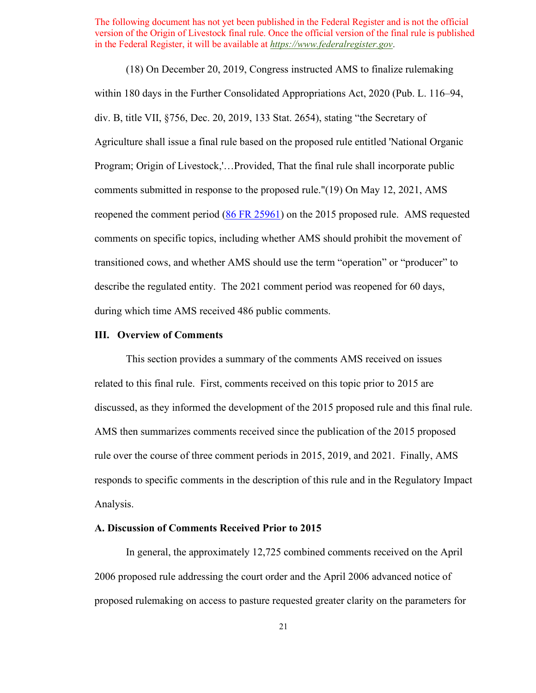(18) On December 20, 2019, Congress instructed AMS to finalize rulemaking within 180 days in the Further Consolidated Appropriations Act, 2020 (Pub. L. 116–94, div. B, title VII, §756, Dec. 20, 2019, 133 Stat. 2654), stating "the Secretary of Agriculture shall issue a final rule based on the proposed rule entitled 'National Organic Program; Origin of Livestock,'…Provided, That the final rule shall incorporate public comments submitted in response to the proposed rule."(19) On May 12, 2021, AMS reopened the comment period [\(86 FR 25961\)](https://www.federalregister.gov/documents/2021/05/12/2021-09978/national-organic-program-origin-of-livestock-reopening-of-comment-period) on the 2015 proposed rule. AMS requested comments on specific topics, including whether AMS should prohibit the movement of transitioned cows, and whether AMS should use the term "operation" or "producer" to describe the regulated entity. The 2021 comment period was reopened for 60 days, during which time AMS received 486 public comments.

## **III. Overview of Comments**

 rule over the course of three comment periods in 2015, 2019, and 2021. Finally, AMS responds to specific comments in the description of this rule and in the Regulatory Impact This section provides a summary of the comments AMS received on issues related to this final rule. First, comments received on this topic prior to 2015 are discussed, as they informed the development of the 2015 proposed rule and this final rule. AMS then summarizes comments received since the publication of the 2015 proposed Analysis.

# **A. Discussion of Comments Received Prior to 2015**

In general, the approximately 12,725 combined comments received on the April 2006 proposed rule addressing the court order and the April 2006 advanced notice of proposed rulemaking on access to pasture requested greater clarity on the parameters for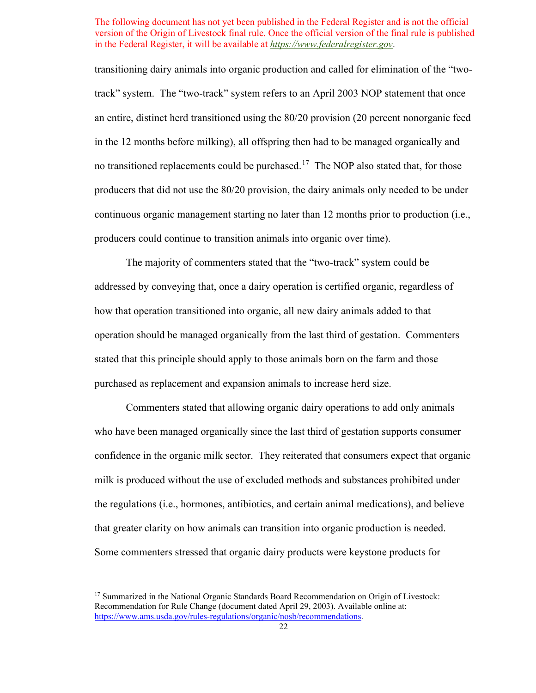transitioning dairy animals into organic production and called for elimination of the "two-no transitioned replacements could be purchased.<sup>[17](#page-21-0)</sup> The NOP also stated that, for those track" system. The "two-track" system refers to an April 2003 NOP statement that once an entire, distinct herd transitioned using the 80/20 provision (20 percent nonorganic feed in the 12 months before milking), all offspring then had to be managed organically and producers that did not use the 80/20 provision, the dairy animals only needed to be under continuous organic management starting no later than 12 months prior to production (i.e., producers could continue to transition animals into organic over time).

 The majority of commenters stated that the "two-track" system could be stated that this principle should apply to those animals born on the farm and those addressed by conveying that, once a dairy operation is certified organic, regardless of how that operation transitioned into organic, all new dairy animals added to that operation should be managed organically from the last third of gestation. Commenters purchased as replacement and expansion animals to increase herd size.

Commenters stated that allowing organic dairy operations to add only animals who have been managed organically since the last third of gestation supports consumer confidence in the organic milk sector. They reiterated that consumers expect that organic milk is produced without the use of excluded methods and substances prohibited under the regulations (i.e., hormones, antibiotics, and certain animal medications), and believe that greater clarity on how animals can transition into organic production is needed. Some commenters stressed that organic dairy products were keystone products for

<span id="page-21-0"></span><sup>&</sup>lt;sup>17</sup> Summarized in the National Organic Standards Board Recommendation on Origin of Livestock: Recommendation for Rule Change (document dated April 29, 2003). Available online at: [https://www.ams.usda.gov/rules-regulations/organic/nosb/recommendations.](https://www.ams.usda.gov/rules-regulations/organic/nosb/recommendations)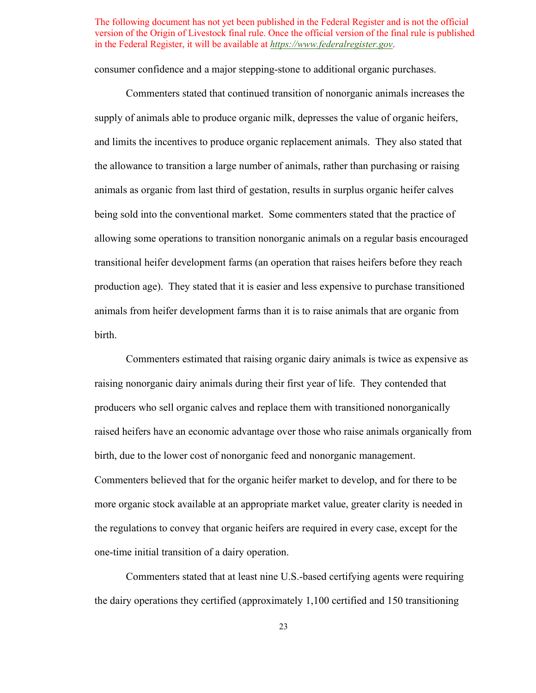consumer confidence and a major stepping-stone to additional organic purchases.

 Commenters stated that continued transition of nonorganic animals increases the animals as organic from last third of gestation, results in surplus organic heifer calves being sold into the conventional market. Some commenters stated that the practice of production age). They stated that it is easier and less expensive to purchase transitioned supply of animals able to produce organic milk, depresses the value of organic heifers, and limits the incentives to produce organic replacement animals. They also stated that the allowance to transition a large number of animals, rather than purchasing or raising allowing some operations to transition nonorganic animals on a regular basis encouraged transitional heifer development farms (an operation that raises heifers before they reach animals from heifer development farms than it is to raise animals that are organic from birth.

 Commenters estimated that raising organic dairy animals is twice as expensive as raising nonorganic dairy animals during their first year of life. They contended that birth, due to the lower cost of nonorganic feed and nonorganic management. birth, due to the lower cost of nonorganic feed and nonorganic management. Commenters believed that for the organic heifer market to develop, and for there to be producers who sell organic calves and replace them with transitioned nonorganically raised heifers have an economic advantage over those who raise animals organically from more organic stock available at an appropriate market value, greater clarity is needed in the regulations to convey that organic heifers are required in every case, except for the one-time initial transition of a dairy operation.

Commenters stated that at least nine U.S.-based certifying agents were requiring the dairy operations they certified (approximately 1,100 certified and 150 transitioning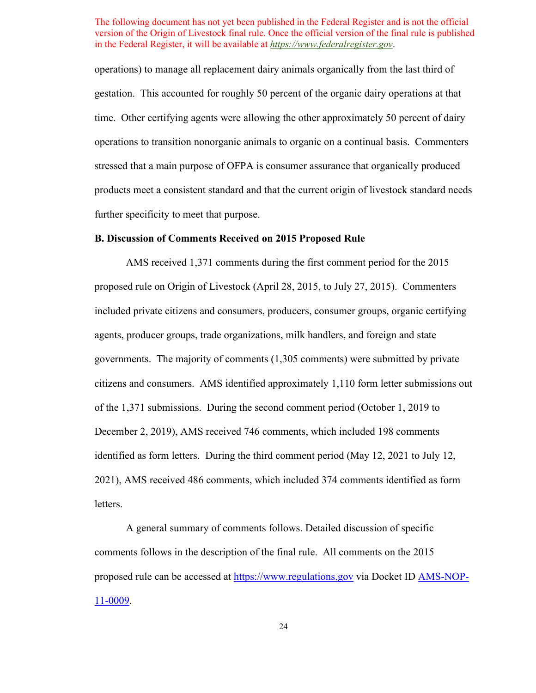operations) to manage all replacement dairy animals organically from the last third of gestation. This accounted for roughly 50 percent of the organic dairy operations at that time. Other certifying agents were allowing the other approximately 50 percent of dairy operations to transition nonorganic animals to organic on a continual basis. Commenters stressed that a main purpose of OFPA is consumer assurance that organically produced products meet a consistent standard and that the current origin of livestock standard needs further specificity to meet that purpose.

#### **B. Discussion of Comments Received on 2015 Proposed Rule**

AMS received 1,371 comments during the first comment period for the 2015 proposed rule on Origin of Livestock (April 28, 2015, to July 27, 2015). Commenters included private citizens and consumers, producers, consumer groups, organic certifying agents, producer groups, trade organizations, milk handlers, and foreign and state governments. The majority of comments (1,305 comments) were submitted by private citizens and consumers. AMS identified approximately 1,110 form letter submissions out of the 1,371 submissions. During the second comment period (October 1, 2019 to December 2, 2019), AMS received 746 comments, which included 198 comments identified as form letters. During the third comment period (May 12, 2021 to July 12, 2021), AMS received 486 comments, which included 374 comments identified as form letters.

proposed rule can be accessed at <u>https://www.regulations.gov</u> via Docket ID <u>AMS-NOP-</u> A general summary of comments follows. Detailed discussion of specific comments follows in the description of the final rule. All comments on the 2015 [11-0009.](https://www.regulations.gov/docket?D=AMS-NOP-11-0009)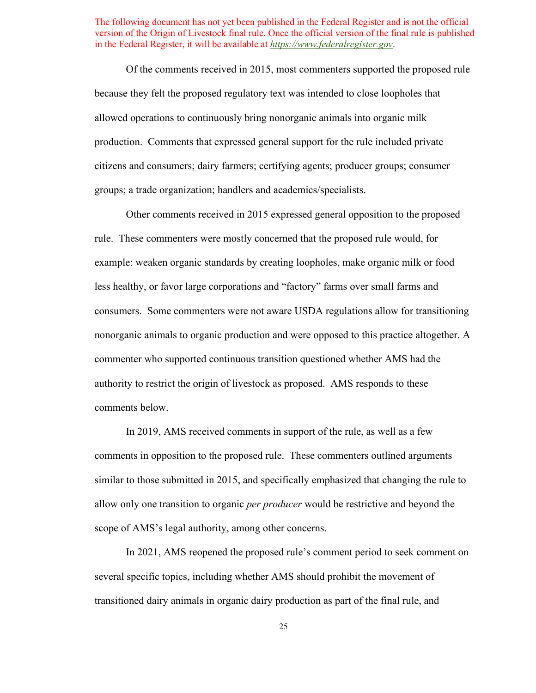citizens and consumers; dairy farmers; certifying agents; producer groups; consumer Of the comments received in 2015, most commenters supported the proposed rule because they felt the proposed regulatory text was intended to close loopholes that allowed operations to continuously bring nonorganic animals into organic milk production. Comments that expressed general support for the rule included private groups; a trade organization; handlers and academics/specialists.

 rule. These commenters were mostly concerned that the proposed rule would, for consumers. Some commenters were not aware USDA regulations allow for transitioning authority to restrict the origin of livestock as proposed. AMS responds to these comments below. Other comments received in 2015 expressed general opposition to the proposed example: weaken organic standards by creating loopholes, make organic milk or food less healthy, or favor large corporations and "factory" farms over small farms and nonorganic animals to organic production and were opposed to this practice altogether. A commenter who supported continuous transition questioned whether AMS had the

 scope of AMS's legal authority, among other concerns. In 2019, AMS received comments in support of the rule, as well as a few comments in opposition to the proposed rule. These commenters outlined arguments similar to those submitted in 2015, and specifically emphasized that changing the rule to allow only one transition to organic *per producer* would be restrictive and beyond the

In 2021, AMS reopened the proposed rule's comment period to seek comment on several specific topics, including whether AMS should prohibit the movement of transitioned dairy animals in organic dairy production as part of the final rule, and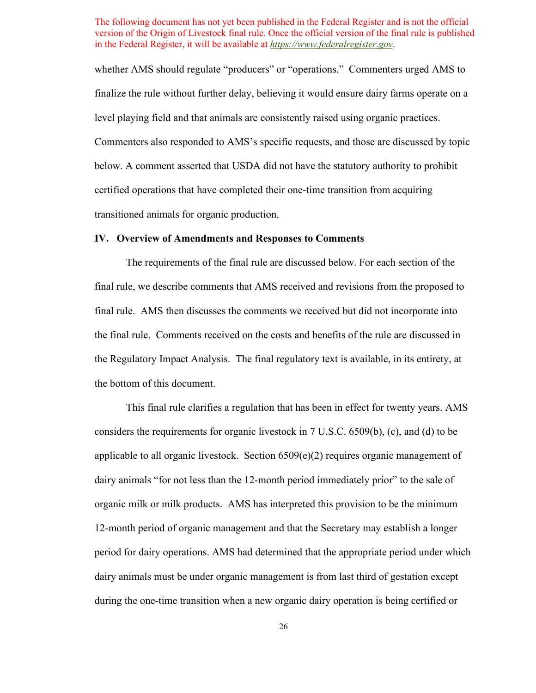whether AMS should regulate "producers" or "operations." Commenters urged AMS to level playing field and that animals are consistently raised using organic practices. finalize the rule without further delay, believing it would ensure dairy farms operate on a Commenters also responded to AMS's specific requests, and those are discussed by topic below. A comment asserted that USDA did not have the statutory authority to prohibit certified operations that have completed their one-time transition from acquiring transitioned animals for organic production.

## **IV. Overview of Amendments and Responses to Comments**

 final rule. AMS then discusses the comments we received but did not incorporate into the final rule. Comments received on the costs and benefits of the rule are discussed in the Regulatory Impact Analysis. The final regulatory text is available, in its entirety, at the bottom of this document. The requirements of the final rule are discussed below. For each section of the final rule, we describe comments that AMS received and revisions from the proposed to

This final rule clarifies a regulation that has been in effect for twenty years. AMS considers the requirements for organic livestock in 7 U.S.C. 6509(b), (c), and (d) to be applicable to all organic livestock. Section 6509(e)(2) requires organic management of dairy animals "for not less than the 12-month period immediately prior" to the sale of organic milk or milk products. AMS has interpreted this provision to be the minimum 12-month period of organic management and that the Secretary may establish a longer period for dairy operations. AMS had determined that the appropriate period under which dairy animals must be under organic management is from last third of gestation except during the one-time transition when a new organic dairy operation is being certified or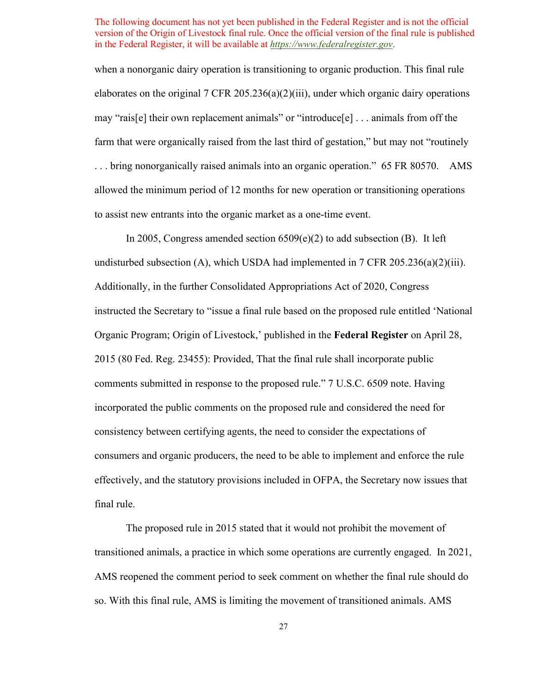. . . bring nonorganically raised animals into an organic operation." 65 FR 80570. AMS allowed the minimum period of 12 months for new operation or transitioning operations when a nonorganic dairy operation is transitioning to organic production. This final rule elaborates on the original 7 CFR 205.236(a)(2)(iii), under which organic dairy operations may "rais[e] their own replacement animals" or "introduce[e] . . . animals from off the farm that were organically raised from the last third of gestation," but may not "routinely to assist new entrants into the organic market as a one-time event.

 consumers and organic producers, the need to be able to implement and enforce the rule In 2005, Congress amended section  $6509(e)(2)$  to add subsection (B). It left undisturbed subsection (A), which USDA had implemented in 7 CFR 205.236(a)(2)(iii). Additionally, in the further Consolidated Appropriations Act of 2020, Congress instructed the Secretary to "issue a final rule based on the proposed rule entitled 'National Organic Program; Origin of Livestock,' published in the **Federal Register** on April 28, 2015 (80 Fed. Reg. 23455): Provided, That the final rule shall incorporate public comments submitted in response to the proposed rule." 7 U.S.C. 6509 note. Having incorporated the public comments on the proposed rule and considered the need for consistency between certifying agents, the need to consider the expectations of effectively, and the statutory provisions included in OFPA, the Secretary now issues that final rule.

The proposed rule in 2015 stated that it would not prohibit the movement of transitioned animals, a practice in which some operations are currently engaged. In 2021, AMS reopened the comment period to seek comment on whether the final rule should do so. With this final rule, AMS is limiting the movement of transitioned animals. AMS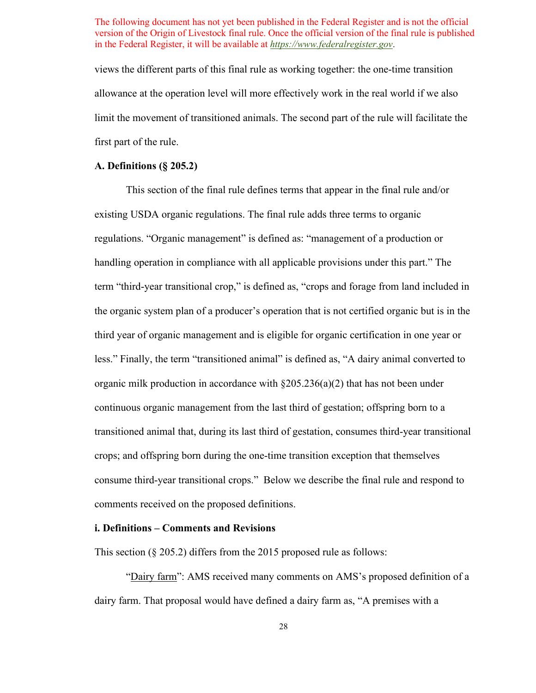limit the movement of transitioned animals. The second part of the rule will facilitate the views the different parts of this final rule as working together: the one-time transition allowance at the operation level will more effectively work in the real world if we also first part of the rule.

## **A. Definitions (§ 205.2)**

 consume third-year transitional crops." Below we describe the final rule and respond to This section of the final rule defines terms that appear in the final rule and/or existing USDA organic regulations. The final rule adds three terms to organic regulations. "Organic management" is defined as: "management of a production or handling operation in compliance with all applicable provisions under this part." The term "third-year transitional crop," is defined as, "crops and forage from land included in the organic system plan of a producer's operation that is not certified organic but is in the third year of organic management and is eligible for organic certification in one year or less." Finally, the term "transitioned animal" is defined as, "A dairy animal converted to organic milk production in accordance with  $\S205.236(a)(2)$  that has not been under continuous organic management from the last third of gestation; offspring born to a transitioned animal that, during its last third of gestation, consumes third-year transitional crops; and offspring born during the one-time transition exception that themselves comments received on the proposed definitions.

#### **i. Definitions – Comments and Revisions**

This section (§ 205.2) differs from the 2015 proposed rule as follows:

"Dairy farm": AMS received many comments on AMS's proposed definition of a dairy farm. That proposal would have defined a dairy farm as, "A premises with a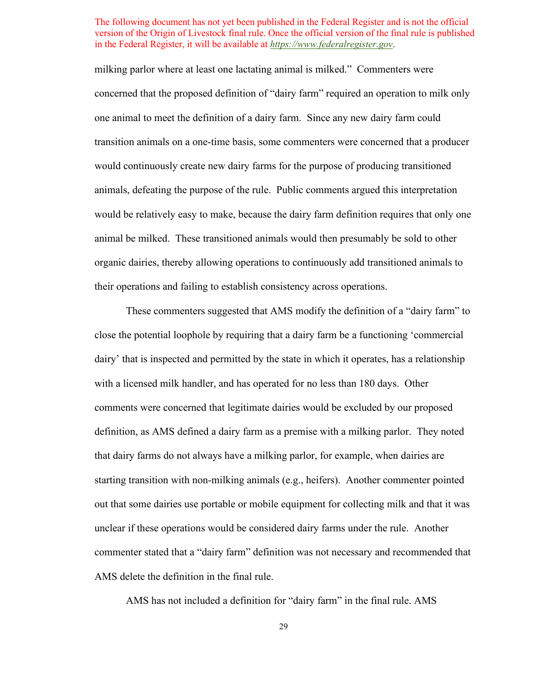milking parlor where at least one lactating animal is milked." Commenters were would be relatively easy to make, because the dairy farm definition requires that only one concerned that the proposed definition of "dairy farm" required an operation to milk only one animal to meet the definition of a dairy farm. Since any new dairy farm could transition animals on a one-time basis, some commenters were concerned that a producer would continuously create new dairy farms for the purpose of producing transitioned animals, defeating the purpose of the rule. Public comments argued this interpretation animal be milked. These transitioned animals would then presumably be sold to other organic dairies, thereby allowing operations to continuously add transitioned animals to their operations and failing to establish consistency across operations.

 definition, as AMS defined a dairy farm as a premise with a milking parlor. They noted starting transition with non-milking animals (e.g., heifers). Another commenter pointed unclear if these operations would be considered dairy farms under the rule. Another These commenters suggested that AMS modify the definition of a "dairy farm" to close the potential loophole by requiring that a dairy farm be a functioning 'commercial dairy' that is inspected and permitted by the state in which it operates, has a relationship with a licensed milk handler, and has operated for no less than 180 days. Other comments were concerned that legitimate dairies would be excluded by our proposed that dairy farms do not always have a milking parlor, for example, when dairies are out that some dairies use portable or mobile equipment for collecting milk and that it was commenter stated that a "dairy farm" definition was not necessary and recommended that AMS delete the definition in the final rule.

AMS has not included a definition for "dairy farm" in the final rule. AMS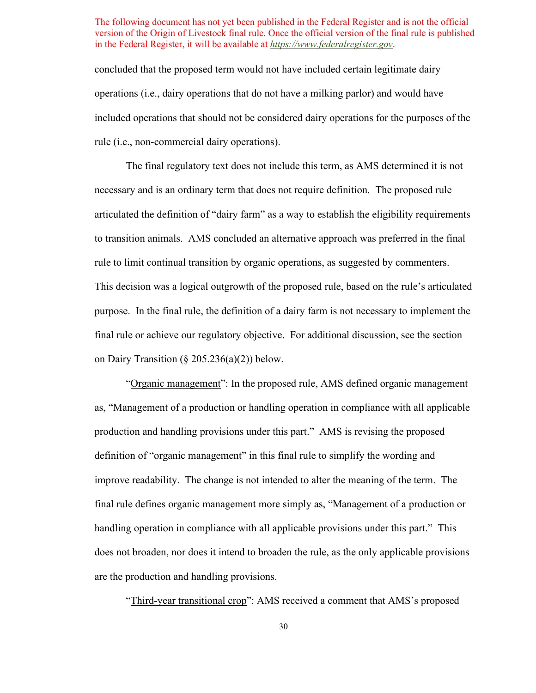concluded that the proposed term would not have included certain legitimate dairy operations (i.e., dairy operations that do not have a milking parlor) and would have included operations that should not be considered dairy operations for the purposes of the rule (i.e., non-commercial dairy operations).

 final rule or achieve our regulatory objective. For additional discussion, see the section The final regulatory text does not include this term, as AMS determined it is not necessary and is an ordinary term that does not require definition. The proposed rule articulated the definition of "dairy farm" as a way to establish the eligibility requirements to transition animals. AMS concluded an alternative approach was preferred in the final rule to limit continual transition by organic operations, as suggested by commenters. This decision was a logical outgrowth of the proposed rule, based on the rule's articulated purpose. In the final rule, the definition of a dairy farm is not necessary to implement the on Dairy Transition ( $\S 205.236(a)(2)$ ) below.

 production and handling provisions under this part." AMS is revising the proposed handling operation in compliance with all applicable provisions under this part." This "Organic management": In the proposed rule, AMS defined organic management as, "Management of a production or handling operation in compliance with all applicable definition of "organic management" in this final rule to simplify the wording and improve readability. The change is not intended to alter the meaning of the term. The final rule defines organic management more simply as, "Management of a production or does not broaden, nor does it intend to broaden the rule, as the only applicable provisions are the production and handling provisions.

"Third-year transitional crop": AMS received a comment that AMS's proposed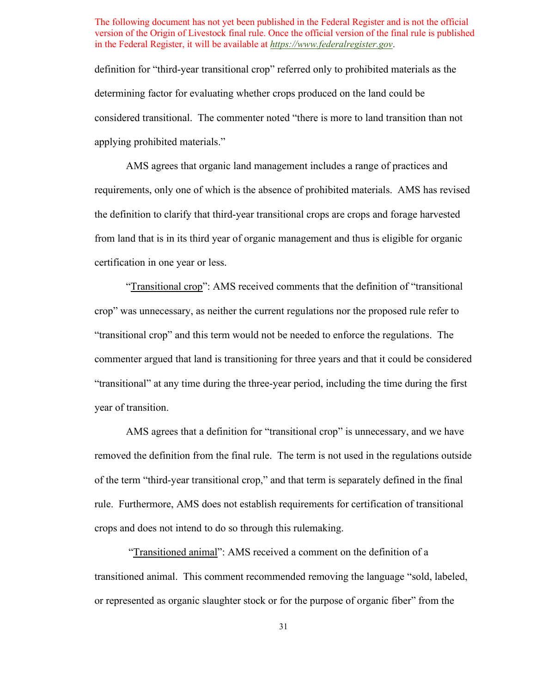applying prohibited materials." definition for "third-year transitional crop" referred only to prohibited materials as the determining factor for evaluating whether crops produced on the land could be considered transitional. The commenter noted "there is more to land transition than not

AMS agrees that organic land management includes a range of practices and requirements, only one of which is the absence of prohibited materials. AMS has revised the definition to clarify that third-year transitional crops are crops and forage harvested from land that is in its third year of organic management and thus is eligible for organic certification in one year or less.

"Transitional crop": AMS received comments that the definition of "transitional" crop" was unnecessary, as neither the current regulations nor the proposed rule refer to "transitional crop" and this term would not be needed to enforce the regulations. The commenter argued that land is transitioning for three years and that it could be considered "transitional" at any time during the three-year period, including the time during the first year of transition.

 of the term "third-year transitional crop," and that term is separately defined in the final AMS agrees that a definition for "transitional crop" is unnecessary, and we have removed the definition from the final rule. The term is not used in the regulations outside rule. Furthermore, AMS does not establish requirements for certification of transitional crops and does not intend to do so through this rulemaking.

"Transitioned animal": AMS received a comment on the definition of a transitioned animal. This comment recommended removing the language "sold, labeled, or represented as organic slaughter stock or for the purpose of organic fiber" from the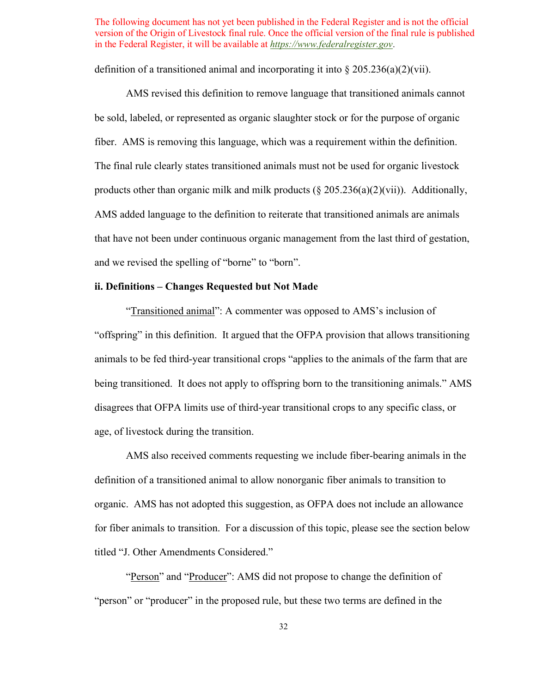definition of a transitioned animal and incorporating it into  $\S 205.236(a)(2)(vii)$ .

 fiber. AMS is removing this language, which was a requirement within the definition. AMS revised this definition to remove language that transitioned animals cannot be sold, labeled, or represented as organic slaughter stock or for the purpose of organic The final rule clearly states transitioned animals must not be used for organic livestock products other than organic milk and milk products  $(\S 205.236(a)(2)(vii))$ . Additionally, AMS added language to the definition to reiterate that transitioned animals are animals that have not been under continuous organic management from the last third of gestation, and we revised the spelling of "borne" to "born".

# **ii. Definitions – Changes Requested but Not Made**

"Transitioned animal": A commenter was opposed to AMS's inclusion of "offspring" in this definition. It argued that the OFPA provision that allows transitioning animals to be fed third-year transitional crops "applies to the animals of the farm that are being transitioned. It does not apply to offspring born to the transitioning animals." AMS disagrees that OFPA limits use of third-year transitional crops to any specific class, or age, of livestock during the transition.

titled "J. Other Amendments Considered." AMS also received comments requesting we include fiber-bearing animals in the definition of a transitioned animal to allow nonorganic fiber animals to transition to organic. AMS has not adopted this suggestion, as OFPA does not include an allowance for fiber animals to transition. For a discussion of this topic, please see the section below

"Person" and "Producer": AMS did not propose to change the definition of "person" or "producer" in the proposed rule, but these two terms are defined in the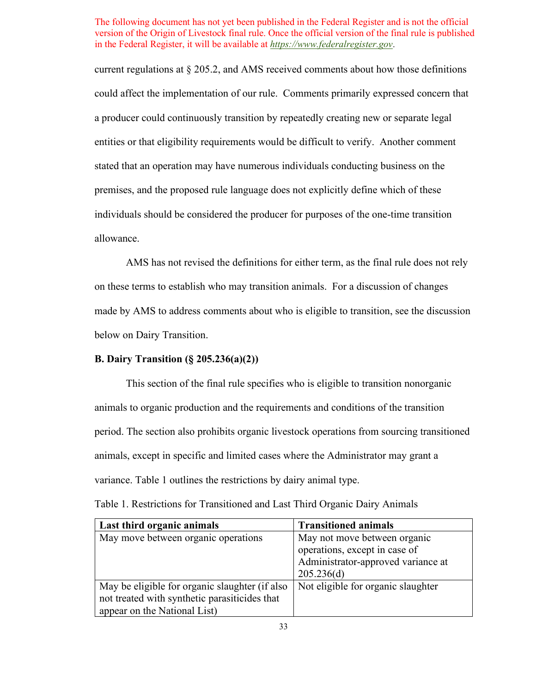current regulations at § 205.2, and AMS received comments about how those definitions could affect the implementation of our rule. Comments primarily expressed concern that a producer could continuously transition by repeatedly creating new or separate legal entities or that eligibility requirements would be difficult to verify. Another comment stated that an operation may have numerous individuals conducting business on the premises, and the proposed rule language does not explicitly define which of these individuals should be considered the producer for purposes of the one-time transition allowance.

 AMS has not revised the definitions for either term, as the final rule does not rely on these terms to establish who may transition animals. For a discussion of changes made by AMS to address comments about who is eligible to transition, see the discussion below on Dairy Transition.

## **B. Dairy Transition (§ 205.236(a)(2))**

 This section of the final rule specifies who is eligible to transition nonorganic animals to organic production and the requirements and conditions of the transition period. The section also prohibits organic livestock operations from sourcing transitioned animals, except in specific and limited cases where the Administrator may grant a variance. [Table 1](#page-32-0) outlines the restrictions by dairy animal type.

| Last third organic animals                     | <b>Transitioned animals</b>        |
|------------------------------------------------|------------------------------------|
| May move between organic operations            | May not move between organic       |
|                                                | operations, except in case of      |
|                                                | Administrator-approved variance at |
|                                                | 205.236(d)                         |
| May be eligible for organic slaughter (if also | Not eligible for organic slaughter |
| not treated with synthetic parasiticides that  |                                    |
| appear on the National List)                   |                                    |

<span id="page-32-0"></span>Table 1. Restrictions for Transitioned and Last Third Organic Dairy Animals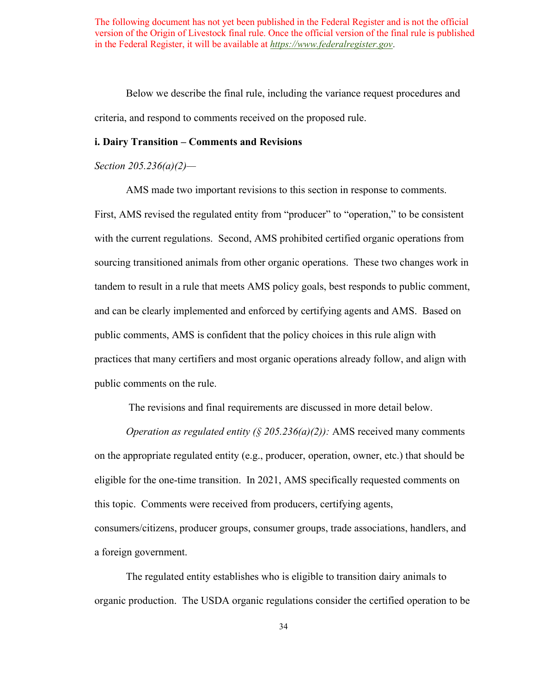Below we describe the final rule, including the variance request procedures and criteria, and respond to comments received on the proposed rule.

## **i. Dairy Transition – Comments and Revisions**

*Section 205.236(a)(2)—* 

AMS made two important revisions to this section in response to comments.

 sourcing transitioned animals from other organic operations. These two changes work in First, AMS revised the regulated entity from "producer" to "operation," to be consistent with the current regulations. Second, AMS prohibited certified organic operations from tandem to result in a rule that meets AMS policy goals, best responds to public comment, and can be clearly implemented and enforced by certifying agents and AMS. Based on public comments, AMS is confident that the policy choices in this rule align with practices that many certifiers and most organic operations already follow, and align with public comments on the rule.

The revisions and final requirements are discussed in more detail below.

 eligible for the one-time transition. In 2021, AMS specifically requested comments on this topic. Comments were received from producers, certifying agents, *Operation as regulated entity (§ 205.236(a)(2)):* AMS received many comments on the appropriate regulated entity (e.g., producer, operation, owner, etc.) that should be consumers/citizens, producer groups, consumer groups, trade associations, handlers, and a foreign government.

 organic production. The USDA organic regulations consider the certified operation to be The regulated entity establishes who is eligible to transition dairy animals to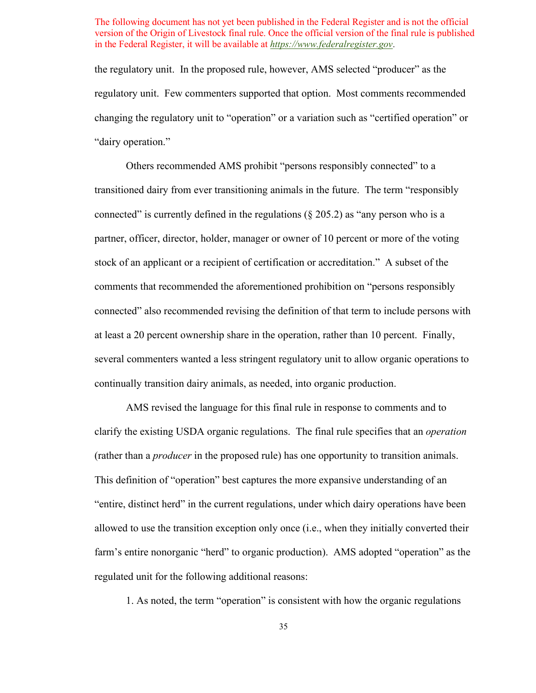regulatory unit. Few commenters supported that option. Most comments recommended "dairy operation." the regulatory unit. In the proposed rule, however, AMS selected "producer" as the changing the regulatory unit to "operation" or a variation such as "certified operation" or

 stock of an applicant or a recipient of certification or accreditation." A subset of the Others recommended AMS prohibit "persons responsibly connected" to a transitioned dairy from ever transitioning animals in the future. The term "responsibly connected" is currently defined in the regulations  $(\S 205.2)$  as "any person who is a partner, officer, director, holder, manager or owner of 10 percent or more of the voting comments that recommended the aforementioned prohibition on "persons responsibly connected" also recommended revising the definition of that term to include persons with at least a 20 percent ownership share in the operation, rather than 10 percent. Finally, several commenters wanted a less stringent regulatory unit to allow organic operations to continually transition dairy animals, as needed, into organic production.

 clarify the existing USDA organic regulations. The final rule specifies that an *operation*  farm's entire nonorganic "herd" to organic production). AMS adopted "operation" as the regulated unit for the following additional reasons: AMS revised the language for this final rule in response to comments and to (rather than a *producer* in the proposed rule) has one opportunity to transition animals. This definition of "operation" best captures the more expansive understanding of an "entire, distinct herd" in the current regulations, under which dairy operations have been allowed to use the transition exception only once (i.e., when they initially converted their

1. As noted, the term "operation" is consistent with how the organic regulations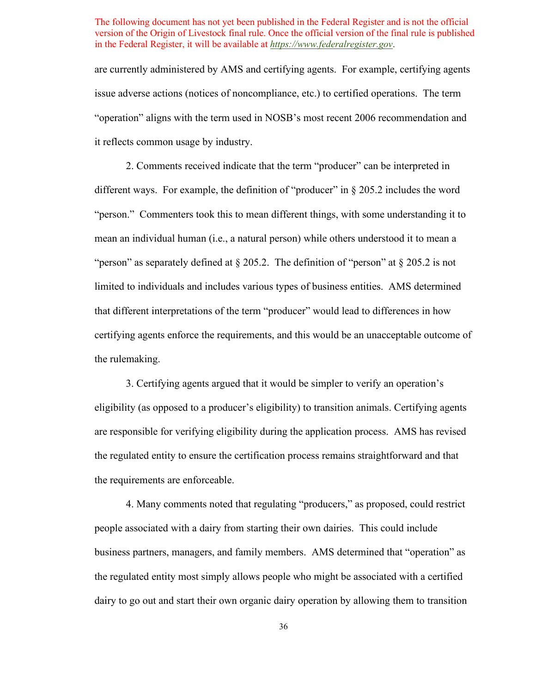issue adverse actions (notices of noncompliance, etc.) to certified operations. The term are currently administered by AMS and certifying agents. For example, certifying agents "operation" aligns with the term used in NOSB's most recent 2006 recommendation and it reflects common usage by industry.

 "person." Commenters took this to mean different things, with some understanding it to "person" as separately defined at § 205.2. The definition of "person" at § 205.2 is not limited to individuals and includes various types of business entities. AMS determined 2. Comments received indicate that the term "producer" can be interpreted in different ways. For example, the definition of "producer" in § 205.2 includes the word mean an individual human (i.e., a natural person) while others understood it to mean a that different interpretations of the term "producer" would lead to differences in how certifying agents enforce the requirements, and this would be an unacceptable outcome of the rulemaking.

the requirements are enforceable. 3. Certifying agents argued that it would be simpler to verify an operation's eligibility (as opposed to a producer's eligibility) to transition animals. Certifying agents are responsible for verifying eligibility during the application process. AMS has revised the regulated entity to ensure the certification process remains straightforward and that

 business partners, managers, and family members. AMS determined that "operation" as 4. Many comments noted that regulating "producers," as proposed, could restrict people associated with a dairy from starting their own dairies. This could include the regulated entity most simply allows people who might be associated with a certified dairy to go out and start their own organic dairy operation by allowing them to transition

36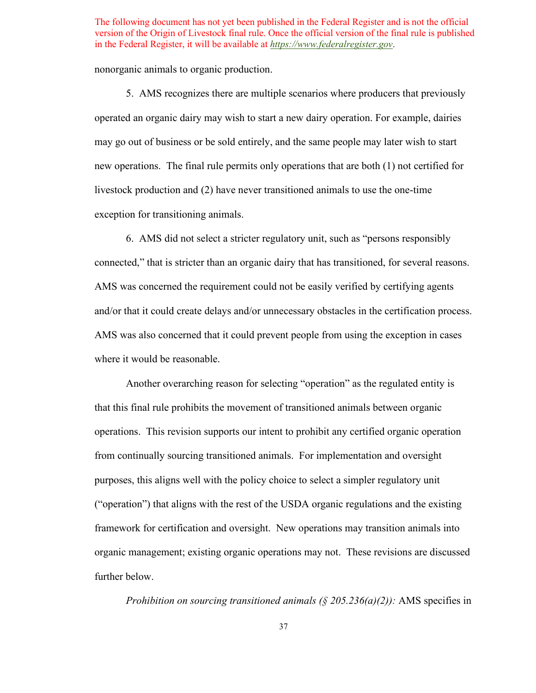nonorganic animals to organic production.

 new operations. The final rule permits only operations that are both (1) not certified for 5. AMS recognizes there are multiple scenarios where producers that previously operated an organic dairy may wish to start a new dairy operation. For example, dairies may go out of business or be sold entirely, and the same people may later wish to start livestock production and (2) have never transitioned animals to use the one-time exception for transitioning animals.

 AMS was concerned the requirement could not be easily verified by certifying agents where it would be reasonable. 6. AMS did not select a stricter regulatory unit, such as "persons responsibly connected," that is stricter than an organic dairy that has transitioned, for several reasons. and/or that it could create delays and/or unnecessary obstacles in the certification process. AMS was also concerned that it could prevent people from using the exception in cases

 framework for certification and oversight. New operations may transition animals into further below. Another overarching reason for selecting "operation" as the regulated entity is that this final rule prohibits the movement of transitioned animals between organic operations. This revision supports our intent to prohibit any certified organic operation from continually sourcing transitioned animals. For implementation and oversight purposes, this aligns well with the policy choice to select a simpler regulatory unit ("operation") that aligns with the rest of the USDA organic regulations and the existing organic management; existing organic operations may not. These revisions are discussed

*Prohibition on sourcing transitioned animals (§ 205.236(a)(2)):* AMS specifies in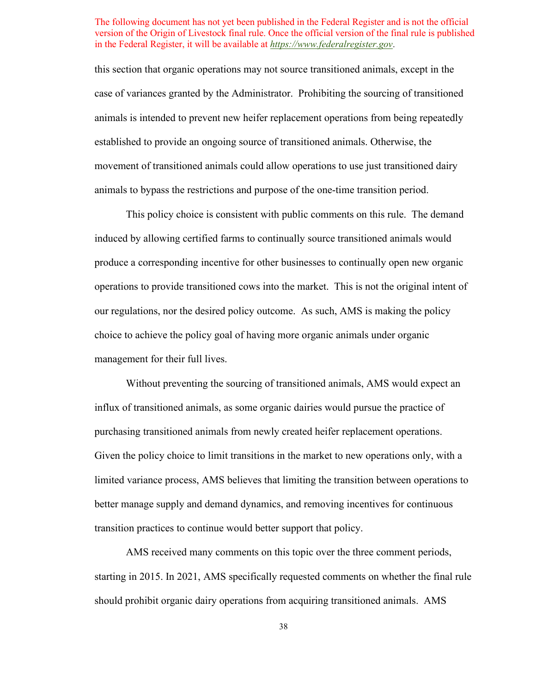case of variances granted by the Administrator. Prohibiting the sourcing of transitioned animals to bypass the restrictions and purpose of the one-time transition period. animals to bypass the restrictions and purpose of the one-time transition period. This policy choice is consistent with public comments on this rule. The demand this section that organic operations may not source transitioned animals, except in the animals is intended to prevent new heifer replacement operations from being repeatedly established to provide an ongoing source of transitioned animals. Otherwise, the movement of transitioned animals could allow operations to use just transitioned dairy

 produce a corresponding incentive for other businesses to continually open new organic management for their full lives. induced by allowing certified farms to continually source transitioned animals would operations to provide transitioned cows into the market. This is not the original intent of our regulations, nor the desired policy outcome. As such, AMS is making the policy choice to achieve the policy goal of having more organic animals under organic

 purchasing transitioned animals from newly created heifer replacement operations. better manage supply and demand dynamics, and removing incentives for continuous Without preventing the sourcing of transitioned animals, AMS would expect an influx of transitioned animals, as some organic dairies would pursue the practice of Given the policy choice to limit transitions in the market to new operations only, with a limited variance process, AMS believes that limiting the transition between operations to transition practices to continue would better support that policy.

AMS received many comments on this topic over the three comment periods, starting in 2015. In 2021, AMS specifically requested comments on whether the final rule should prohibit organic dairy operations from acquiring transitioned animals. AMS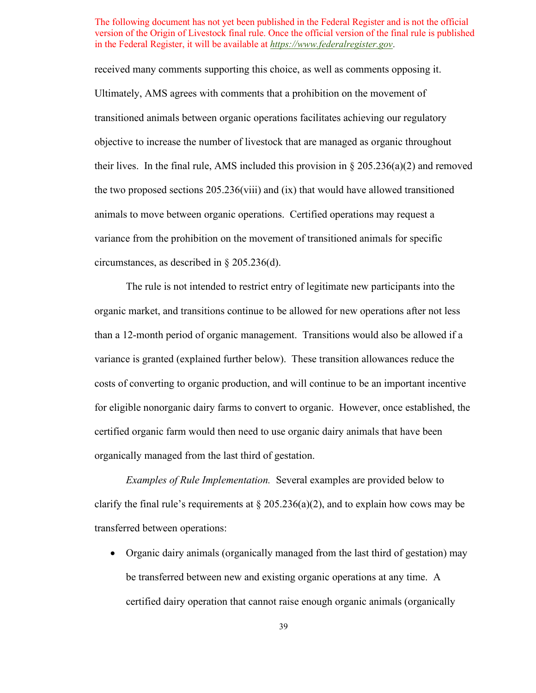received many comments supporting this choice, as well as comments opposing it. transitioned animals between organic operations facilitates achieving our regulatory objective to increase the number of livestock that are managed as organic throughout their lives. In the final rule, AMS included this provision in  $\S 205.236(a)(2)$  and removed animals to move between organic operations. Certified operations may request a Ultimately, AMS agrees with comments that a prohibition on the movement of the two proposed sections  $205.236$  (viii) and (ix) that would have allowed transitioned variance from the prohibition on the movement of transitioned animals for specific circumstances, as described in § 205.236(d).

 The rule is not intended to restrict entry of legitimate new participants into the organic market, and transitions continue to be allowed for new operations after not less for eligible nonorganic dairy farms to convert to organic. However, once established, the than a 12-month period of organic management. Transitions would also be allowed if a variance is granted (explained further below). These transition allowances reduce the costs of converting to organic production, and will continue to be an important incentive certified organic farm would then need to use organic dairy animals that have been organically managed from the last third of gestation.

 *Examples of Rule Implementation.* Several examples are provided below to clarify the final rule's requirements at  $\S 205.236(a)(2)$ , and to explain how cows may be transferred between operations:

 • Organic dairy animals (organically managed from the last third of gestation) may be transferred between new and existing organic operations at any time. A certified dairy operation that cannot raise enough organic animals (organically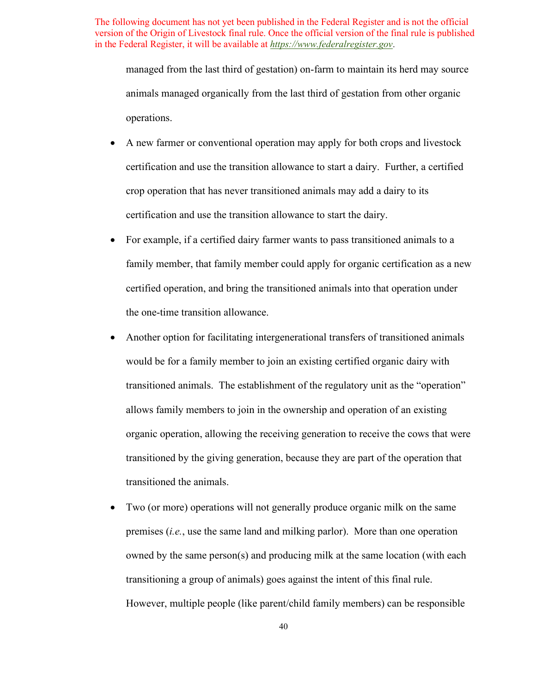managed from the last third of gestation) on-farm to maintain its herd may source animals managed organically from the last third of gestation from other organic operations.

- certification and use the transition allowance to start the dairy. • A new farmer or conventional operation may apply for both crops and livestock certification and use the transition allowance to start a dairy. Further, a certified crop operation that has never transitioned animals may add a dairy to its
- family member, that family member could apply for organic certification as a new certified operation, and bring the transitioned animals into that operation under • For example, if a certified dairy farmer wants to pass transitioned animals to a the one-time transition allowance.
- would be for a family member to join an existing certified organic dairy with transitioned animals. The establishment of the regulatory unit as the "operation" organic operation, allowing the receiving generation to receive the cows that were • Another option for facilitating intergenerational transfers of transitioned animals allows family members to join in the ownership and operation of an existing transitioned by the giving generation, because they are part of the operation that transitioned the animals.
- premises (*i.e.*, use the same land and milking parlor). More than one operation transitioning a group of animals) goes against the intent of this final rule. • Two (or more) operations will not generally produce organic milk on the same owned by the same person(s) and producing milk at the same location (with each However, multiple people (like parent/child family members) can be responsible.

40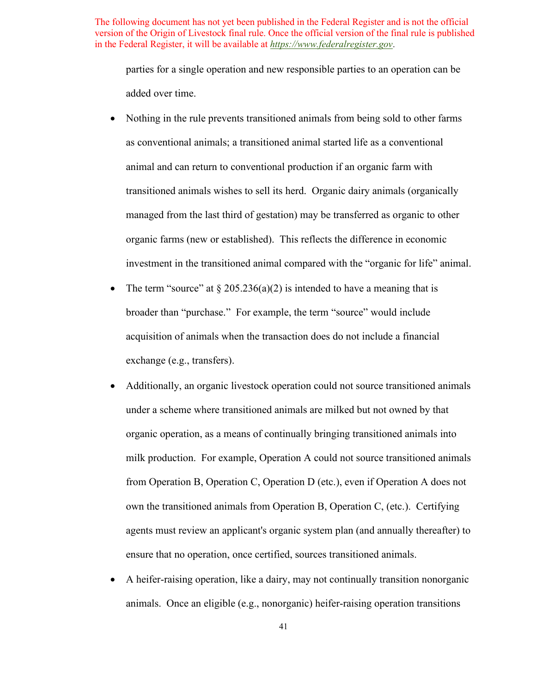parties for a single operation and new responsible parties to an operation can be added over time.

- animal and can return to conventional production if an organic farm with managed from the last third of gestation) may be transferred as organic to other • Nothing in the rule prevents transitioned animals from being sold to other farms as conventional animals; a transitioned animal started life as a conventional transitioned animals wishes to sell its herd. Organic dairy animals (organically organic farms (new or established). This reflects the difference in economic investment in the transitioned animal compared with the "organic for life" animal.
- broader than "purchase." For example, the term "source" would include • The term "source" at  $\S 205.236(a)(2)$  is intended to have a meaning that is acquisition of animals when the transaction does do not include a financial exchange (e.g., transfers).
- own the transitioned animals from Operation B, Operation C, (etc.). Certifying agents must review an applicant's organic system plan (and annually thereafter) to ensure that no operation, once certified, sources transitioned animals. • Additionally, an organic livestock operation could not source transitioned animals under a scheme where transitioned animals are milked but not owned by that organic operation, as a means of continually bringing transitioned animals into milk production. For example, Operation A could not source transitioned animals from Operation B, Operation C, Operation D (etc.), even if Operation A does not
- animals. Once an eligible (e.g., nonorganic) heifer-raising operation transitions • A heifer-raising operation, like a dairy, may not continually transition nonorganic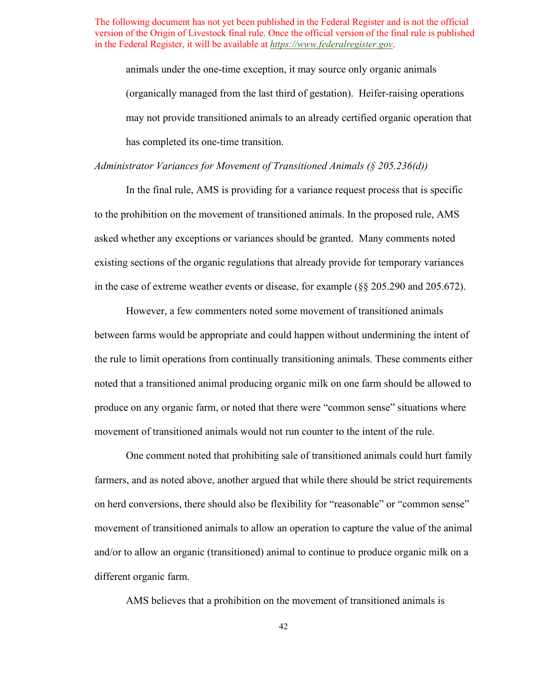(organically managed from the last third of gestation). Heifer-raising operations may not provide transitioned animals to an already certified organic operation that has completed its one-time transition. animals under the one-time exception, it may source only organic animals

*Administrator Variances for Movement of Transitioned Animals (§ 205.236(d))* 

In the final rule, AMS is providing for a variance request process that is specific to the prohibition on the movement of transitioned animals. In the proposed rule, AMS asked whether any exceptions or variances should be granted. Many comments noted existing sections of the organic regulations that already provide for temporary variances in the case of extreme weather events or disease, for example (§§ 205.290 and 205.672).

 between farms would be appropriate and could happen without undermining the intent of produce on any organic farm, or noted that there were "common sense" situations where However, a few commenters noted some movement of transitioned animals the rule to limit operations from continually transitioning animals. These comments either noted that a transitioned animal producing organic milk on one farm should be allowed to movement of transitioned animals would not run counter to the intent of the rule.

One comment noted that prohibiting sale of transitioned animals could hurt family farmers, and as noted above, another argued that while there should be strict requirements on herd conversions, there should also be flexibility for "reasonable" or "common sense" movement of transitioned animals to allow an operation to capture the value of the animal and/or to allow an organic (transitioned) animal to continue to produce organic milk on a different organic farm.

AMS believes that a prohibition on the movement of transitioned animals is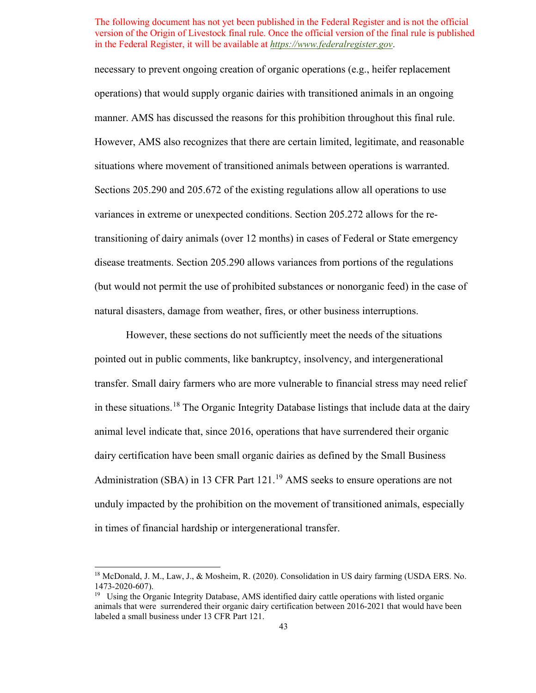necessary to prevent ongoing creation of organic operations (e.g., heifer replacement disease treatments. Section 205.290 allows variances from portions of the regulations (but would not permit the use of prohibited substances or nonorganic feed) in the case of operations) that would supply organic dairies with transitioned animals in an ongoing manner. AMS has discussed the reasons for this prohibition throughout this final rule. However, AMS also recognizes that there are certain limited, legitimate, and reasonable situations where movement of transitioned animals between operations is warranted. Sections 205.290 and 205.672 of the existing regulations allow all operations to use variances in extreme or unexpected conditions. Section 205.272 allows for the retransitioning of dairy animals (over 12 months) in cases of Federal or State emergency natural disasters, damage from weather, fires, or other business interruptions.

 transfer. Small dairy farmers who are more vulnerable to financial stress may need relief Administration (SBA) in 13 CFR Part  $121<sup>19</sup>$  $121<sup>19</sup>$  $121<sup>19</sup>$  AMS seeks to ensure operations are not However, these sections do not sufficiently meet the needs of the situations pointed out in public comments, like bankruptcy, insolvency, and intergenerational in these situations.<sup>18</sup> The Organic Integrity Database listings that include data at the dairy animal level indicate that, since 2016, operations that have surrendered their organic dairy certification have been small organic dairies as defined by the Small Business unduly impacted by the prohibition on the movement of transitioned animals, especially in times of financial hardship or intergenerational transfer.

<span id="page-42-0"></span><sup>1473-2020-607).&</sup>lt;br><sup>19</sup> Using the Organic Integrity Database, AMS identified dairy cattle operations with listed organic <sup>18</sup> McDonald, J. M., Law, J., & Mosheim, R. (2020). Consolidation in US dairy farming (USDA ERS. No.

<span id="page-42-1"></span>animals that were surrendered their organic dairy certification between 2016-2021 that would have been labeled a small business under 13 CFR Part 121.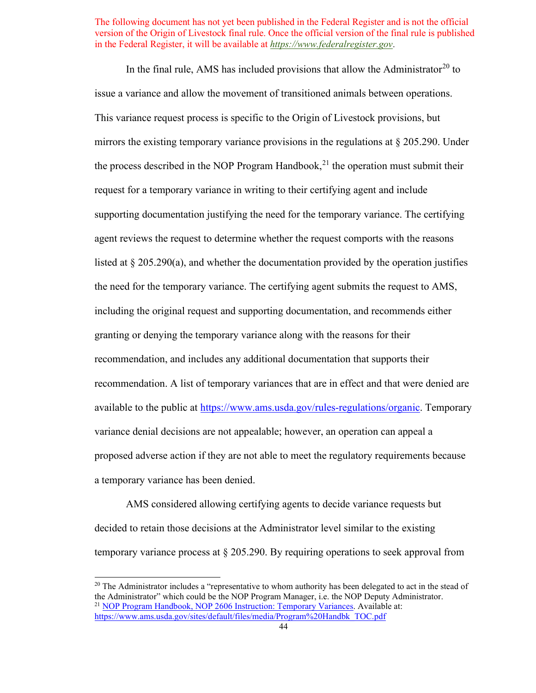In the final rule, AMS has included provisions that allow the Administrator<sup>20</sup> to issue a variance and allow the movement of transitioned animals between operations. This variance request process is specific to the Origin of Livestock provisions, but mirrors the existing temporary variance provisions in the regulations at § 205.290. Under the process described in the NOP Program Handbook,<sup>21</sup> the operation must submit their request for a temporary variance in writing to their certifying agent and include supporting documentation justifying the need for the temporary variance. The certifying agent reviews the request to determine whether the request comports with the reasons listed at  $\S 205.290(a)$ , and whether the documentation provided by the operation justifies the need for the temporary variance. The certifying agent submits the request to AMS, including the original request and supporting documentation, and recommends either granting or denying the temporary variance along with the reasons for their recommendation, and includes any additional documentation that supports their recommendation. A list of temporary variances that are in effect and that were denied are available to the public at [https://www.ams.usda.gov/rules-regulations/organic.](https://www.ams.usda.gov/rules-regulations/organic) Temporary variance denial decisions are not appealable; however, an operation can appeal a proposed adverse action if they are not able to meet the regulatory requirements because a temporary variance has been denied.

AMS considered allowing certifying agents to decide variance requests but decided to retain those decisions at the Administrator level similar to the existing temporary variance process at § 205.290. By requiring operations to seek approval from

<span id="page-43-1"></span><span id="page-43-0"></span> [https://www.ams.usda.gov/sites/default/files/media/Program%20Handbk\\_TOC.pdf](https://www.ams.usda.gov/sites/default/files/media/Program%20Handbk_TOC.pdf) 44  $20$  The Administrator includes a "representative to whom authority has been delegated to act in the stead of t[he Administrator" which could be the NOP Program Manager, i.e. the NO](https://www.ams.usda.gov/sites/default/files/media/2606.pdf)P Deputy Administrator.<br><sup>21</sup> [NOP Program Handbook, NOP 2606 Instruction: Temporary Variances.](https://www.ams.usda.gov/sites/default/files/media/2606.pdf) Available at: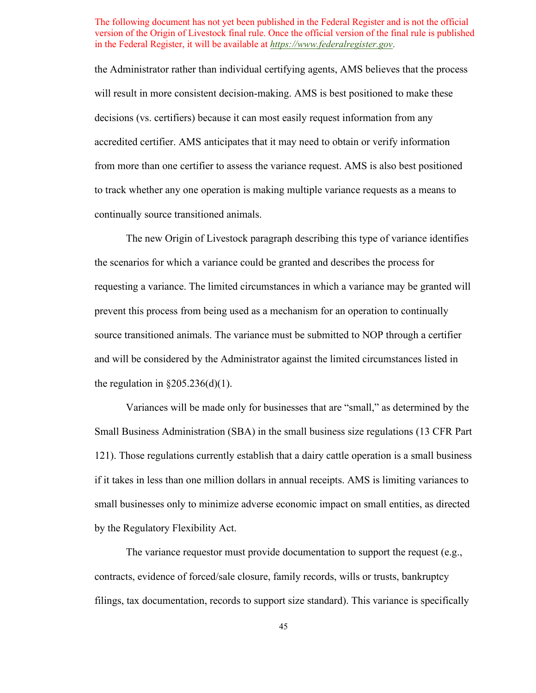the Administrator rather than individual certifying agents, AMS believes that the process will result in more consistent decision-making. AMS is best positioned to make these decisions (vs. certifiers) because it can most easily request information from any accredited certifier. AMS anticipates that it may need to obtain or verify information from more than one certifier to assess the variance request. AMS is also best positioned to track whether any one operation is making multiple variance requests as a means to continually source transitioned animals.

The new Origin of Livestock paragraph describing this type of variance identifies the scenarios for which a variance could be granted and describes the process for requesting a variance. The limited circumstances in which a variance may be granted will prevent this process from being used as a mechanism for an operation to continually source transitioned animals. The variance must be submitted to NOP through a certifier and will be considered by the Administrator against the limited circumstances listed in the regulation in  $\S 205.236(d)(1)$ .

Variances will be made only for businesses that are "small," as determined by the Small Business Administration (SBA) in the small business size regulations (13 CFR Part 121). Those regulations currently establish that a dairy cattle operation is a small business if it takes in less than one million dollars in annual receipts. AMS is limiting variances to small businesses only to minimize adverse economic impact on small entities, as directed by the Regulatory Flexibility Act.

The variance requestor must provide documentation to support the request (e.g., contracts, evidence of forced/sale closure, family records, wills or trusts, bankruptcy filings, tax documentation, records to support size standard). This variance is specifically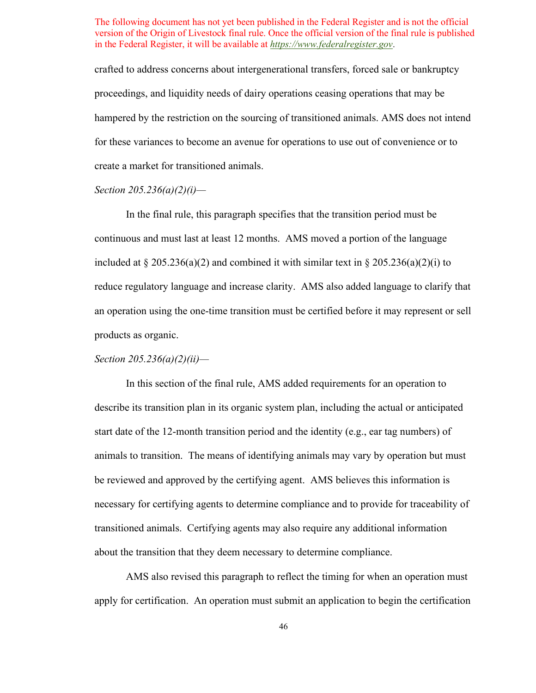crafted to address concerns about intergenerational transfers, forced sale or bankruptcy proceedings, and liquidity needs of dairy operations ceasing operations that may be hampered by the restriction on the sourcing of transitioned animals. AMS does not intend for these variances to become an avenue for operations to use out of convenience or to create a market for transitioned animals.

# *Section 205.236(a)(2)(i)—*

 continuous and must last at least 12 months. AMS moved a portion of the language included at  $\S 205.236(a)(2)$  and combined it with similar text in  $\S 205.236(a)(2)(i)$  to reduce regulatory language and increase clarity. AMS also added language to clarify that In the final rule, this paragraph specifies that the transition period must be an operation using the one-time transition must be certified before it may represent or sell products as organic.

# *Section 205.236(a)(2)(ii)—*

 describe its transition plan in its organic system plan, including the actual or anticipated start date of the 12-month transition period and the identity (e.g., ear tag numbers) of animals to transition. The means of identifying animals may vary by operation but must be reviewed and approved by the certifying agent. AMS believes this information is necessary for certifying agents to determine compliance and to provide for traceability of about the transition that they deem necessary to determine compliance. In this section of the final rule, AMS added requirements for an operation to transitioned animals. Certifying agents may also require any additional information

 apply for certification. An operation must submit an application to begin the certification AMS also revised this paragraph to reflect the timing for when an operation must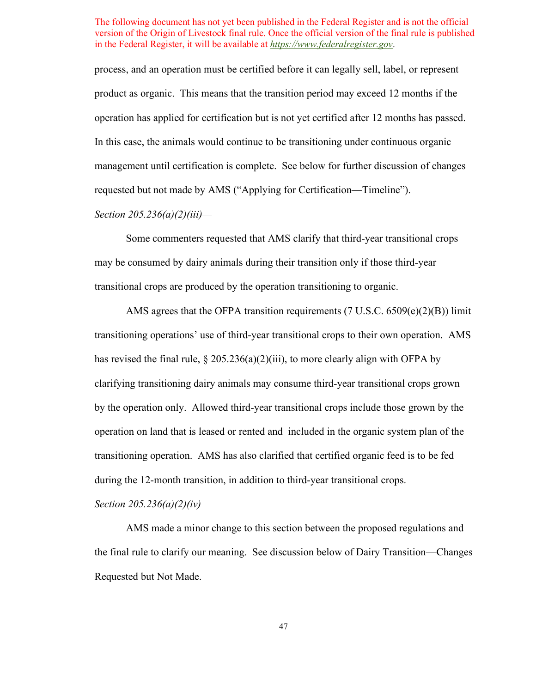product as organic. This means that the transition period may exceed 12 months if the operation has applied for certification but is not yet certified after 12 months has passed. management until certification is complete. See below for further discussion of changes process, and an operation must be certified before it can legally sell, label, or represent In this case, the animals would continue to be transitioning under continuous organic requested but not made by AMS ("Applying for Certification—Timeline").

# *Section 205.236(a)(2)(iii)—*

Some commenters requested that AMS clarify that third-year transitional crops may be consumed by dairy animals during their transition only if those third-year transitional crops are produced by the operation transitioning to organic.

 transitioning operations' use of third-year transitional crops to their own operation. AMS by the operation only. Allowed third-year transitional crops include those grown by the operation on land that is leased or rented and included in the organic system plan of the transitioning operation. AMS has also clarified that certified organic feed is to be fed AMS agrees that the OFPA transition requirements (7 U.S.C. 6509(e)(2)(B)) limit has revised the final rule,  $\S 205.236(a)(2)(iii)$ , to more clearly align with OFPA by clarifying transitioning dairy animals may consume third-year transitional crops grown during the 12-month transition, in addition to third-year transitional crops.

*Section 205.236(a)(2)(iv)* 

 the final rule to clarify our meaning. See discussion below of Dairy Transition—Changes AMS made a minor change to this section between the proposed regulations and Requested but Not Made.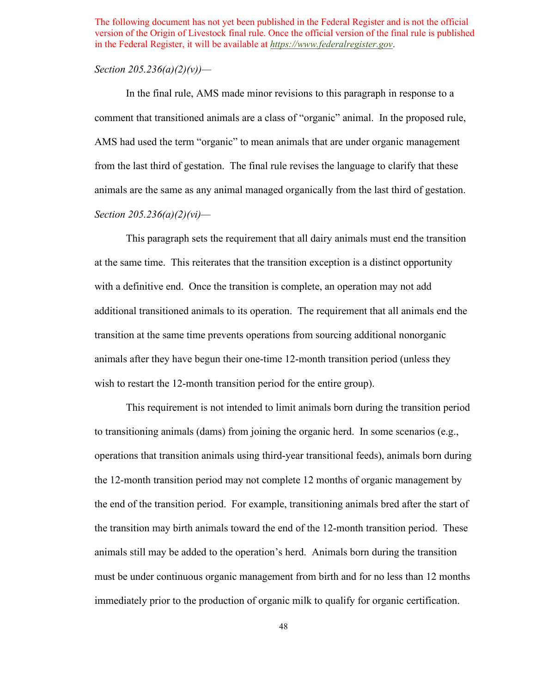### *Section 205.236(a)(2)(v))—*

 comment that transitioned animals are a class of "organic" animal. In the proposed rule, from the last third of gestation. The final rule revises the language to clarify that these animals are the same as any animal managed organically from the last third of gestation. In the final rule, AMS made minor revisions to this paragraph in response to a AMS had used the term "organic" to mean animals that are under organic management *Section 205.236(a)(2)(vi)—* 

 additional transitioned animals to its operation. The requirement that all animals end the This paragraph sets the requirement that all dairy animals must end the transition at the same time. This reiterates that the transition exception is a distinct opportunity with a definitive end. Once the transition is complete, an operation may not add transition at the same time prevents operations from sourcing additional nonorganic animals after they have begun their one-time 12-month transition period (unless they wish to restart the 12-month transition period for the entire group).

 to transitioning animals (dams) from joining the organic herd. In some scenarios (e.g., the end of the transition period. For example, transitioning animals bred after the start of animals still may be added to the operation's herd. Animals born during the transition This requirement is not intended to limit animals born during the transition period operations that transition animals using third-year transitional feeds), animals born during the 12-month transition period may not complete 12 months of organic management by the transition may birth animals toward the end of the 12-month transition period. These must be under continuous organic management from birth and for no less than 12 months immediately prior to the production of organic milk to qualify for organic certification.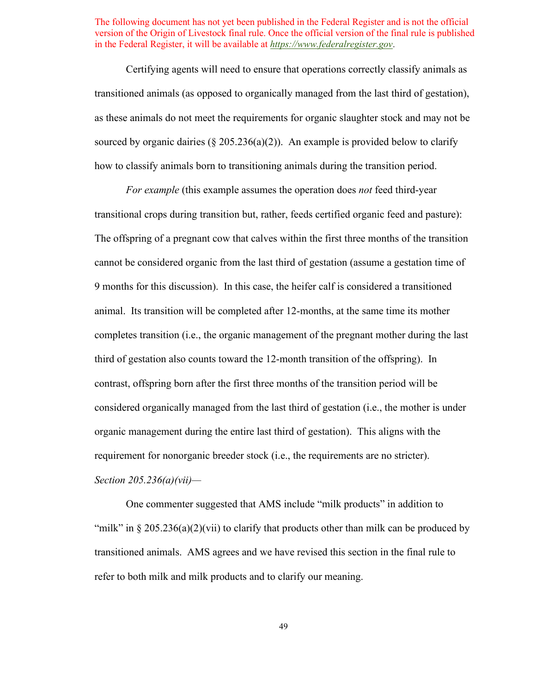transitioned animals (as opposed to organically managed from the last third of gestation), sourced by organic dairies  $(\S 205.236(a)(2))$ . An example is provided below to clarify Certifying agents will need to ensure that operations correctly classify animals as as these animals do not meet the requirements for organic slaughter stock and may not be how to classify animals born to transitioning animals during the transition period.

 *For example* (this example assumes the operation does *not* feed third-year transitional crops during transition but, rather, feeds certified organic feed and pasture): organic management during the entire last third of gestation). This aligns with the The offspring of a pregnant cow that calves within the first three months of the transition cannot be considered organic from the last third of gestation (assume a gestation time of 9 months for this discussion). In this case, the heifer calf is considered a transitioned animal. Its transition will be completed after 12-months, at the same time its mother completes transition (i.e., the organic management of the pregnant mother during the last third of gestation also counts toward the 12-month transition of the offspring). In contrast, offspring born after the first three months of the transition period will be considered organically managed from the last third of gestation (i.e., the mother is under requirement for nonorganic breeder stock (i.e., the requirements are no stricter). *Section 205.236(a)(vii)—* 

 transitioned animals. AMS agrees and we have revised this section in the final rule to One commenter suggested that AMS include "milk products" in addition to "milk" in  $\S 205.236(a)(2)(vii)$  to clarify that products other than milk can be produced by refer to both milk and milk products and to clarify our meaning.

49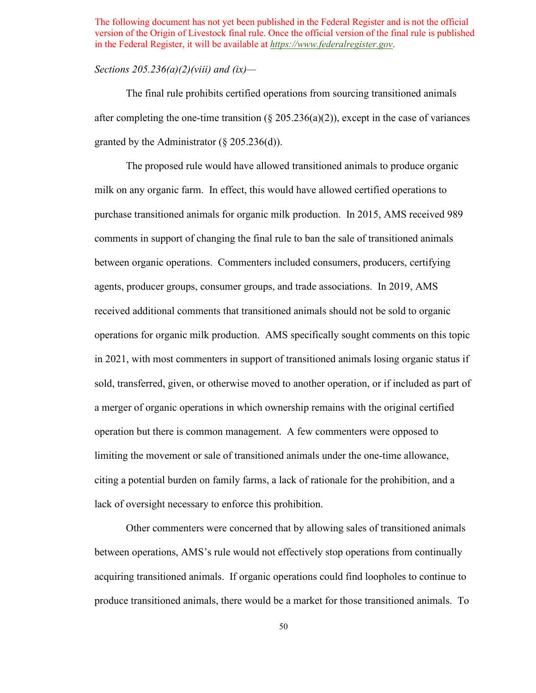# *Sections 205.236(a)(2)(viii) and (ix)—*

after completing the one-time transition  $(\S 205.236(a)(2))$ , except in the case of variances granted by the Administrator  $(\S 205.236(d))$ . The final rule prohibits certified operations from sourcing transitioned animals

 milk on any organic farm. In effect, this would have allowed certified operations to between organic operations. Commenters included consumers, producers, certifying agents, producer groups, consumer groups, and trade associations. In 2019, AMS operations for organic milk production. AMS specifically sought comments on this topic operation but there is common management. A few commenters were opposed to The proposed rule would have allowed transitioned animals to produce organic purchase transitioned animals for organic milk production. In 2015, AMS received 989 comments in support of changing the final rule to ban the sale of transitioned animals received additional comments that transitioned animals should not be sold to organic in 2021, with most commenters in support of transitioned animals losing organic status if sold, transferred, given, or otherwise moved to another operation, or if included as part of a merger of organic operations in which ownership remains with the original certified limiting the movement or sale of transitioned animals under the one-time allowance, citing a potential burden on family farms, a lack of rationale for the prohibition, and a lack of oversight necessary to enforce this prohibition.

 between operations, AMS's rule would not effectively stop operations from continually produce transitioned animals, there would be a market for those transitioned animals. To Other commenters were concerned that by allowing sales of transitioned animals acquiring transitioned animals. If organic operations could find loopholes to continue to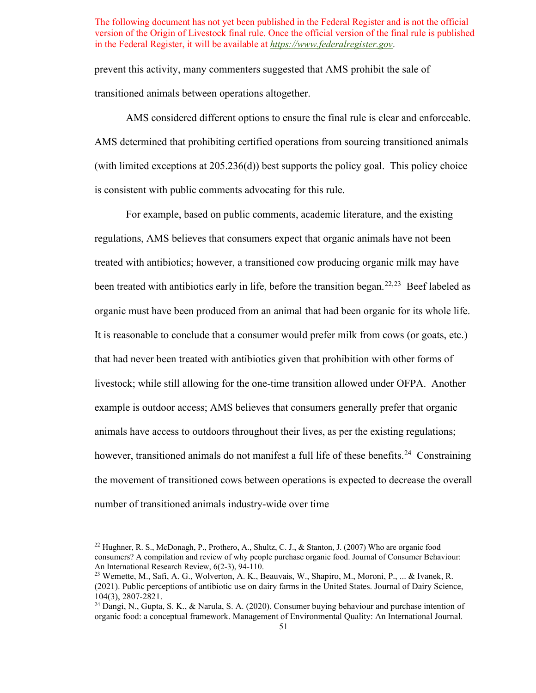prevent this activity, many commenters suggested that AMS prohibit the sale of transitioned animals between operations altogether.

 AMS considered different options to ensure the final rule is clear and enforceable. (with limited exceptions at 205.236(d)) best supports the policy goal. This policy choice is consistent with public comments advocating for this rule. AMS determined that prohibiting certified operations from sourcing transitioned animals

been treated with antibiotics early in life, before the transition began.<sup>[22,](#page-50-0)23</sup> Beef labeled as organic must have been produced from an animal that had been organic for its whole life. livestock; while still allowing for the one-time transition allowed under OFPA. Another animals have access to outdoors throughout their lives, as per the existing regulations; however, transitioned animals do not manifest a full life of these benefits.<sup>[24](#page-50-2)</sup> Constraining number of transitioned animals industry-wide over time For example, based on public comments, academic literature, and the existing regulations, AMS believes that consumers expect that organic animals have not been treated with antibiotics; however, a transitioned cow producing organic milk may have It is reasonable to conclude that a consumer would prefer milk from cows (or goats, etc.) that had never been treated with antibiotics given that prohibition with other forms of example is outdoor access; AMS believes that consumers generally prefer that organic the movement of transitioned cows between operations is expected to decrease the overall

<span id="page-50-0"></span> consumers? A compilation and review of why people purchase organic food. Journal of Consumer Behaviour: An International Research Review, 6(2-3), 94-110. <sup>22</sup> Hughner, R. S., McDonagh, P., Prothero, A., Shultz, C. J., & Stanton, J. (2007) Who are organic food

<span id="page-50-1"></span><sup>&</sup>lt;sup>23</sup> Wemette, M., Safi, A. G., Wolverton, A. K., Beauvais, W., Shapiro, M., Moroni, P., ... & Ivanek, R. (2021). Public perceptions of antibiotic use on dairy farms in the United States. Journal of Dairy Science, 104(3), 2807-2821. 24 Dangi, N., Gupta, S. K., & Narula, S. A. (2020). Consumer buying behaviour and purchase intention of

<span id="page-50-2"></span>organic food: a conceptual framework. Management of Environmental Quality: An International Journal.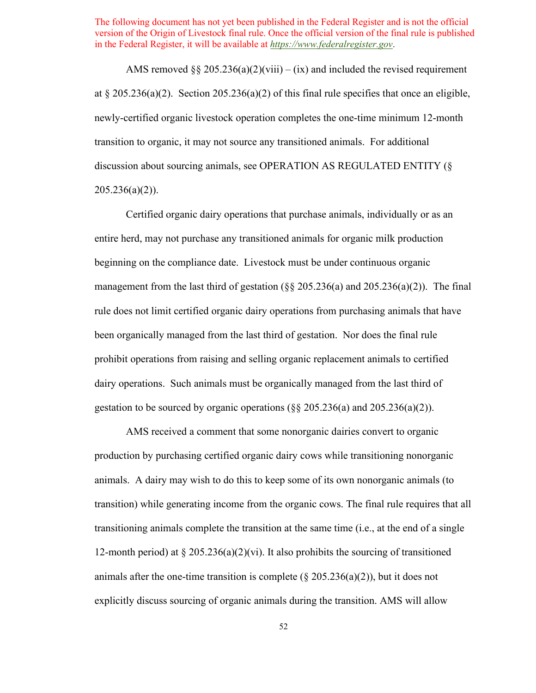AMS removed  $\S § 205.236(a)(2)(viii) - (ix)$  and included the revised requirement at  $\S 205.236(a)(2)$ . Section 205.236(a)(2) of this final rule specifies that once an eligible, newly-certified organic livestock operation completes the one-time minimum 12-month transition to organic, it may not source any transitioned animals. For additional discussion about sourcing animals, see OPERATION AS REGULATED ENTITY (§  $205.236(a)(2)$ ).

 Certified organic dairy operations that purchase animals, individually or as an entire herd, may not purchase any transitioned animals for organic milk production been organically managed from the last third of gestation. Nor does the final rule prohibit operations from raising and selling organic replacement animals to certified dairy operations. Such animals must be organically managed from the last third of beginning on the compliance date. Livestock must be under continuous organic management from the last third of gestation ( $\S$ § 205.236(a) and 205.236(a)(2)). The final rule does not limit certified organic dairy operations from purchasing animals that have gestation to be sourced by organic operations  $(\xi \xi 205.236(a))$  and  $(205.236(a)(2))$ .

 production by purchasing certified organic dairy cows while transitioning nonorganic animals. A dairy may wish to do this to keep some of its own nonorganic animals (to explicitly discuss sourcing of organic animals during the transition. AMS will allow AMS received a comment that some nonorganic dairies convert to organic transition) while generating income from the organic cows. The final rule requires that all transitioning animals complete the transition at the same time (i.e., at the end of a single 12-month period) at  $\S 205.236(a)(2)(vi)$ . It also prohibits the sourcing of transitioned animals after the one-time transition is complete ( $\S 205.236(a)(2)$ ), but it does not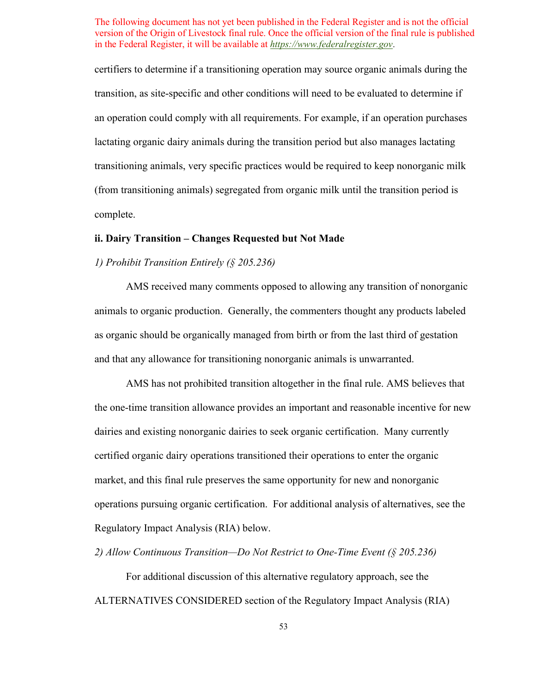transition, as site-specific and other conditions will need to be evaluated to determine if an operation could comply with all requirements. For example, if an operation purchases certifiers to determine if a transitioning operation may source organic animals during the lactating organic dairy animals during the transition period but also manages lactating transitioning animals, very specific practices would be required to keep nonorganic milk (from transitioning animals) segregated from organic milk until the transition period is complete.

# **ii. Dairy Transition – Changes Requested but Not Made**

# *1) Prohibit Transition Entirely (§ 205.236)*

 AMS received many comments opposed to allowing any transition of nonorganic animals to organic production. Generally, the commenters thought any products labeled as organic should be organically managed from birth or from the last third of gestation and that any allowance for transitioning nonorganic animals is unwarranted.

 AMS has not prohibited transition altogether in the final rule. AMS believes that dairies and existing nonorganic dairies to seek organic certification. Many currently market, and this final rule preserves the same opportunity for new and nonorganic operations pursuing organic certification. For additional analysis of alternatives, see the Regulatory Impact Analysis (RIA) below. the one-time transition allowance provides an important and reasonable incentive for new certified organic dairy operations transitioned their operations to enter the organic

 *2) Allow Continuous Transition—Do Not Restrict to One-Time Event (§ 205.236)* 

For additional discussion of this alternative regulatory approach, see the ALTERNATIVES CONSIDERED section of the Regulatory Impact Analysis (RIA)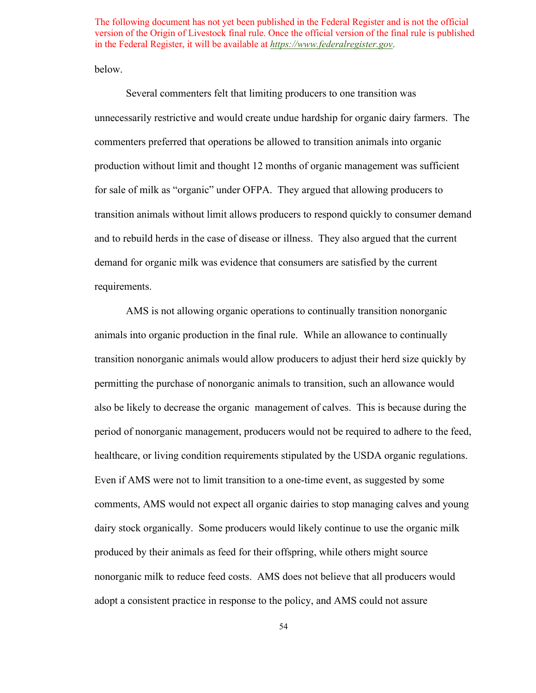below.

 and to rebuild herds in the case of disease or illness. They also argued that the current demand for organic milk was evidence that consumers are satisfied by the current Several commenters felt that limiting producers to one transition was unnecessarily restrictive and would create undue hardship for organic dairy farmers. The commenters preferred that operations be allowed to transition animals into organic production without limit and thought 12 months of organic management was sufficient for sale of milk as "organic" under OFPA. They argued that allowing producers to transition animals without limit allows producers to respond quickly to consumer demand requirements.

 animals into organic production in the final rule. While an allowance to continually permitting the purchase of nonorganic animals to transition, such an allowance would also be likely to decrease the organic management of calves. This is because during the healthcare, or living condition requirements stipulated by the USDA organic regulations. Even if AMS were not to limit transition to a one-time event, as suggested by some dairy stock organically. Some producers would likely continue to use the organic milk produced by their animals as feed for their offspring, while others might source nonorganic milk to reduce feed costs. AMS does not believe that all producers would AMS is not allowing organic operations to continually transition nonorganic transition nonorganic animals would allow producers to adjust their herd size quickly by period of nonorganic management, producers would not be required to adhere to the feed, comments, AMS would not expect all organic dairies to stop managing calves and young adopt a consistent practice in response to the policy, and AMS could not assure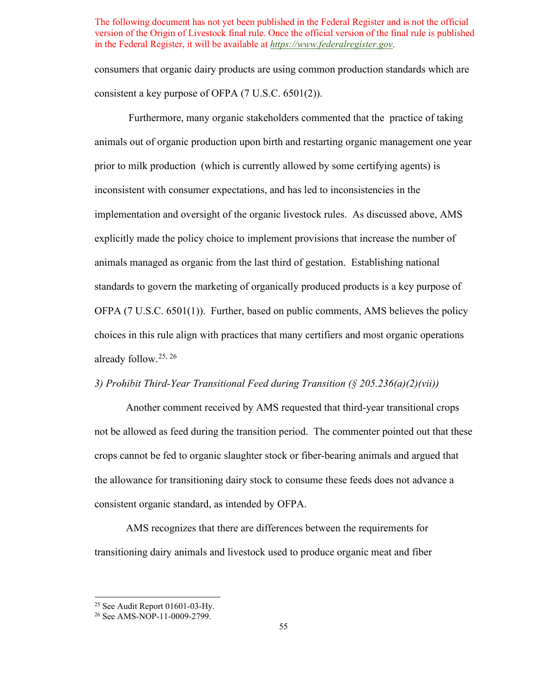consumers that organic dairy products are using common production standards which are consistent a key purpose of OFPA (7 U.S.C. 6501(2)).

 Furthermore, many organic stakeholders commented that the practice of taking animals out of organic production upon birth and restarting organic management one year prior to milk production (which is currently allowed by some certifying agents) is animals managed as organic from the last third of gestation. Establishing national standards to govern the marketing of organically produced products is a key purpose of OFPA (7 U.S.C. 6501(1)). Further, based on public comments, AMS believes the policy choices in this rule align with practices that many certifiers and most organic operations already follow.[25](#page-54-0), [26](#page-54-1)  inconsistent with consumer expectations, and has led to inconsistencies in the implementation and oversight of the organic livestock rules. As discussed above, AMS explicitly made the policy choice to implement provisions that increase the number of

# *3) Prohibit Third-Year Transitional Feed during Transition (§ 205.236(a)(2)(vii))*

 not be allowed as feed during the transition period. The commenter pointed out that these consistent organic standard, as intended by OFPA. Another comment received by AMS requested that third-year transitional crops crops cannot be fed to organic slaughter stock or fiber-bearing animals and argued that the allowance for transitioning dairy stock to consume these feeds does not advance a

 transitioning dairy animals and livestock used to produce organic meat and fiber AMS recognizes that there are differences between the requirements for

<span id="page-54-0"></span><sup>&</sup>lt;sup>25</sup> See Audit Report 01601-03-Hy.<br><sup>26</sup> See AMS-NOP-11-0009-2799.

<span id="page-54-1"></span>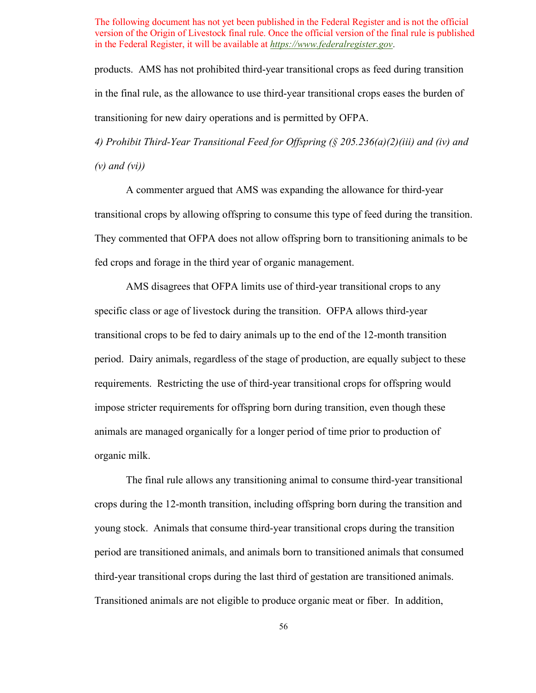products. AMS has not prohibited third-year transitional crops as feed during transition in the final rule, as the allowance to use third-year transitional crops eases the burden of transitioning for new dairy operations and is permitted by OFPA.

*4) Prohibit Third-Year Transitional Feed for Offspring (§ 205.236(a)(2)(iii) and (iv) and (v) and (vi))* 

 A commenter argued that AMS was expanding the allowance for third-year transitional crops by allowing offspring to consume this type of feed during the transition. fed crops and forage in the third year of organic management. They commented that OFPA does not allow offspring born to transitioning animals to be

 specific class or age of livestock during the transition. OFPA allows third-year period. Dairy animals, regardless of the stage of production, are equally subject to these requirements. Restricting the use of third-year transitional crops for offspring would AMS disagrees that OFPA limits use of third-year transitional crops to any transitional crops to be fed to dairy animals up to the end of the 12-month transition impose stricter requirements for offspring born during transition, even though these animals are managed organically for a longer period of time prior to production of organic milk.

 third-year transitional crops during the last third of gestation are transitioned animals. Transitioned animals are not eligible to produce organic meat or fiber. In addition, The final rule allows any transitioning animal to consume third-year transitional crops during the 12-month transition, including offspring born during the transition and young stock. Animals that consume third-year transitional crops during the transition period are transitioned animals, and animals born to transitioned animals that consumed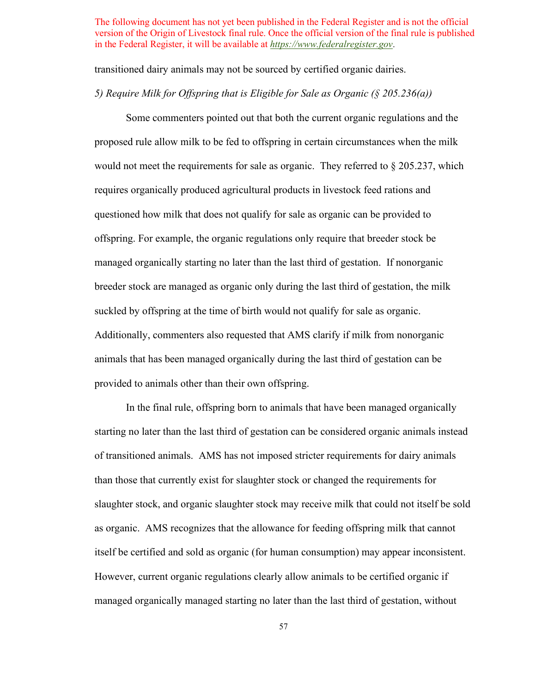transitioned dairy animals may not be sourced by certified organic dairies.

# *5) Require Milk for Offspring that is Eligible for Sale as Organic (§ 205.236(a))*

 would not meet the requirements for sale as organic. They referred to § 205.237, which questioned how milk that does not qualify for sale as organic can be provided to offspring. For example, the organic regulations only require that breeder stock be managed organically starting no later than the last third of gestation. If nonorganic Some commenters pointed out that both the current organic regulations and the proposed rule allow milk to be fed to offspring in certain circumstances when the milk requires organically produced agricultural products in livestock feed rations and breeder stock are managed as organic only during the last third of gestation, the milk suckled by offspring at the time of birth would not qualify for sale as organic. Additionally, commenters also requested that AMS clarify if milk from nonorganic animals that has been managed organically during the last third of gestation can be provided to animals other than their own offspring.

 starting no later than the last third of gestation can be considered organic animals instead than those that currently exist for slaughter stock or changed the requirements for as organic. AMS recognizes that the allowance for feeding offspring milk that cannot In the final rule, offspring born to animals that have been managed organically of transitioned animals. AMS has not imposed stricter requirements for dairy animals slaughter stock, and organic slaughter stock may receive milk that could not itself be sold itself be certified and sold as organic (for human consumption) may appear inconsistent. However, current organic regulations clearly allow animals to be certified organic if managed organically managed starting no later than the last third of gestation, without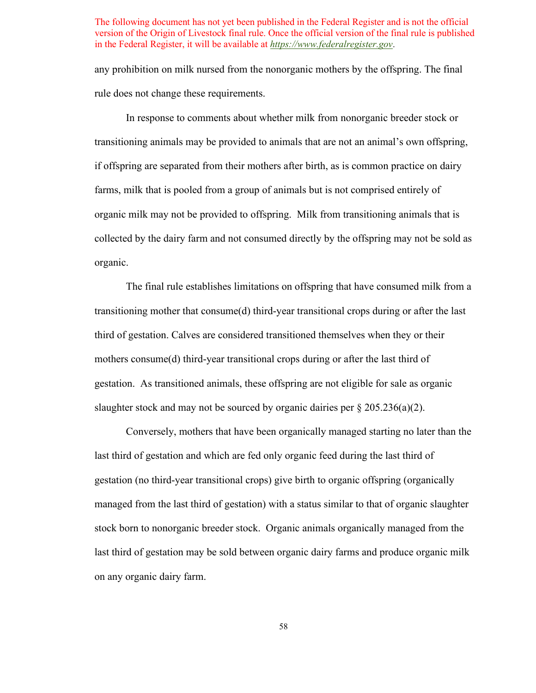any prohibition on milk nursed from the nonorganic mothers by the offspring. The final rule does not change these requirements.

 transitioning animals may be provided to animals that are not an animal's own offspring, farms, milk that is pooled from a group of animals but is not comprised entirely of organic milk may not be provided to offspring. Milk from transitioning animals that is In response to comments about whether milk from nonorganic breeder stock or if offspring are separated from their mothers after birth, as is common practice on dairy collected by the dairy farm and not consumed directly by the offspring may not be sold as organic.

 mothers consume(d) third-year transitional crops during or after the last third of The final rule establishes limitations on offspring that have consumed milk from a transitioning mother that consume(d) third-year transitional crops during or after the last third of gestation. Calves are considered transitioned themselves when they or their gestation. As transitioned animals, these offspring are not eligible for sale as organic slaughter stock and may not be sourced by organic dairies per  $\S 205.236(a)(2)$ .

Conversely, mothers that have been organically managed starting no later than the Conversely, mothers that have been organically managed starting no later than the last third of gestation and which are fed only organic feed during the last third of on any organic dairy farm. gestation (no third-year transitional crops) give birth to organic offspring (organically managed from the last third of gestation) with a status similar to that of organic slaughter stock born to nonorganic breeder stock. Organic animals organically managed from the last third of gestation may be sold between organic dairy farms and produce organic milk on any organic dairy farm.<br>
58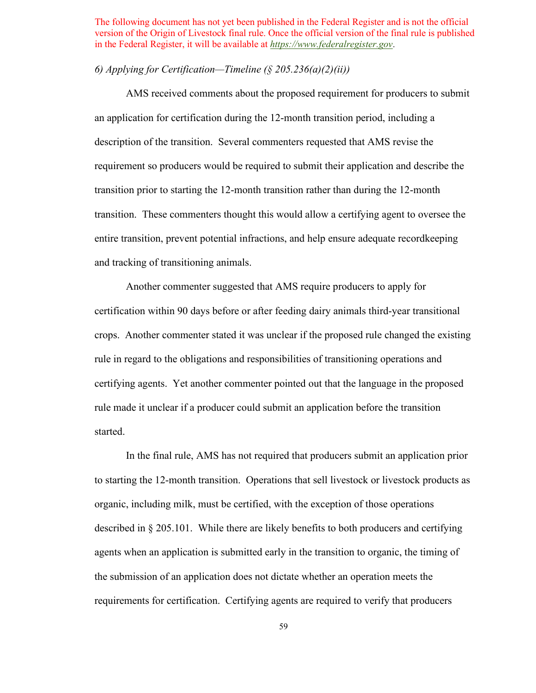# *6) Applying for Certification—Timeline (§ 205.236(a)(2)(ii))*

 AMS received comments about the proposed requirement for producers to submit an application for certification during the 12-month transition period, including a description of the transition. Several commenters requested that AMS revise the requirement so producers would be required to submit their application and describe the transition prior to starting the 12-month transition rather than during the 12-month transition. These commenters thought this would allow a certifying agent to oversee the entire transition, prevent potential infractions, and help ensure adequate recordkeeping and tracking of transitioning animals.

 Another commenter suggested that AMS require producers to apply for crops. Another commenter stated it was unclear if the proposed rule changed the existing rule made it unclear if a producer could submit an application before the transition certification within 90 days before or after feeding dairy animals third-year transitional rule in regard to the obligations and responsibilities of transitioning operations and certifying agents. Yet another commenter pointed out that the language in the proposed started.

 to starting the 12-month transition. Operations that sell livestock or livestock products as organic, including milk, must be certified, with the exception of those operations described in § 205.101. While there are likely benefits to both producers and certifying requirements for certification. Certifying agents are required to verify that producers In the final rule, AMS has not required that producers submit an application prior agents when an application is submitted early in the transition to organic, the timing of the submission of an application does not dictate whether an operation meets the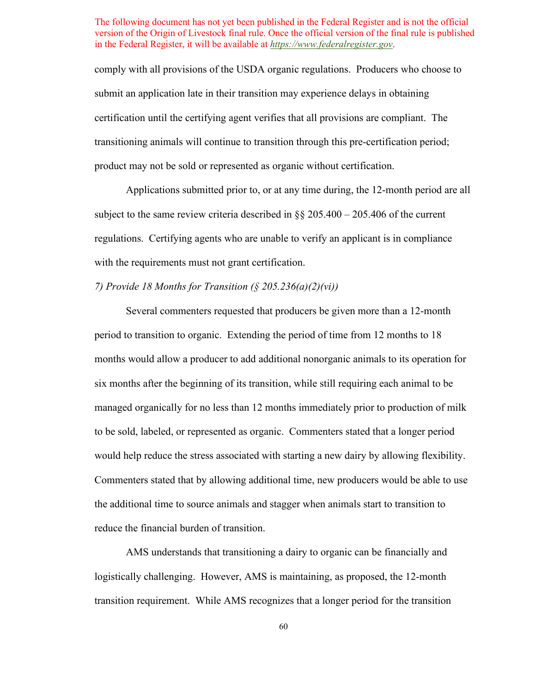comply with all provisions of the USDA organic regulations. Producers who choose to submit an application late in their transition may experience delays in obtaining certification until the certifying agent verifies that all provisions are compliant. The transitioning animals will continue to transition through this pre-certification period; product may not be sold or represented as organic without certification.

 subject to the same review criteria described in §§ 205.400 – 205.406 of the current Applications submitted prior to, or at any time during, the 12-month period are all regulations. Certifying agents who are unable to verify an applicant is in compliance with the requirements must not grant certification.

# *7) Provide 18 Months for Transition (§ 205.236(a)(2)(vi))*

 period to transition to organic. Extending the period of time from 12 months to 18 six months after the beginning of its transition, while still requiring each animal to be the additional time to source animals and stagger when animals start to transition to Several commenters requested that producers be given more than a 12-month months would allow a producer to add additional nonorganic animals to its operation for managed organically for no less than 12 months immediately prior to production of milk to be sold, labeled, or represented as organic. Commenters stated that a longer period would help reduce the stress associated with starting a new dairy by allowing flexibility. Commenters stated that by allowing additional time, new producers would be able to use reduce the financial burden of transition.

 transition requirement. While AMS recognizes that a longer period for the transition AMS understands that transitioning a dairy to organic can be financially and logistically challenging. However, AMS is maintaining, as proposed, the 12-month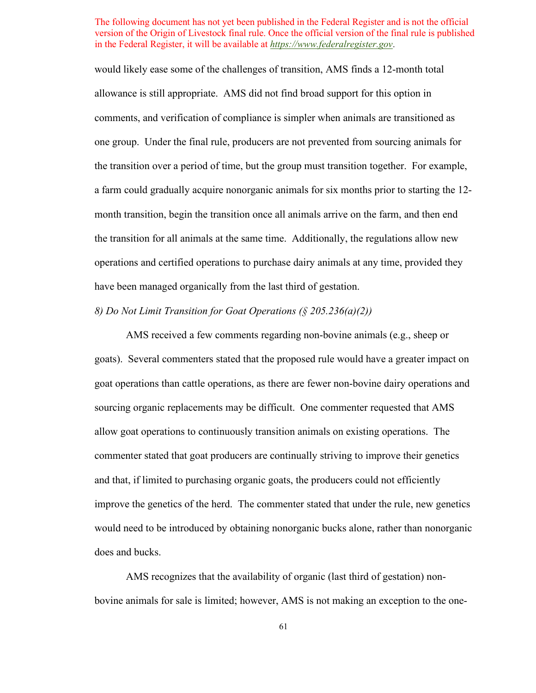allowance is still appropriate. AMS did not find broad support for this option in comments, and verification of compliance is simpler when animals are transitioned as one group. Under the final rule, producers are not prevented from sourcing animals for month transition, begin the transition once all animals arrive on the farm, and then end the transition for all animals at the same time. Additionally, the regulations allow new operations and certified operations to purchase dairy animals at any time, provided they would likely ease some of the challenges of transition, AMS finds a 12-month total the transition over a period of time, but the group must transition together. For example, a farm could gradually acquire nonorganic animals for six months prior to starting the 12 have been managed organically from the last third of gestation.

# *8) Do Not Limit Transition for Goat Operations (§ 205.236(a)(2))*

 goats). Several commenters stated that the proposed rule would have a greater impact on allow goat operations to continuously transition animals on existing operations. The AMS received a few comments regarding non-bovine animals (e.g., sheep or goat operations than cattle operations, as there are fewer non-bovine dairy operations and sourcing organic replacements may be difficult. One commenter requested that AMS commenter stated that goat producers are continually striving to improve their genetics and that, if limited to purchasing organic goats, the producers could not efficiently improve the genetics of the herd. The commenter stated that under the rule, new genetics would need to be introduced by obtaining nonorganic bucks alone, rather than nonorganic does and bucks.

AMS recognizes that the availability of organic (last third of gestation) nonbovine animals for sale is limited; however, AMS is not making an exception to the one-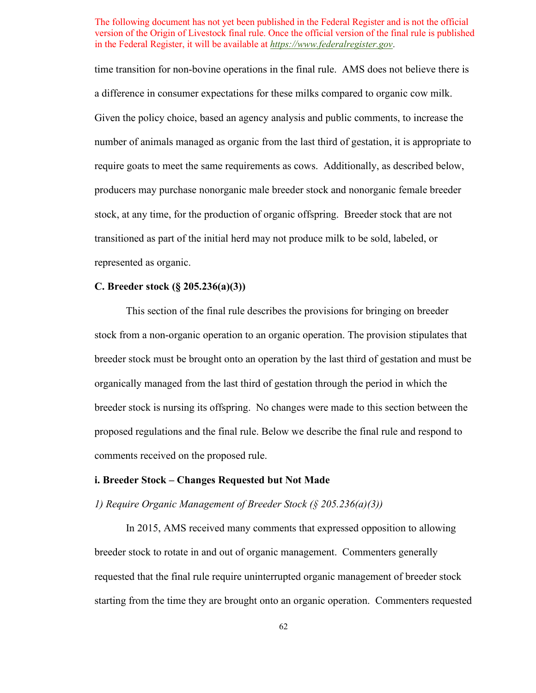a difference in consumer expectations for these milks compared to organic cow milk. stock, at any time, for the production of organic offspring. Breeder stock that are not time transition for non-bovine operations in the final rule. AMS does not believe there is Given the policy choice, based an agency analysis and public comments, to increase the number of animals managed as organic from the last third of gestation, it is appropriate to require goats to meet the same requirements as cows. Additionally, as described below, producers may purchase nonorganic male breeder stock and nonorganic female breeder transitioned as part of the initial herd may not produce milk to be sold, labeled, or represented as organic.

# **C. Breeder stock (§ 205.236(a)(3))**

 stock from a non-organic operation to an organic operation. The provision stipulates that proposed regulations and the final rule. Below we describe the final rule and respond to This section of the final rule describes the provisions for bringing on breeder breeder stock must be brought onto an operation by the last third of gestation and must be organically managed from the last third of gestation through the period in which the breeder stock is nursing its offspring. No changes were made to this section between the comments received on the proposed rule.

# **i. Breeder Stock – Changes Requested but Not Made**

# *1) Require Organic Management of Breeder Stock (§ 205.236(a)(3))*

 breeder stock to rotate in and out of organic management. Commenters generally In 2015, AMS received many comments that expressed opposition to allowing requested that the final rule require uninterrupted organic management of breeder stock starting from the time they are brought onto an organic operation. Commenters requested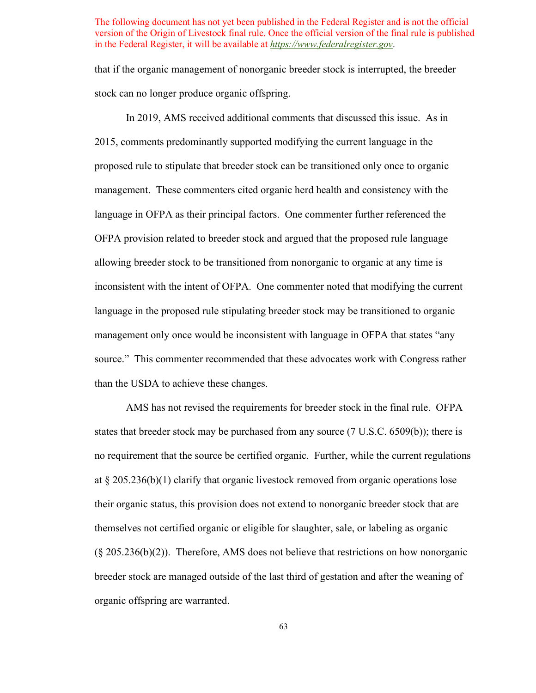that if the organic management of nonorganic breeder stock is interrupted, the breeder stock can no longer produce organic offspring.

 In 2019, AMS received additional comments that discussed this issue. As in management. These commenters cited organic herd health and consistency with the OFPA provision related to breeder stock and argued that the proposed rule language 2015, comments predominantly supported modifying the current language in the proposed rule to stipulate that breeder stock can be transitioned only once to organic language in OFPA as their principal factors. One commenter further referenced the allowing breeder stock to be transitioned from nonorganic to organic at any time is inconsistent with the intent of OFPA. One commenter noted that modifying the current language in the proposed rule stipulating breeder stock may be transitioned to organic management only once would be inconsistent with language in OFPA that states "any source." This commenter recommended that these advocates work with Congress rather than the USDA to achieve these changes.

 AMS has not revised the requirements for breeder stock in the final rule. OFPA  $(\S 205.236(b)(2))$ . Therefore, AMS does not believe that restrictions on how nonorganic breeder stock are managed outside of the last third of gestation and after the weaning of states that breeder stock may be purchased from any source (7 U.S.C. 6509(b)); there is no requirement that the source be certified organic. Further, while the current regulations at § 205.236(b)(1) clarify that organic livestock removed from organic operations lose their organic status, this provision does not extend to nonorganic breeder stock that are themselves not certified organic or eligible for slaughter, sale, or labeling as organic organic offspring are warranted.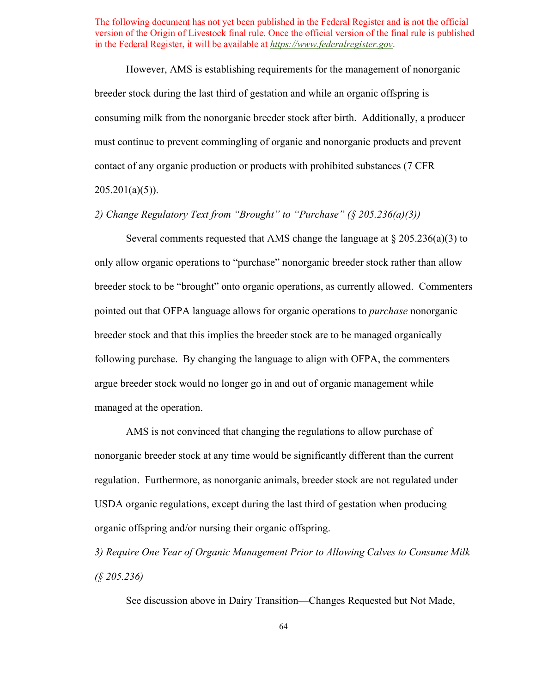consuming milk from the nonorganic breeder stock after birth. Additionally, a producer must continue to prevent commingling of organic and nonorganic products and prevent However, AMS is establishing requirements for the management of nonorganic breeder stock during the last third of gestation and while an organic offspring is contact of any organic production or products with prohibited substances (7 CFR  $205.201(a)(5)$ ).

 *2) Change Regulatory Text from "Brought" to "Purchase" (§ 205.236(a)(3))* 

 pointed out that OFPA language allows for organic operations to *purchase* nonorganic following purchase. By changing the language to align with OFPA, the commenters Several comments requested that AMS change the language at  $\S 205.236(a)(3)$  to only allow organic operations to "purchase" nonorganic breeder stock rather than allow breeder stock to be "brought" onto organic operations, as currently allowed. Commenters breeder stock and that this implies the breeder stock are to be managed organically argue breeder stock would no longer go in and out of organic management while managed at the operation.

 regulation. Furthermore, as nonorganic animals, breeder stock are not regulated under AMS is not convinced that changing the regulations to allow purchase of nonorganic breeder stock at any time would be significantly different than the current USDA organic regulations, except during the last third of gestation when producing organic offspring and/or nursing their organic offspring.

 *(§ 205.236) 3) Require One Year of Organic Management Prior to Allowing Calves to Consume Milk* 

See discussion above in Dairy Transition—Changes Requested but Not Made,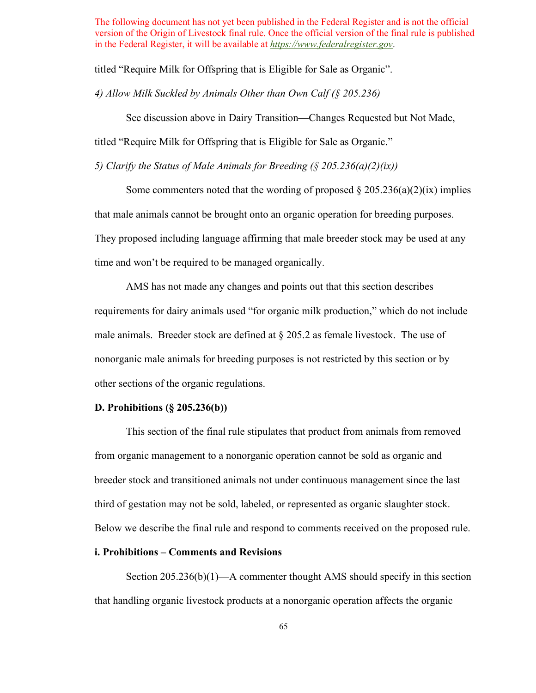titled "Require Milk for Offspring that is Eligible for Sale as Organic".

 *4) Allow Milk Suckled by Animals Other than Own Calf (§ 205.236)* 

See discussion above in Dairy Transition—Changes Requested but Not Made,

titled "Require Milk for Offspring that is Eligible for Sale as Organic."

 *5) Clarify the Status of Male Animals for Breeding (§ 205.236(a)(2)(ix))* 

Some commenters noted that the wording of proposed  $\S 205.236(a)(2)(ix)$  implies that male animals cannot be brought onto an organic operation for breeding purposes. They proposed including language affirming that male breeder stock may be used at any time and won't be required to be managed organically.

 male animals. Breeder stock are defined at § 205.2 as female livestock. The use of AMS has not made any changes and points out that this section describes requirements for dairy animals used "for organic milk production," which do not include nonorganic male animals for breeding purposes is not restricted by this section or by other sections of the organic regulations.

#### **D. Prohibitions (§ 205.236(b))**

This section of the final rule stipulates that product from animals from removed from organic management to a nonorganic operation cannot be sold as organic and breeder stock and transitioned animals not under continuous management since the last third of gestation may not be sold, labeled, or represented as organic slaughter stock. Below we describe the final rule and respond to comments received on the proposed rule.

#### **i. Prohibitions – Comments and Revisions**

Section 205.236(b)(1)—A commenter thought AMS should specify in this section that handling organic livestock products at a nonorganic operation affects the organic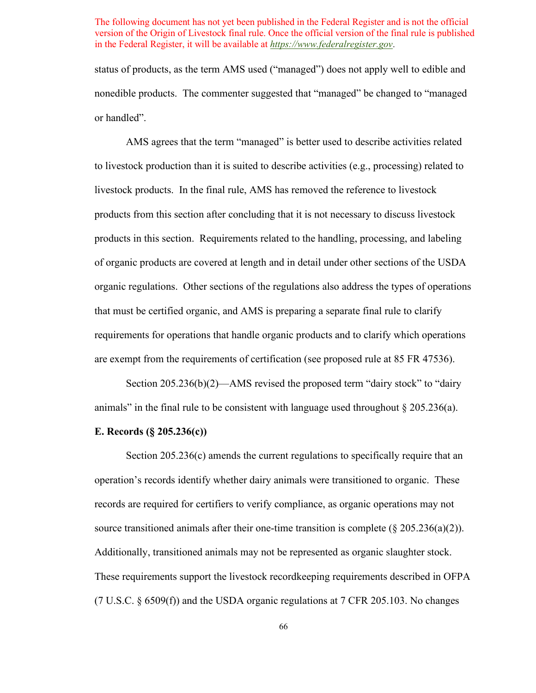status of products, as the term AMS used ("managed") does not apply well to edible and nonedible products. The commenter suggested that "managed" be changed to "managed or handled".

 livestock products. In the final rule, AMS has removed the reference to livestock products in this section. Requirements related to the handling, processing, and labeling of organic products are covered at length and in detail under other sections of the USDA organic regulations. Other sections of the regulations also address the types of operations AMS agrees that the term "managed" is better used to describe activities related to livestock production than it is suited to describe activities (e.g., processing) related to products from this section after concluding that it is not necessary to discuss livestock that must be certified organic, and AMS is preparing a separate final rule to clarify requirements for operations that handle organic products and to clarify which operations are exempt from the requirements of certification (see proposed rule at 85 FR 47536).

Section 205.236(b)(2)—AMS revised the proposed term "dairy stock" to "dairy animals" in the final rule to be consistent with language used throughout  $\S 205.236(a)$ .

#### **E. Records (§ 205.236(c))**

 records are required for certifiers to verify compliance, as organic operations may not Additionally, transitioned animals may not be represented as organic slaughter stock. Section 205.236(c) amends the current regulations to specifically require that an operation's records identify whether dairy animals were transitioned to organic. These source transitioned animals after their one-time transition is complete ( $\S 205.236(a)(2)$ ). These requirements support the livestock recordkeeping requirements described in OFPA (7 U.S.C.  $\S 6509(f)$ ) and the USDA organic regulations at 7 CFR 205.103. No changes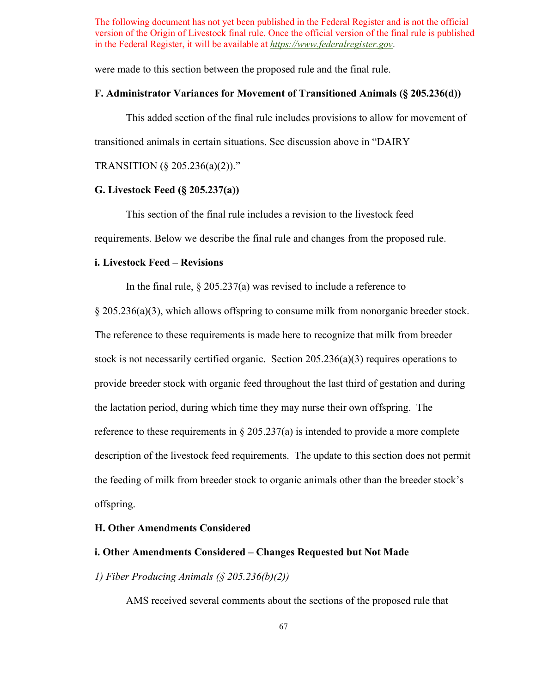were made to this section between the proposed rule and the final rule.

# **F. Administrator Variances for Movement of Transitioned Animals (§ 205.236(d))**

This added section of the final rule includes provisions to allow for movement of transitioned animals in certain situations. See discussion above in "DAIRY

# TRANSITION (§ 205.236(a)(2))."

# **G. Livestock Feed (§ 205.237(a))**

 requirements. Below we describe the final rule and changes from the proposed rule. This section of the final rule includes a revision to the livestock feed

# **i. Livestock Feed – Revisions**

In the final rule,  $\S 205.237(a)$  was revised to include a reference to

 § 205.236(a)(3), which allows offspring to consume milk from nonorganic breeder stock. The reference to these requirements is made here to recognize that milk from breeder the lactation period, during which time they may nurse their own offspring. The reference to these requirements in  $\S 205.237(a)$  is intended to provide a more complete description of the livestock feed requirements. The update to this section does not permit stock is not necessarily certified organic. Section 205.236(a)(3) requires operations to provide breeder stock with organic feed throughout the last third of gestation and during the feeding of milk from breeder stock to organic animals other than the breeder stock's offspring.

# **H. Other Amendments Considered**

# **i. Other Amendments Considered – Changes Requested but Not Made**

# *1) Fiber Producing Animals (§ 205.236(b)(2))*

AMS received several comments about the sections of the proposed rule that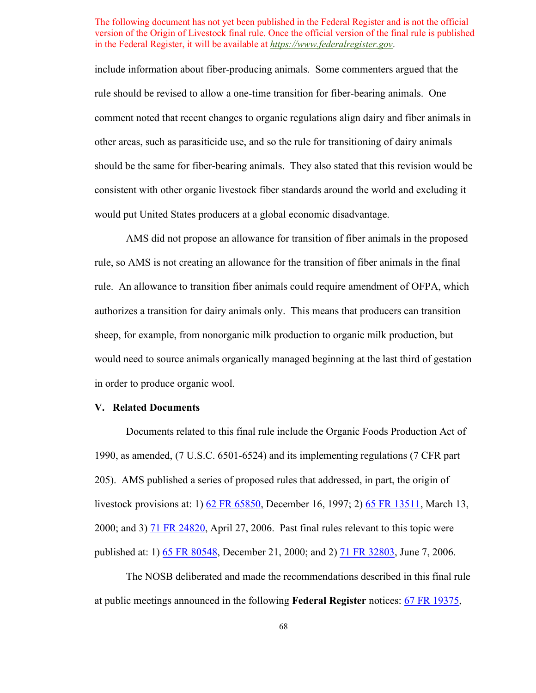include information about fiber-producing animals. Some commenters argued that the rule should be revised to allow a one-time transition for fiber-bearing animals. One comment noted that recent changes to organic regulations align dairy and fiber animals in other areas, such as parasiticide use, and so the rule for transitioning of dairy animals should be the same for fiber-bearing animals. They also stated that this revision would be consistent with other organic livestock fiber standards around the world and excluding it would put United States producers at a global economic disadvantage.

AMS did not propose an allowance for transition of fiber animals in the proposed rule, so AMS is not creating an allowance for the transition of fiber animals in the final rule. An allowance to transition fiber animals could require amendment of OFPA, which authorizes a transition for dairy animals only. This means that producers can transition sheep, for example, from nonorganic milk production to organic milk production, but would need to source animals organically managed beginning at the last third of gestation in order to produce organic wool.

# **V. Related Documents**

 205). AMS published a series of proposed rules that addressed, in part, the origin of Documents related to this final rule include the Organic Foods Production Act of 1990, as amended, (7 U.S.C. 6501-6524) and its implementing regulations (7 CFR part livestock provisions at: 1) [62 FR 65850,](https://www.federalregister.gov/documents/1997/12/16/97-32322/national-organic-program) December 16, 1997; 2) [65 FR 13511,](https://www.federalregister.gov/documents/2000/03/13/00-5723/national-organic-program) March 13, 2000; and 3)  $\frac{71 \text{ FR } 24820}{21}$ , April 27, 2006. Past final rules relevant to this topic were published at: 1) [65 FR 80548,](https://www.federalregister.gov/documents/2000/12/21/00-32257/national-organic-program) December 21, 2000; and 2) [71 FR 32803,](https://www.federalregister.gov/documents/2006/06/07/06-5203/national-organic-program-revisions-to-livestock-standards-based-on-court-order-harvey-v-johanns-and) June 7, 2006.

 The NOSB deliberated and made the recommendations described in this final rule at public meetings announced in the following **Federal Register** notices: [67 FR 19375,](https://www.federalregister.gov/documents/2002/04/19/02-9576/notice-of-meeting-of-the-national-organic-standards-board)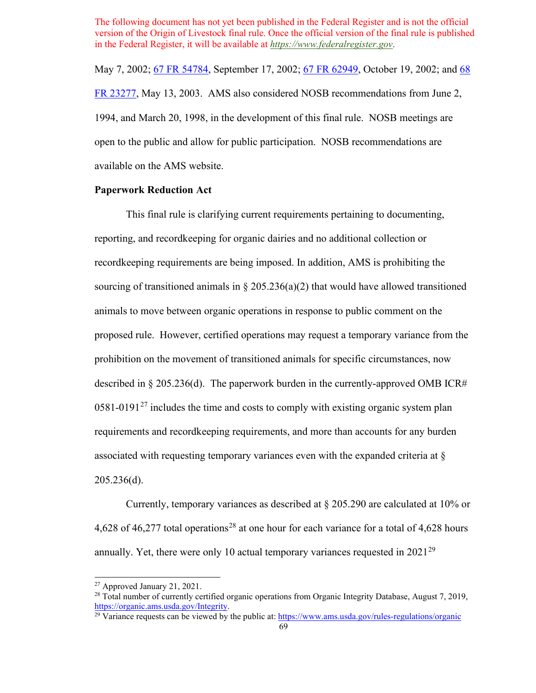1994, and March 20, 1998, in the development of this final rule. NOSB meetings are May 7, 2002; [67 FR 54784,](https://www.federalregister.gov/documents/2002/08/26/02-21610/notice-of-organic-certification-cost-share-program) September 17, 2002; [67 FR 62949,](https://www.federalregister.gov/documents/2002/10/09/02-25678/notice-of-meeting-of-the-national-organic-standards-board) October 19, 2002; and 68 [FR 23277,](https://www.federalregister.gov/documents/2003/05/01/03-10871/notice-of-meeting-of-the-national-organic-standards-board) May 13, 2003. AMS also considered NOSB recommendations from June 2, open to the public and allow for public participation. NOSB recommendations are available on the AMS website.

# **Paperwork Reduction Act**

This final rule is clarifying current requirements pertaining to documenting, reporting, and recordkeeping for organic dairies and no additional collection or recordkeeping requirements are being imposed. In addition, AMS is prohibiting the sourcing of transitioned animals in  $\S 205.236(a)(2)$  that would have allowed transitioned animals to move between organic operations in response to public comment on the proposed rule. However, certified operations may request a temporary variance from the prohibition on the movement of transitioned animals for specific circumstances, now described in § 205.236(d). The paperwork burden in the currently-approved OMB ICR#  $0581-0191<sup>27</sup>$  includes the time and costs to comply with existing organic system plan requirements and recordkeeping requirements, and more than accounts for any burden associated with requesting temporary variances even with the expanded criteria at § 205.236(d).

 Currently, temporary variances as described at § 205.290 are calculated at 10% or 4,6[28](#page-68-1) of 46,277 total operations<sup>28</sup> at one hour for each variance for a total of 4,628 hours annually. Yet, there were only 10 actual temporary variances requested in  $2021^{29}$ 

<span id="page-68-1"></span><span id="page-68-0"></span><sup>&</sup>lt;sup>27</sup> Approved January 21, 2021.<br><sup>28</sup> Total number of currently certified organic operations from Organic Integrity Database, August 7, 2019, [https://organic.ams.usda.gov/Integrity.](https://organic.ams.usda.gov/Integrity)<br><sup>29</sup> Variance requests can be viewed by the public at:<https://www.ams.usda.gov/rules-regulations/organic>69

<span id="page-68-2"></span>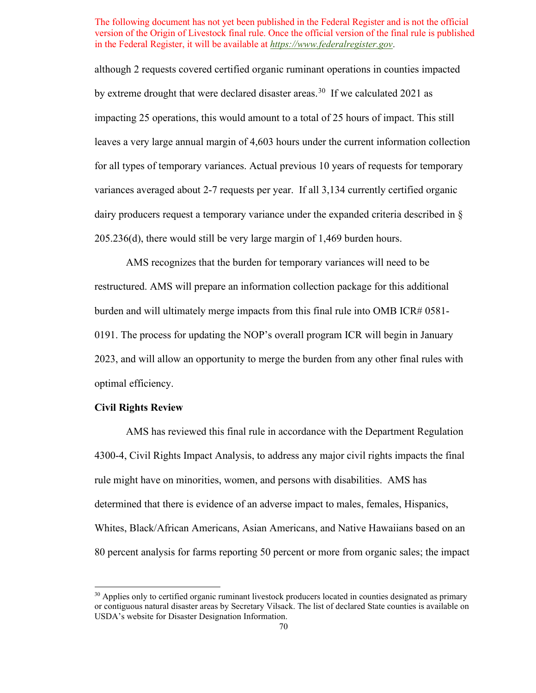although 2 requests covered certified organic ruminant operations in counties impacted by extreme drought that were declared disaster areas.<sup>30</sup> If we calculated 2021 as variances averaged about 2-7 requests per year. If all 3,134 currently certified organic 205.236(d), there would still be very large margin of 1,469 burden hours. impacting 25 operations, this would amount to a total of 25 hours of impact. This still leaves a very large annual margin of 4,603 hours under the current information collection for all types of temporary variances. Actual previous 10 years of requests for temporary dairy producers request a temporary variance under the expanded criteria described in §

 restructured. AMS will prepare an information collection package for this additional burden and will ultimately merge impacts from this final rule into OMB ICR# 0581- 0191. The process for updating the NOP's overall program ICR will begin in January AMS recognizes that the burden for temporary variances will need to be 2023, and will allow an opportunity to merge the burden from any other final rules with optimal efficiency.

# **Civil Rights Review**

 rule might have on minorities, women, and persons with disabilities. AMS has determined that there is evidence of an adverse impact to males, females, Hispanics, AMS has reviewed this final rule in accordance with the Department Regulation 4300-4, Civil Rights Impact Analysis, to address any major civil rights impacts the final Whites, Black/African Americans, Asian Americans, and Native Hawaiians based on an 80 percent analysis for farms reporting 50 percent or more from organic sales; the impact

<span id="page-69-0"></span><sup>&</sup>lt;sup>30</sup> Applies only to certified organic ruminant livestock producers located in counties designated as primary or contiguous natural disaster areas by Secretary Vilsack. The list of declared State counties is available on USDA's website for Disaster Designation Information.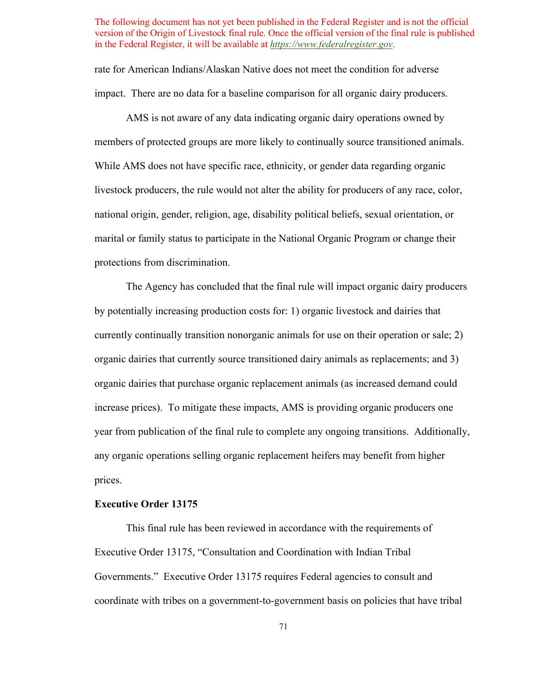rate for American Indians/Alaskan Native does not meet the condition for adverse impact. There are no data for a baseline comparison for all organic dairy producers.

 AMS is not aware of any data indicating organic dairy operations owned by members of protected groups are more likely to continually source transitioned animals. While AMS does not have specific race, ethnicity, or gender data regarding organic livestock producers, the rule would not alter the ability for producers of any race, color, national origin, gender, religion, age, disability political beliefs, sexual orientation, or marital or family status to participate in the National Organic Program or change their protections from discrimination.

 The Agency has concluded that the final rule will impact organic dairy producers any organic operations selling organic replacement heifers may benefit from higher prices. by potentially increasing production costs for: 1) organic livestock and dairies that currently continually transition nonorganic animals for use on their operation or sale; 2) organic dairies that currently source transitioned dairy animals as replacements; and 3) organic dairies that purchase organic replacement animals (as increased demand could increase prices). To mitigate these impacts, AMS is providing organic producers one year from publication of the final rule to complete any ongoing transitions. Additionally,

# **Executive Order 13175**

 Governments." Executive Order 13175 requires Federal agencies to consult and This final rule has been reviewed in accordance with the requirements of Executive Order 13175, "Consultation and Coordination with Indian Tribal coordinate with tribes on a government-to-government basis on policies that have tribal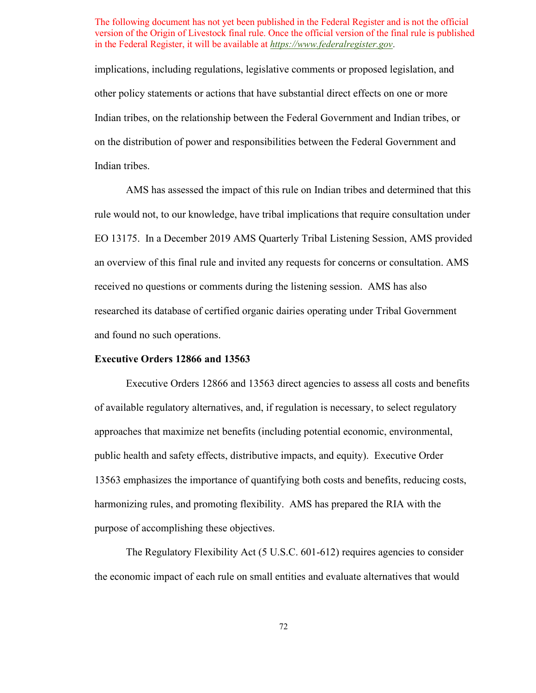implications, including regulations, legislative comments or proposed legislation, and other policy statements or actions that have substantial direct effects on one or more Indian tribes, on the relationship between the Federal Government and Indian tribes, or on the distribution of power and responsibilities between the Federal Government and Indian tribes.

 EO 13175. In a December 2019 AMS Quarterly Tribal Listening Session, AMS provided an overview of this final rule and invited any requests for concerns or consultation. AMS received no questions or comments during the listening session. AMS has also and found no such operations. AMS has assessed the impact of this rule on Indian tribes and determined that this rule would not, to our knowledge, have tribal implications that require consultation under researched its database of certified organic dairies operating under Tribal Government

# **Executive Orders 12866 and 13563**

 public health and safety effects, distributive impacts, and equity). Executive Order harmonizing rules, and promoting flexibility. AMS has prepared the RIA with the Executive Orders 12866 and 13563 direct agencies to assess all costs and benefits of available regulatory alternatives, and, if regulation is necessary, to select regulatory approaches that maximize net benefits (including potential economic, environmental, 13563 emphasizes the importance of quantifying both costs and benefits, reducing costs, purpose of accomplishing these objectives.

The Regulatory Flexibility Act (5 U.S.C. 601-612) requires agencies to consider the economic impact of each rule on small entities and evaluate alternatives that would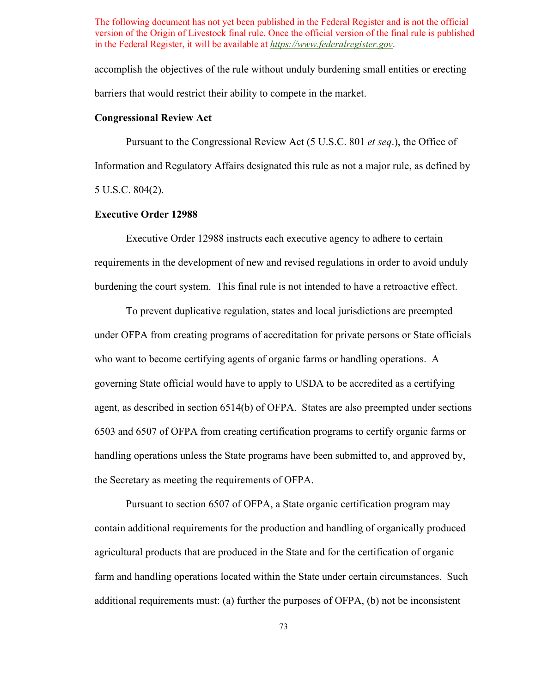accomplish the objectives of the rule without unduly burdening small entities or erecting barriers that would restrict their ability to compete in the market.

#### **Congressional Review Act**

Pursuant to the Congressional Review Act (5 U.S.C. 801 *et seq*.), the Office of Information and Regulatory Affairs designated this rule as not a major rule, as defined by 5 U.S.C. 804(2).

# **Executive Order 12988**

Executive Order 12988 instructs each executive agency to adhere to certain requirements in the development of new and revised regulations in order to avoid unduly burdening the court system. This final rule is not intended to have a retroactive effect.

 agent, as described in section 6514(b) of OFPA. States are also preempted under sections To prevent duplicative regulation, states and local jurisdictions are preempted under OFPA from creating programs of accreditation for private persons or State officials who want to become certifying agents of organic farms or handling operations. A governing State official would have to apply to USDA to be accredited as a certifying 6503 and 6507 of OFPA from creating certification programs to certify organic farms or handling operations unless the State programs have been submitted to, and approved by, the Secretary as meeting the requirements of OFPA.

 farm and handling operations located within the State under certain circumstances. Such Pursuant to section 6507 of OFPA, a State organic certification program may contain additional requirements for the production and handling of organically produced agricultural products that are produced in the State and for the certification of organic additional requirements must: (a) further the purposes of OFPA, (b) not be inconsistent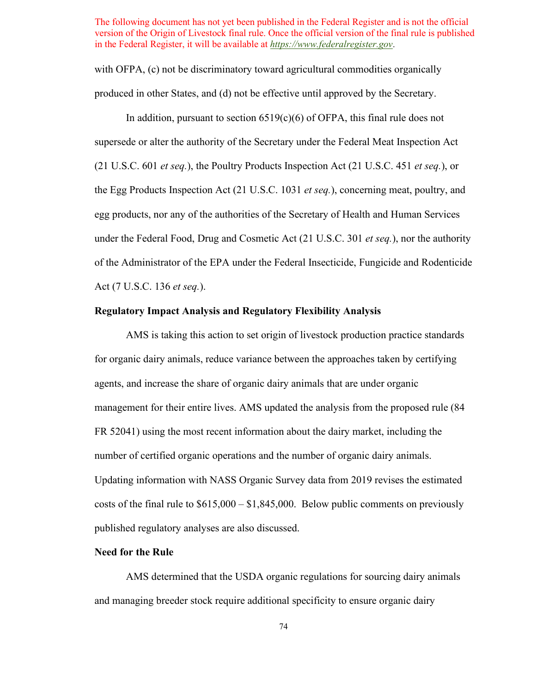with OFPA, (c) not be discriminatory toward agricultural commodities organically produced in other States, and (d) not be effective until approved by the Secretary.

 egg products, nor any of the authorities of the Secretary of Health and Human Services under the Federal Food, Drug and Cosmetic Act (21 U.S.C. 301 *et seq.*), nor the authority In addition, pursuant to section  $6519(c)(6)$  of OFPA, this final rule does not supersede or alter the authority of the Secretary under the Federal Meat Inspection Act (21 U.S.C. 601 *et seq.*), the Poultry Products Inspection Act (21 U.S.C. 451 *et seq.*), or the Egg Products Inspection Act (21 U.S.C. 1031 *et seq.*), concerning meat, poultry, and of the Administrator of the EPA under the Federal Insecticide, Fungicide and Rodenticide Act (7 U.S.C. 136 *et seq.*).

# **Regulatory Impact Analysis and Regulatory Flexibility Analysis**

number of certified organic operations and the number of organic dairy animals. costs of the final rule to \$615,000 – \$1,845,000. Below public comments on previously AMS is taking this action to set origin of livestock production practice standards for organic dairy animals, reduce variance between the approaches taken by certifying agents, and increase the share of organic dairy animals that are under organic management for their entire lives. AMS updated the analysis from the proposed rule (84 FR 52041) using the most recent information about the dairy market, including the Updating information with NASS Organic Survey data from 2019 revises the estimated published regulatory analyses are also discussed.

### **Need for the Rule**

AMS determined that the USDA organic regulations for sourcing dairy animals and managing breeder stock require additional specificity to ensure organic dairy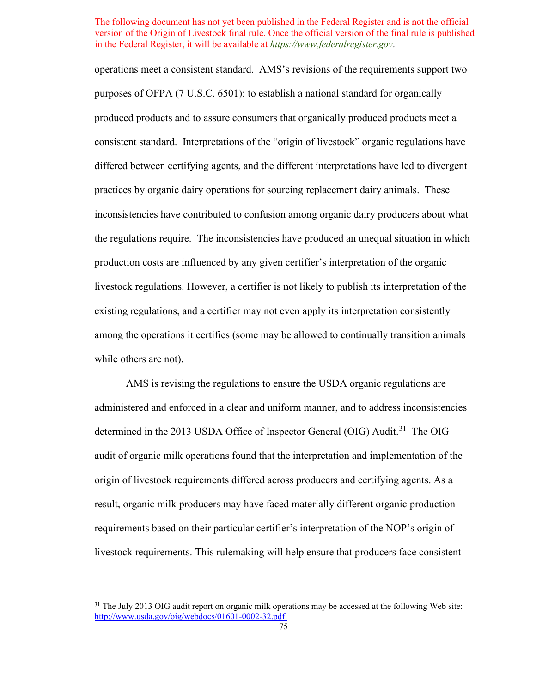purposes of OFPA (7 U.S.C. 6501): to establish a national standard for organically production costs are influenced by any given certifier's interpretation of the organic operations meet a consistent standard. AMS's revisions of the requirements support two produced products and to assure consumers that organically produced products meet a consistent standard. Interpretations of the "origin of livestock" organic regulations have differed between certifying agents, and the different interpretations have led to divergent practices by organic dairy operations for sourcing replacement dairy animals. These inconsistencies have contributed to confusion among organic dairy producers about what the regulations require. The inconsistencies have produced an unequal situation in which livestock regulations. However, a certifier is not likely to publish its interpretation of the existing regulations, and a certifier may not even apply its interpretation consistently among the operations it certifies (some may be allowed to continually transition animals while others are not).

 administered and enforced in a clear and uniform manner, and to address inconsistencies determined in the 2013 USDA Office of Inspector General (OIG) Audit.<sup>[31](#page-74-0)</sup> The OIG AMS is revising the regulations to ensure the USDA organic regulations are audit of organic milk operations found that the interpretation and implementation of the origin of livestock requirements differed across producers and certifying agents. As a result, organic milk producers may have faced materially different organic production requirements based on their particular certifier's interpretation of the NOP's origin of livestock requirements. This rulemaking will help ensure that producers face consistent

<span id="page-74-0"></span><sup>&</sup>lt;sup>31</sup> The July 2013 OIG audit report on organic milk operations may be accessed at the following Web site: [http://www.usda.gov/oig/webdocs/01601-0002-32.pdf.](http://www.usda.gov/oig/webdocs/01601-0002-32.pdf)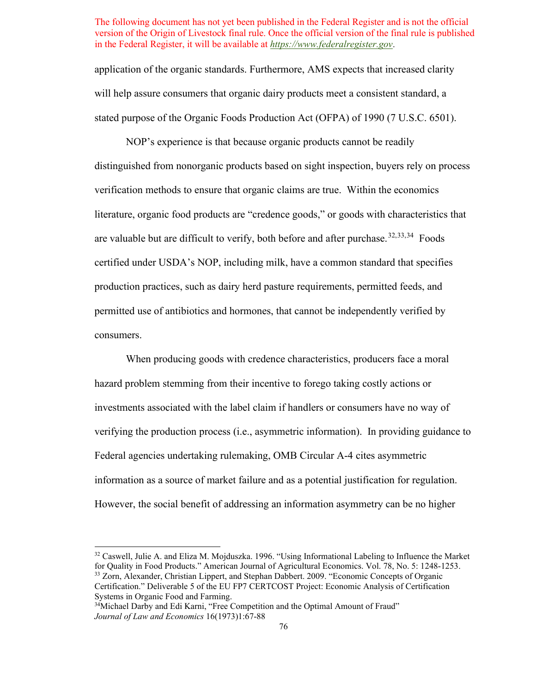will help assure consumers that organic dairy products meet a consistent standard, a stated purpose of the Organic Foods Production Act (OFPA) of 1990 (7 U.S.C. 6501). NOP's experience is that because organic products cannot be readily application of the organic standards. Furthermore, AMS expects that increased clarity

are valuable but are difficult to verify, both before and after purchase.<sup>[32,](#page-75-0)[33](#page-75-1),34</sup> Foods distinguished from nonorganic products based on sight inspection, buyers rely on process verification methods to ensure that organic claims are true. Within the economics literature, organic food products are "credence goods," or goods with characteristics that certified under USDA's NOP, including milk, have a common standard that specifies production practices, such as dairy herd pasture requirements, permitted feeds, and permitted use of antibiotics and hormones, that cannot be independently verified by consumers.

 When producing goods with credence characteristics, producers face a moral investments associated with the label claim if handlers or consumers have no way of hazard problem stemming from their incentive to forego taking costly actions or verifying the production process (i.e., asymmetric information). In providing guidance to Federal agencies undertaking rulemaking, OMB Circular A-4 cites asymmetric information as a source of market failure and as a potential justification for regulation. However, the social benefit of addressing an information asymmetry can be no higher

<span id="page-75-1"></span><span id="page-75-0"></span>for Quality in Food Products." American Journal of Agricultural Economics, Vol. 78, No. 5: 1248-1253. for Quality in Food Products." American Journal of Agricultural Economics. Vol. 78, No. 5: 1248-1253. 33 Zorn, Alexander, Christian Lippert, and Stephan Dabbert. 2009. "Economic Concepts of Organic <sup>32</sup> Caswell, Julie A. and Eliza M. Mojduszka. 1996. "Using Informational Labeling to Influence the Market Certification." Deliverable 5 of the EU FP7 CERTCOST Project: Economic Analysis of Certification Systems in Organic Food and Farming.

<span id="page-75-2"></span><sup>&</sup>lt;sup>34</sup>Michael Darby and Edi Karni, "Free Competition and the Optimal Amount of Fraud" *Journal of Law and Economics* 16(1973)1:67-88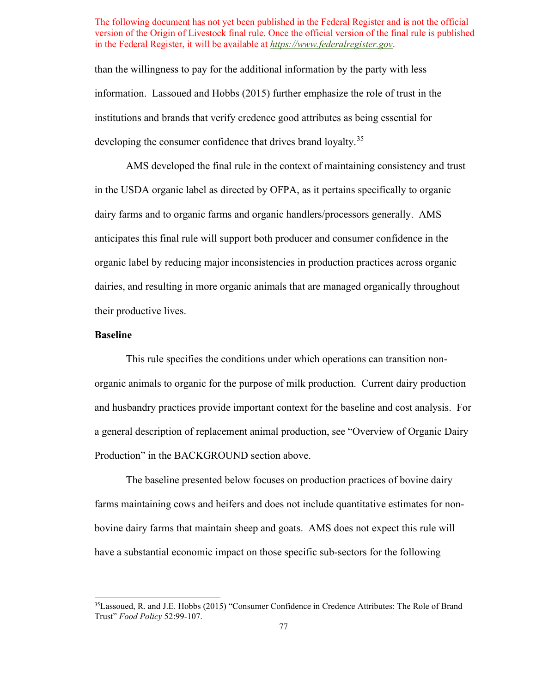than the willingness to pay for the additional information by the party with less information. Lassoued and Hobbs (2015) further emphasize the role of trust in the institutions and brands that verify credence good attributes as being essential for developing the consumer confidence that drives brand loyalty.<sup>35</sup>

 AMS developed the final rule in the context of maintaining consistency and trust their productive lives. in the USDA organic label as directed by OFPA, as it pertains specifically to organic dairy farms and to organic farms and organic handlers/processors generally. AMS anticipates this final rule will support both producer and consumer confidence in the organic label by reducing major inconsistencies in production practices across organic dairies, and resulting in more organic animals that are managed organically throughout

# **Baseline**

 This rule specifies the conditions under which operations can transition non- organic animals to organic for the purpose of milk production. Current dairy production and husbandry practices provide important context for the baseline and cost analysis. For a general description of replacement animal production, see "Overview of Organic Dairy Production" in the BACKGROUND section above.

 bovine dairy farms that maintain sheep and goats. AMS does not expect this rule will The baseline presented below focuses on production practices of bovine dairy farms maintaining cows and heifers and does not include quantitative estimates for nonhave a substantial economic impact on those specific sub-sectors for the following

<span id="page-76-0"></span> Trust" *Food Policy* 52:99-107. 35Lassoued, R. and J.E. Hobbs (2015) "Consumer Confidence in Credence Attributes: The Role of Brand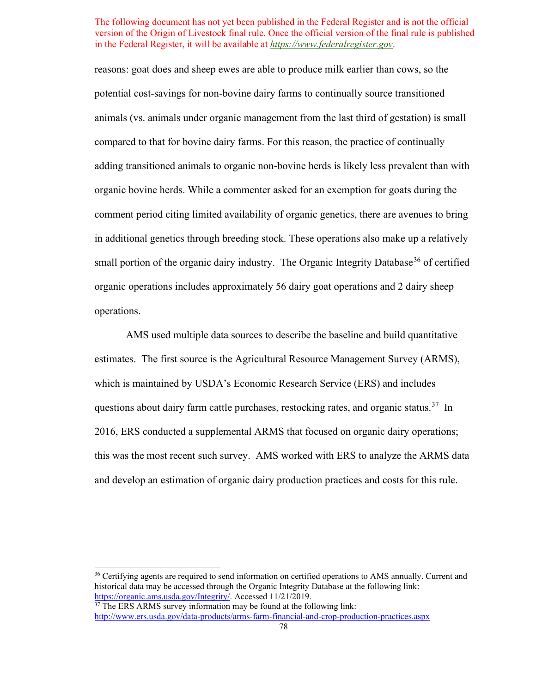reasons: goat does and sheep ewes are able to produce milk earlier than cows, so the potential cost-savings for non-bovine dairy farms to continually source transitioned animals (vs. animals under organic management from the last third of gestation) is small compared to that for bovine dairy farms. For this reason, the practice of continually adding transitioned animals to organic non-bovine herds is likely less prevalent than with organic bovine herds. While a commenter asked for an exemption for goats during the comment period citing limited availability of organic genetics, there are avenues to bring in additional genetics through breeding stock. These operations also make up a relatively small portion of the organic dairy industry. The Organic Integrity Database<sup>36</sup> of certified organic operations includes approximately 56 dairy goat operations and 2 dairy sheep operations.

 estimates. The first source is the Agricultural Resource Management Survey (ARMS), questions about dairy farm cattle purchases, restocking rates, and organic status.<sup>[37](#page-77-1)</sup> In AMS used multiple data sources to describe the baseline and build quantitative which is maintained by USDA's Economic Research Service (ERS) and includes 2016, ERS conducted a supplemental ARMS that focused on organic dairy operations; this was the most recent such survey. AMS worked with ERS to analyze the ARMS data and develop an estimation of organic dairy production practices and costs for this rule.

<span id="page-77-0"></span><sup>&</sup>lt;sup>36</sup> Certifying agents are required to send information on certified operations to AMS annually. Current and historical data may be accessed through the Organic Integrity Database at the following link: [https://organic.ams.usda.gov/Integrity/.](https://organic.ams.usda.gov/Integrity/) Accessed 11/21/2019.<br><sup>37</sup> The ERS ARMS survey information may be found at the following link:

<span id="page-77-1"></span><http://www.ers.usda.gov/data-products/arms-farm-financial-and-crop-production-practices.aspx> 78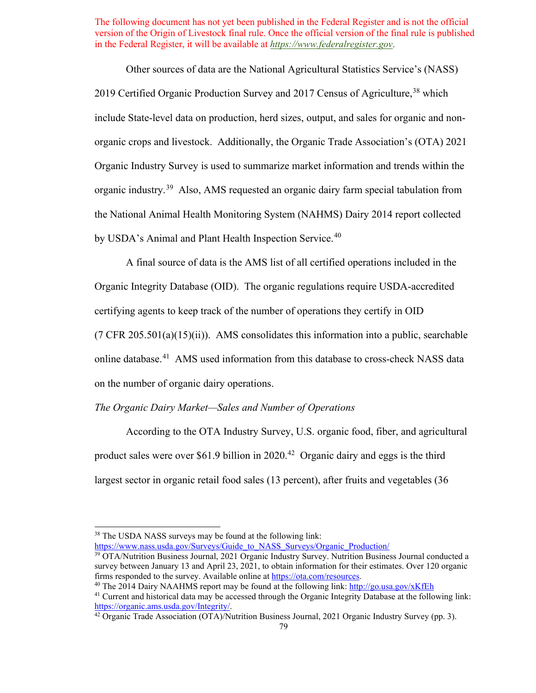Other sources of data are the National Agricultural Statistics Service's (NASS) 2019 Certified Organic Production Survey and 2017 Census of Agriculture,<sup>38</sup> which include State-level data on production, herd sizes, output, and sales for organic and nonorganic crops and livestock. Additionally, the Organic Trade Association's (OTA) 2021 Organic Industry Survey is used to summarize market information and trends within the organic industry.[39](#page-78-1) Also, AMS requested an organic dairy farm special tabulation from the National Animal Health Monitoring System (NAHMS) Dairy 2014 report collected by USDA's Animal and Plant Health Inspection Service.<sup>[40](#page-78-2)</sup>

 certifying agents to keep track of the number of operations they certify in OID A final source of data is the AMS list of all certified operations included in the Organic Integrity Database (OID). The organic regulations require USDA-accredited  $(7 \text{ CFR } 205.501(a)(15)(ii))$ . AMS consolidates this information into a public, searchable online database.[41](#page-78-3) AMS used information from this database to cross-check NASS data on the number of organic dairy operations.

# *The Organic Dairy Market—Sales and Number of Operations*

 largest sector in organic retail food sales (13 percent), after fruits and vegetables (36 According to the OTA Industry Survey, U.S. organic food, fiber, and agricultural product sales were over \$61.9 billion in  $2020<sup>42</sup>$  Organic dairy and eggs is the third

https://www.nass.usda.gov/Surveys/Guide\_to\_NASS\_Surveys/Organic\_Production/

<span id="page-78-0"></span><sup>&</sup>lt;sup>38</sup> The USDA NASS surveys may be found at the following link:

<span id="page-78-1"></span><sup>39</sup> OTA/Nutrition Business Journal, 2021 Organic Industry Survey. Nutrition Business Journal conducted a survey between January 13 and April 23, 2021, to obtain information for their estimates. Over 120 organic

<span id="page-78-3"></span><span id="page-78-2"></span>firms responded to the survey. Available online a[t https://ota.com/resources.](https://ota.com/resources)<br><sup>40</sup>The 2014 Dairy NAAHMS report may be found at the following link: http://go.usa.gov/xKfEh<br><sup>41</sup> Current and historical data may be accessed t

<span id="page-78-4"></span> $42$  Organic Trade Association (OTA)/Nutrition Business Journal, 2021 Organic Industry Survey (pp. 3).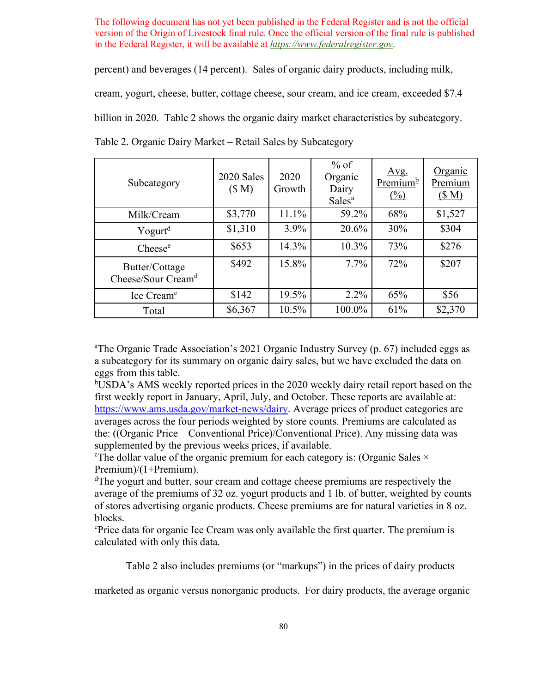percent) and beverages (14 percent). Sales of organic dairy products, including milk,

cream, yogurt, cheese, butter, cottage cheese, sour cream, and ice cream, exceeded \$7.4

billion in 2020. [Table 2](#page-79-0) shows the organic dairy market characteristics by subcategory.

| Subcategory                                      | 2020 Sales<br>(\$M) | 2020<br>Growth | $%$ of<br>Organic<br>Dairy<br>Sales <sup>a</sup> | Avg.<br>Premium <sup>b</sup><br>$\frac{(0)}{0}$ | Organic<br>Premium<br>(SM) |
|--------------------------------------------------|---------------------|----------------|--------------------------------------------------|-------------------------------------------------|----------------------------|
| Milk/Cream                                       | \$3,770             | 11.1%          | 59.2%                                            | 68%                                             | \$1,527                    |
| Yogurt <sup>d</sup>                              | \$1,310             | $3.9\%$        | 20.6%                                            | 30%                                             | \$304                      |
| $\text{Cheese}^{\text{e}}$                       | \$653               | 14.3%          | 10.3%                                            | 73%                                             | \$276                      |
| Butter/Cottage<br>Cheese/Sour Cream <sup>d</sup> | \$492               | 15.8%          | $7.7\%$                                          | 72%                                             | \$207                      |
| Ice Cream <sup>e</sup>                           | \$142               | 19.5%          | $2.2\%$                                          | 65%                                             | \$56                       |
| Total                                            | \$6,367             | 10.5%          | 100.0%                                           | 61%                                             | \$2,370                    |

<span id="page-79-0"></span>Table 2. Organic Dairy Market – Retail Sales by Subcategory

<sup>a</sup>The Organic Trade Association's 2021 Organic Industry Survey (p. 67) included eggs as a subcategory for its summary on organic dairy sales, but we have excluded the data on eggs from this table.

 first weekly report in January, April, July, and October. These reports are available at: bUSDA's AMS weekly reported prices in the 2020 weekly dairy retail report based on the [https://www.ams.usda.gov/market-news/dairy.](https://www.ams.usda.gov/market-news/dairy/rw-2019) Average prices of product categories are averages across the four periods weighted by store counts. Premiums are calculated as the: ((Organic Price – Conventional Price)/Conventional Price). Any missing data was supplemented by the previous weeks prices, if available.

<sup>c</sup>The dollar value of the organic premium for each category is: (Organic Sales  $\times$ Premium)/(1+Premium).

<sup>d</sup>The yogurt and butter, sour cream and cottage cheese premiums are respectively the average of the premiums of 32 oz. yogurt products and 1 lb. of butter, weighted by counts of stores advertising organic products. Cheese premiums are for natural varieties in 8 oz. blocks.

ePrice data for organic Ice Cream was only available the first quarter. The premium is calculated with only this data.

[Table 2](#page-79-0) also includes premiums (or "markups") in the prices of dairy products

marketed as organic versus nonorganic products. For dairy products, the average organic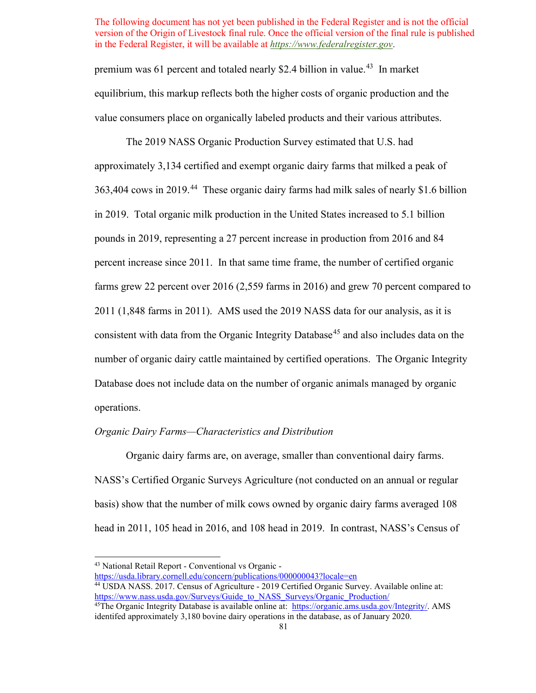premium was 61 percent and totaled nearly \$2.4 billion in value.<sup>43</sup> In market equilibrium, this markup reflects both the higher costs of organic production and the value consumers place on organically labeled products and their various attributes.

 percent increase since 2011. In that same time frame, the number of certified organic consistent with data from the Organic Integrity Database<sup>45</sup> and also includes data on the The 2019 NASS Organic Production Survey estimated that U.S. had approximately 3,134 certified and exempt organic dairy farms that milked a peak of 363,404 cows in 2019.<sup>44</sup> These organic dairy farms had milk sales of nearly \$1.6 billion in 2019. Total organic milk production in the United States increased to 5.1 billion pounds in 2019, representing a 27 percent increase in production from 2016 and 84 farms grew 22 percent over 2016 (2,559 farms in 2016) and grew 70 percent compared to 2011 (1,848 farms in 2011). AMS used the 2019 NASS data for our analysis, as it is number of organic dairy cattle maintained by certified operations. The Organic Integrity Database does not include data on the number of organic animals managed by organic operations.

### *Organic Dairy Farms—Characteristics and Distribution*

Organic dairy farms are, on average, smaller than conventional dairy farms. NASS's Certified Organic Surveys Agriculture (not conducted on an annual or regular basis) show that the number of milk cows owned by organic dairy farms averaged 108 head in 2011, 105 head in 2016, and 108 head in 2019. In contrast, NASS's Census of

<sup>43</sup> National Retail Report - Conventional vs Organic -

<span id="page-80-1"></span><span id="page-80-0"></span><https://usda.library.cornell.edu/concern/publications/000000043?locale=en>

<sup>&</sup>lt;sup>44</sup> USDA NASS. 2017. Census of Agriculture - 2019 Certified Organic Survey. Available online at: https://www.nass.usda.gov/Surveys/Guide\_to\_NASS\_Surveys/Organic\_Production/

<span id="page-80-2"></span><sup>&</sup>lt;sup>45</sup>The Organic Integrity Database is available online at: [https://organic.ams.usda.gov/Integrity/.](https://organic.ams.usda.gov/Integrity/) AMS identifed approximately 3,180 bovine dairy operations in the database, as of January 2020.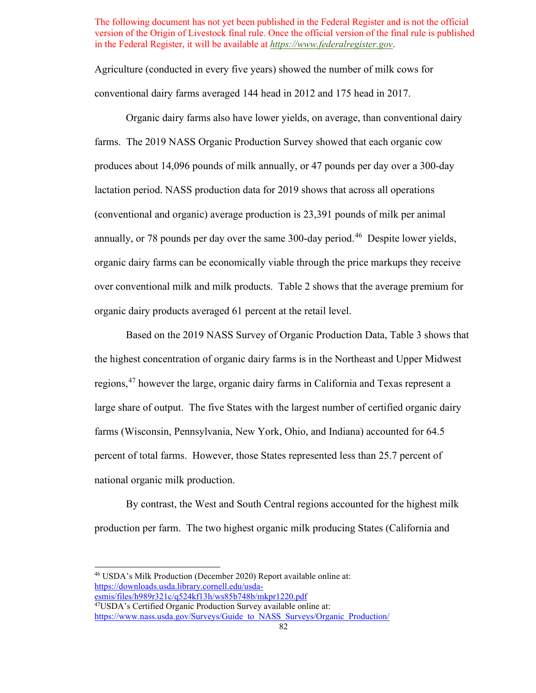Agriculture (conducted in every five years) showed the number of milk cows for conventional dairy farms averaged 144 head in 2012 and 175 head in 2017.

 organic dairy products averaged 61 percent at the retail level. Organic dairy farms also have lower yields, on average, than conventional dairy farms. The 2019 NASS Organic Production Survey showed that each organic cow produces about 14,096 pounds of milk annually, or 47 pounds per day over a 300-day lactation period. NASS production data for 2019 shows that across all operations (conventional and organic) average production is 23,391 pounds of milk per animal annually, or 78 pounds per day over the same 300-day period.<sup>46</sup> Despite lower yields, organic dairy farms can be economically viable through the price markups they receive over conventional milk and milk products. [Table 2](#page-79-0) shows that the average premium for

Based on the 2019 NASS Survey of Organic Production Data, [Table 3](#page-82-0) shows that the highest concentration of organic dairy farms is in the Northeast and Upper Midwest regions,[47](#page-81-1) however the large, organic dairy farms in California and Texas represent a large share of output. The five States with the largest number of certified organic dairy farms (Wisconsin, Pennsylvania, New York, Ohio, and Indiana) accounted for 64.5 percent of total farms. However, those States represented less than 25.7 percent of national organic milk production.

By contrast, the West and South Central regions accounted for the highest milk production per farm. The two highest organic milk producing States (California and

<span id="page-81-0"></span>esmis/files/h989r321c/q524kf13h/ws85b748b/mkpr1220.pdf 46 USDA's Milk Production (December 2020) Report available online at: [https://downloads.usda.library.cornell.edu/usda-](https://downloads.usda.library.cornell.edu/usda-esmis/files/h989r321c/q524kf13h/ws85b748b/mkpr1220.pdf)

<span id="page-81-1"></span> $^{47}$ USDA's Certified Organic Production Survey available online at: https://www.nass.usda.gov/Surveys/Guide\_to\_NASS\_Surveys/Organic\_Production/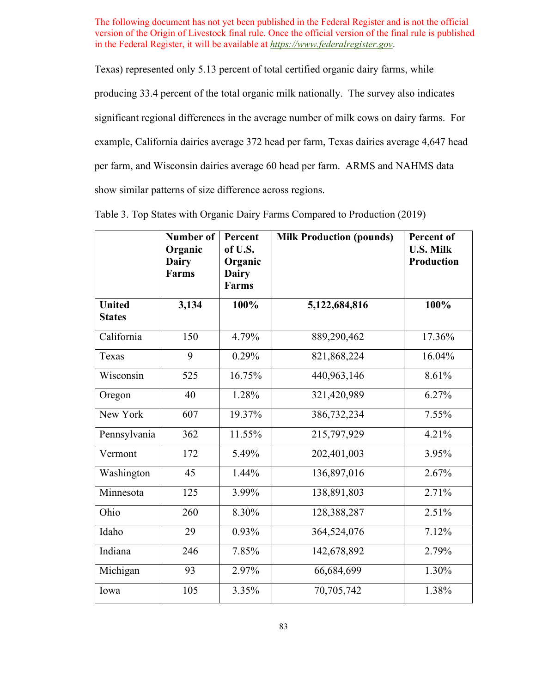Texas) represented only 5.13 percent of total certified organic dairy farms, while producing 33.4 percent of the total organic milk nationally. The survey also indicates significant regional differences in the average number of milk cows on dairy farms. For example, California dairies average 372 head per farm, Texas dairies average 4,647 head per farm, and Wisconsin dairies average 60 head per farm. ARMS and NAHMS data show similar patterns of size difference across regions.

|                                | <b>Number of</b><br>Organic<br><b>Dairy</b><br><b>Farms</b> | Percent<br>of U.S.<br>Organic<br><b>Dairy</b><br><b>Farms</b> | <b>Milk Production (pounds)</b> | Percent of<br><b>U.S. Milk</b><br><b>Production</b> |
|--------------------------------|-------------------------------------------------------------|---------------------------------------------------------------|---------------------------------|-----------------------------------------------------|
| <b>United</b><br><b>States</b> | 3,134                                                       | 100%                                                          | 5,122,684,816                   | 100%                                                |
| California                     | 150                                                         | 4.79%                                                         | 889,290,462                     | 17.36%                                              |
| Texas                          | 9                                                           | 0.29%                                                         | 821,868,224                     | 16.04%                                              |
| Wisconsin                      | 525                                                         | 16.75%                                                        | 440,963,146                     | 8.61%                                               |
| Oregon                         | 40                                                          | 1.28%                                                         | 321,420,989                     | 6.27%                                               |
| New York                       | 607                                                         | 19.37%                                                        | 386,732,234                     | 7.55%                                               |
| Pennsylvania                   | 362                                                         | 11.55%                                                        | 215,797,929                     | 4.21%                                               |
| Vermont                        | 172                                                         | 5.49%                                                         | 202,401,003                     | 3.95%                                               |
| Washington                     | 45                                                          | 1.44%                                                         | 136,897,016                     | 2.67%                                               |
| Minnesota                      | 125                                                         | 3.99%                                                         | 138,891,803                     | 2.71%                                               |
| Ohio                           | 260                                                         | 8.30%                                                         | 128,388,287                     | 2.51%                                               |
| Idaho                          | 29                                                          | 0.93%                                                         | 364,524,076                     | 7.12%                                               |
| Indiana                        | 246                                                         | 7.85%                                                         | 142,678,892                     | 2.79%                                               |
| Michigan                       | 93                                                          | 2.97%                                                         | 66,684,699                      | 1.30%                                               |
| Iowa                           | 105                                                         | 3.35%                                                         | 70,705,742                      | 1.38%                                               |

<span id="page-82-0"></span>Table 3. Top States with Organic Dairy Farms Compared to Production (2019)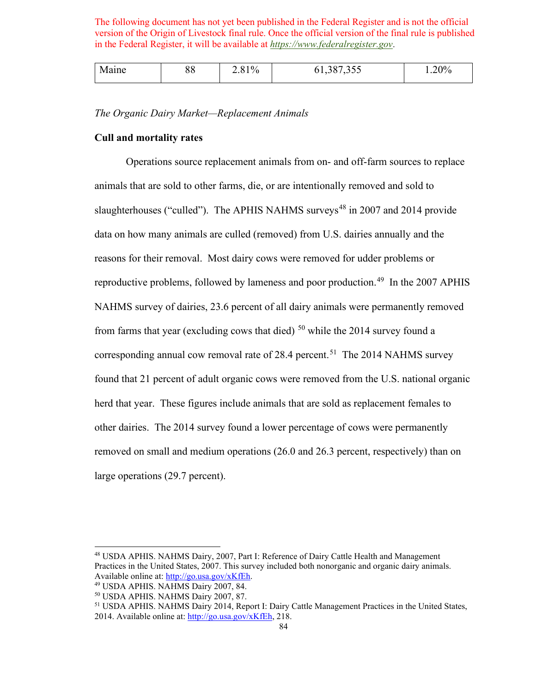*The Organic Dairy Market—Replacement Animals* 

### **Cull and mortality rates**

reproductive problems, followed by lameness and poor production.<sup>49</sup> In the 2007 APHIS found that 21 percent of adult organic cows were removed from the U.S. national organic Operations source replacement animals from on- and off-farm sources to replace animals that are sold to other farms, die, or are intentionally removed and sold to slaughterhouses ("culled"). The APHIS NAHMS surveys<sup>48</sup> in 2007 and 2014 provide data on how many animals are culled (removed) from U.S. dairies annually and the reasons for their removal. Most dairy cows were removed for udder problems or NAHMS survey of dairies, 23.6 percent of all dairy animals were permanently removed from farms that year (excluding cows that died)  $50$  while the 2014 survey found a corresponding annual cow removal rate of 28.4 percent.<sup>51</sup> The 2014 NAHMS survey herd that year. These figures include animals that are sold as replacement females to other dairies. The 2014 survey found a lower percentage of cows were permanently removed on small and medium operations (26.0 and 26.3 percent, respectively) than on large operations (29.7 percent).

<span id="page-83-0"></span>Available online at: <u>http://go.usa.gov/xKfEh</u>.<br><sup>49</sup> USDA APHIS. NAHMS Dairy 2007, 84.<br><sup>50</sup> USDA APHIS. NAHMS Dairy 2007, 87.<br><sup>51</sup> USDA APHIS. NAHMS Dairy 2014, Report I: Dairy Cattle Management Practices in the United Sta 48 USDA APHIS. NAHMS Dairy, 2007, Part I: Reference of Dairy Cattle Health and Management Practices in the United States, 2007. This survey included both nonorganic and organic dairy animals.

<span id="page-83-1"></span>

<span id="page-83-3"></span><span id="page-83-2"></span>

<sup>2014.</sup> Available online at: [http://go.usa.gov/xKfEh,](http://go.usa.gov/xKfEh) 218.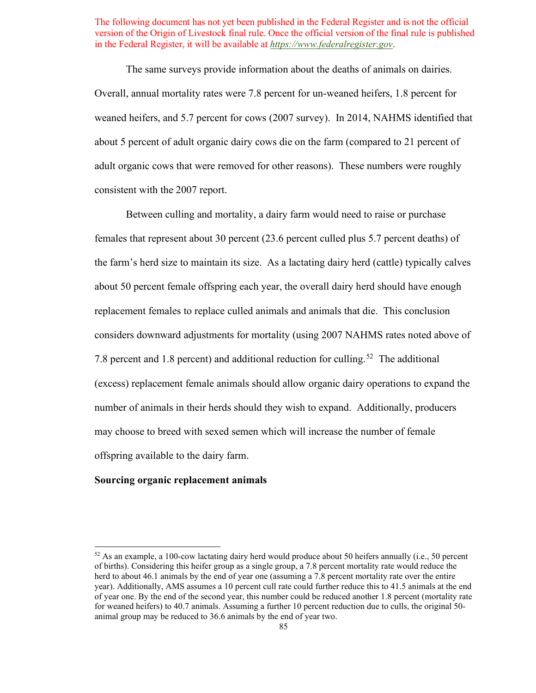Overall, annual mortality rates were 7.8 percent for un-weaned heifers, 1.8 percent for weaned heifers, and 5.7 percent for cows (2007 survey). In 2014, NAHMS identified that adult organic cows that were removed for other reasons). These numbers were roughly The same surveys provide information about the deaths of animals on dairies. about 5 percent of adult organic dairy cows die on the farm (compared to 21 percent of consistent with the 2007 report.

 replacement females to replace culled animals and animals that die. This conclusion 7.8 percent and 1.8 percent) and additional reduction for culling.<sup>52</sup> The additional number of animals in their herds should they wish to expand. Additionally, producers Between culling and mortality, a dairy farm would need to raise or purchase females that represent about 30 percent (23.6 percent culled plus 5.7 percent deaths) of the farm's herd size to maintain its size. As a lactating dairy herd (cattle) typically calves about 50 percent female offspring each year, the overall dairy herd should have enough considers downward adjustments for mortality (using 2007 NAHMS rates noted above of (excess) replacement female animals should allow organic dairy operations to expand the may choose to breed with sexed semen which will increase the number of female offspring available to the dairy farm.

#### **Sourcing organic replacement animals**

<span id="page-84-0"></span> of births). Considering this heifer group as a single group, a 7.8 percent mortality rate would reduce the herd to about 46.1 animals by the end of year one (assuming a 7.8 percent mortality rate over the entire year). Additionally, AMS assumes a 10 percent cull rate could further reduce this to 41.5 animals at the end of year one. By the end of the second year, this number could be reduced another 1.8 percent (mortality rate for weaned heifers) to 40.7 animals. Assuming a further 10 percent reduction due to culls, the original 50-  $52$  As an example, a 100-cow lactating dairy herd would produce about 50 heifers annually (i.e., 50 percent animal group may be reduced to 36.6 animals by the end of year two.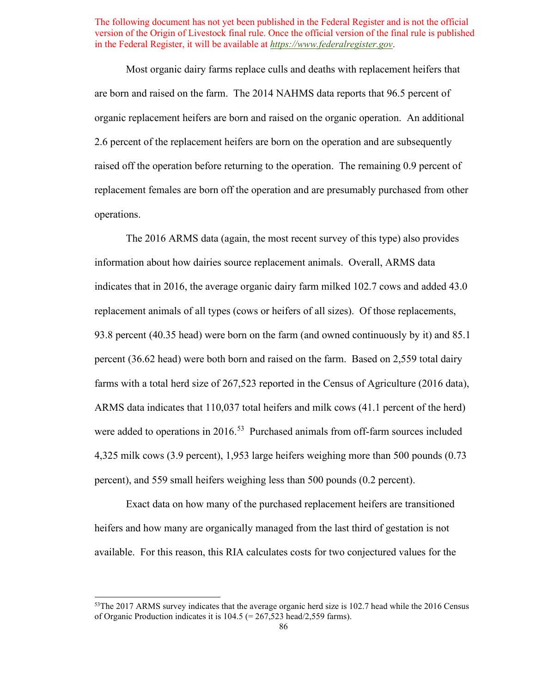Most organic dairy farms replace culls and deaths with replacement heifers that are born and raised on the farm. The 2014 NAHMS data reports that 96.5 percent of organic replacement heifers are born and raised on the organic operation. An additional 2.6 percent of the replacement heifers are born on the operation and are subsequently raised off the operation before returning to the operation. The remaining 0.9 percent of replacement females are born off the operation and are presumably purchased from other operations.

 replacement animals of all types (cows or heifers of all sizes). Of those replacements, farms with a total herd size of 267,523 reported in the Census of Agriculture (2016 data), were added to operations in 2016.<sup>[53](#page-85-0)</sup> Purchased animals from off-farm sources included percent), and 559 small heifers weighing less than 500 pounds (0.2 percent). The 2016 ARMS data (again, the most recent survey of this type) also provides information about how dairies source replacement animals. Overall, ARMS data indicates that in 2016, the average organic dairy farm milked 102.7 cows and added 43.0 93.8 percent (40.35 head) were born on the farm (and owned continuously by it) and 85.1 percent (36.62 head) were both born and raised on the farm. Based on 2,559 total dairy ARMS data indicates that 110,037 total heifers and milk cows (41.1 percent of the herd) 4,325 milk cows (3.9 percent), 1,953 large heifers weighing more than 500 pounds (0.73

 heifers and how many are organically managed from the last third of gestation is not Exact data on how many of the purchased replacement heifers are transitioned available. For this reason, this RIA calculates costs for two conjectured values for the

<span id="page-85-0"></span><sup>&</sup>lt;sup>53</sup>The 2017 ARMS survey indicates that the average organic herd size is 102.7 head while the 2016 Census of Organic Production indicates it is 104.5 (= 267,523 head/2,559 farms).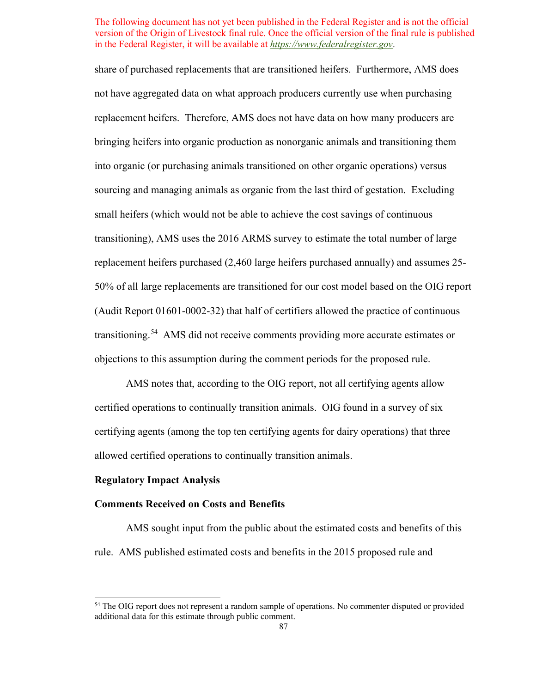replacement heifers purchased (2,460 large heifers purchased annually) and assumes 25- 50% of all large replacements are transitioned for our cost model based on the OIG report (Audit Report 01601-0002-32) that half of certifiers allowed the practice of continuous transitioning.<sup>[54](#page-86-0)</sup> AMS did not receive comments providing more accurate estimates or share of purchased replacements that are transitioned heifers. Furthermore, AMS does not have aggregated data on what approach producers currently use when purchasing replacement heifers. Therefore, AMS does not have data on how many producers are bringing heifers into organic production as nonorganic animals and transitioning them into organic (or purchasing animals transitioned on other organic operations) versus sourcing and managing animals as organic from the last third of gestation. Excluding small heifers (which would not be able to achieve the cost savings of continuous transitioning), AMS uses the 2016 ARMS survey to estimate the total number of large objections to this assumption during the comment periods for the proposed rule.

 certified operations to continually transition animals. OIG found in a survey of six allowed certified operations to continually transition animals. AMS notes that, according to the OIG report, not all certifying agents allow certifying agents (among the top ten certifying agents for dairy operations) that three

#### **Regulatory Impact Analysis**

#### **Comments Received on Costs and Benefits**

 AMS sought input from the public about the estimated costs and benefits of this rule. AMS published estimated costs and benefits in the 2015 proposed rule and

<span id="page-86-0"></span><sup>&</sup>lt;sup>54</sup> The OIG report does not represent a random sample of operations. No commenter disputed or provided additional data for this estimate through public comment.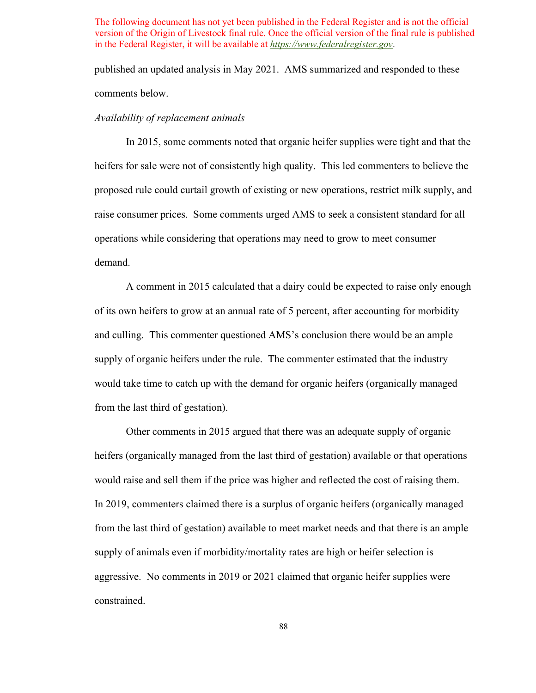published an updated analysis in May 2021. AMS summarized and responded to these comments below.

#### *Availability of replacement animals*

 heifers for sale were not of consistently high quality. This led commenters to believe the proposed rule could curtail growth of existing or new operations, restrict milk supply, and raise consumer prices. Some comments urged AMS to seek a consistent standard for all operations while considering that operations may need to grow to meet consumer In 2015, some comments noted that organic heifer supplies were tight and that the demand.

 supply of organic heifers under the rule. The commenter estimated that the industry A comment in 2015 calculated that a dairy could be expected to raise only enough of its own heifers to grow at an annual rate of 5 percent, after accounting for morbidity and culling. This commenter questioned AMS's conclusion there would be an ample would take time to catch up with the demand for organic heifers (organically managed from the last third of gestation).

would raise and sell them if the price was higher and reflected the cost of raising them. aggressive. No comments in 2019 or 2021 claimed that organic heifer supplies were Other comments in 2015 argued that there was an adequate supply of organic heifers (organically managed from the last third of gestation) available or that operations In 2019, commenters claimed there is a surplus of organic heifers (organically managed from the last third of gestation) available to meet market needs and that there is an ample supply of animals even if morbidity/mortality rates are high or heifer selection is constrained.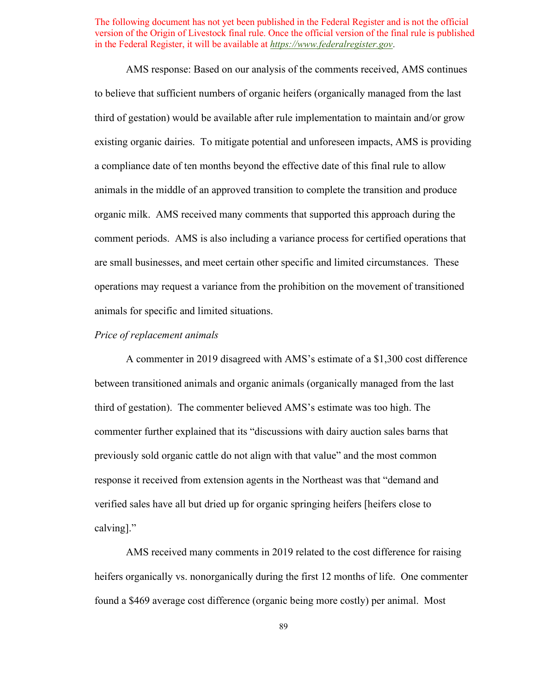third of gestation) would be available after rule implementation to maintain and/or grow existing organic dairies. To mitigate potential and unforeseen impacts, AMS is providing a compliance date of ten months beyond the effective date of this final rule to allow comment periods. AMS is also including a variance process for certified operations that are small businesses, and meet certain other specific and limited circumstances. These operations may request a variance from the prohibition on the movement of transitioned animals for specific and limited situations. AMS response: Based on our analysis of the comments received, AMS continues to believe that sufficient numbers of organic heifers (organically managed from the last animals in the middle of an approved transition to complete the transition and produce organic milk. AMS received many comments that supported this approach during the

# *Price of replacement animals*

 between transitioned animals and organic animals (organically managed from the last calving]." A commenter in 2019 disagreed with AMS's estimate of a \$1,300 cost difference third of gestation). The commenter believed AMS's estimate was too high. The commenter further explained that its "discussions with dairy auction sales barns that previously sold organic cattle do not align with that value" and the most common response it received from extension agents in the Northeast was that "demand and verified sales have all but dried up for organic springing heifers [heifers close to

 found a \$469 average cost difference (organic being more costly) per animal. Most AMS received many comments in 2019 related to the cost difference for raising heifers organically vs. nonorganically during the first 12 months of life. One commenter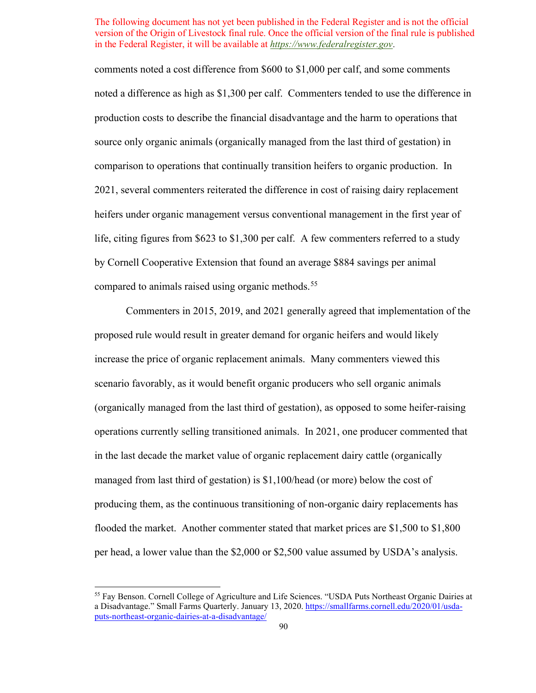heifers under organic management versus conventional management in the first year of comments noted a cost difference from \$600 to \$1,000 per calf, and some comments noted a difference as high as \$1,300 per calf. Commenters tended to use the difference in production costs to describe the financial disadvantage and the harm to operations that source only organic animals (organically managed from the last third of gestation) in comparison to operations that continually transition heifers to organic production. In 2021, several commenters reiterated the difference in cost of raising dairy replacement life, citing figures from \$623 to \$1,300 per calf. A few commenters referred to a study by Cornell Cooperative Extension that found an average \$884 savings per animal compared to animals raised using organic methods.<sup>[55](#page-89-0)</sup>

 scenario favorably, as it would benefit organic producers who sell organic animals managed from last third of gestation) is \$1,100/head (or more) below the cost of Commenters in 2015, 2019, and 2021 generally agreed that implementation of the proposed rule would result in greater demand for organic heifers and would likely increase the price of organic replacement animals. Many commenters viewed this (organically managed from the last third of gestation), as opposed to some heifer-raising operations currently selling transitioned animals. In 2021, one producer commented that in the last decade the market value of organic replacement dairy cattle (organically producing them, as the continuous transitioning of non-organic dairy replacements has flooded the market. Another commenter stated that market prices are \$1,500 to \$1,800 per head, a lower value than the \$2,000 or \$2,500 value assumed by USDA's analysis.

<span id="page-89-0"></span> [puts-northeast-organic-dairies-at-a-disadvantage/](https://smallfarms.cornell.edu/2020/01/usda-puts-northeast-organic-dairies-at-a-disadvantage/) 90 55 Fay Benson. Cornell College of Agriculture and Life Sciences. "USDA Puts Northeast Organic Dairies at a Disadvantage." Small Farms Quarterly. January 13, 2020. [https://smallfarms.cornell.edu/2020/01/usda-](https://smallfarms.cornell.edu/2020/01/usda-puts-northeast-organic-dairies-at-a-disadvantage/)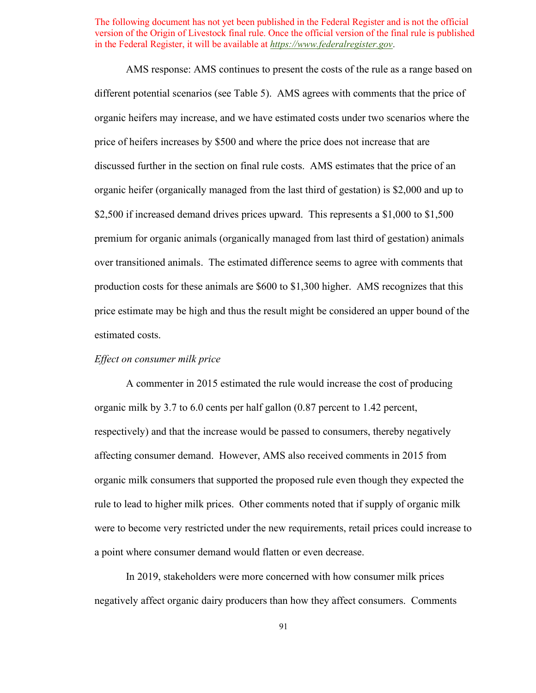discussed further in the section on final rule costs. AMS estimates that the price of an \$2,500 if increased demand drives prices upward. This represents a \$1,000 to \$1,500 production costs for these animals are \$600 to \$1,300 higher. AMS recognizes that this AMS response: AMS continues to present the costs of the rule as a range based on different potential scenarios (see [Table 5\)](#page-104-0). AMS agrees with comments that the price of organic heifers may increase, and we have estimated costs under two scenarios where the price of heifers increases by \$500 and where the price does not increase that are organic heifer (organically managed from the last third of gestation) is \$2,000 and up to premium for organic animals (organically managed from last third of gestation) animals over transitioned animals. The estimated difference seems to agree with comments that price estimate may be high and thus the result might be considered an upper bound of the estimated costs.

# *Effect on consumer milk price*

 a point where consumer demand would flatten or even decrease. A commenter in 2015 estimated the rule would increase the cost of producing organic milk by 3.7 to 6.0 cents per half gallon (0.87 percent to 1.42 percent, respectively) and that the increase would be passed to consumers, thereby negatively affecting consumer demand. However, AMS also received comments in 2015 from organic milk consumers that supported the proposed rule even though they expected the rule to lead to higher milk prices. Other comments noted that if supply of organic milk were to become very restricted under the new requirements, retail prices could increase to

In 2019, stakeholders were more concerned with how consumer milk prices negatively affect organic dairy producers than how they affect consumers. Comments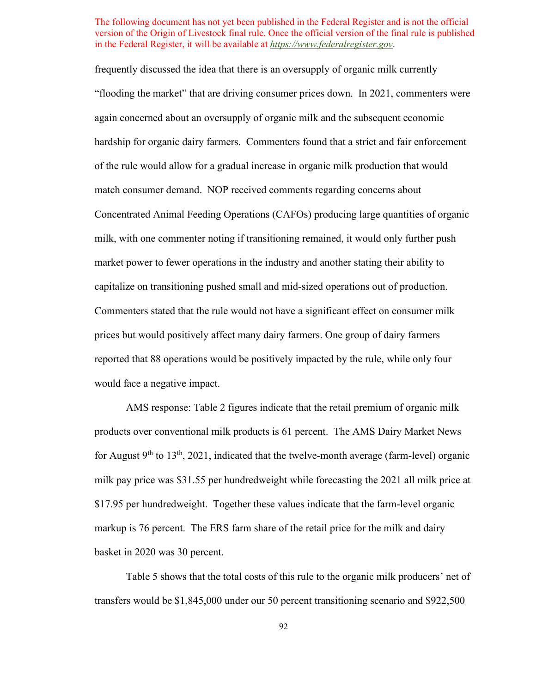"flooding the market" that are driving consumer prices down. In 2021, commenters were match consumer demand. NOP received comments regarding concerns about milk, with one commenter noting if transitioning remained, it would only further push capitalize on transitioning pushed small and mid-sized operations out of production. capitalize on transitioning pushed small and mid-sized operations out of production. Commenters stated that the rule would not have a significant effect on consumer milk frequently discussed the idea that there is an oversupply of organic milk currently again concerned about an oversupply of organic milk and the subsequent economic hardship for organic dairy farmers. Commenters found that a strict and fair enforcement of the rule would allow for a gradual increase in organic milk production that would Concentrated Animal Feeding Operations (CAFOs) producing large quantities of organic market power to fewer operations in the industry and another stating their ability to prices but would positively affect many dairy farmers. One group of dairy farmers reported that 88 operations would be positively impacted by the rule, while only four would face a negative impact.

 AMS response: [Table 2](#page-79-0) figures indicate that the retail premium of organic milk products over conventional milk products is 61 percent. The AMS Dairy Market News for August  $9<sup>th</sup>$  to 13<sup>th</sup>, 2021, indicated that the twelve-month average (farm-level) organic milk pay price was \$31.55 per hundredweight while forecasting the 2021 all milk price at \$17.95 per hundredweight. Together these values indicate that the farm-level organic markup is 76 percent. The ERS farm share of the retail price for the milk and dairy basket in 2020 was 30 percent.

 [Table 5](#page-104-0) shows that the total costs of this rule to the organic milk producers' net of transfers would be \$1,845,000 under our 50 percent transitioning scenario and \$922,500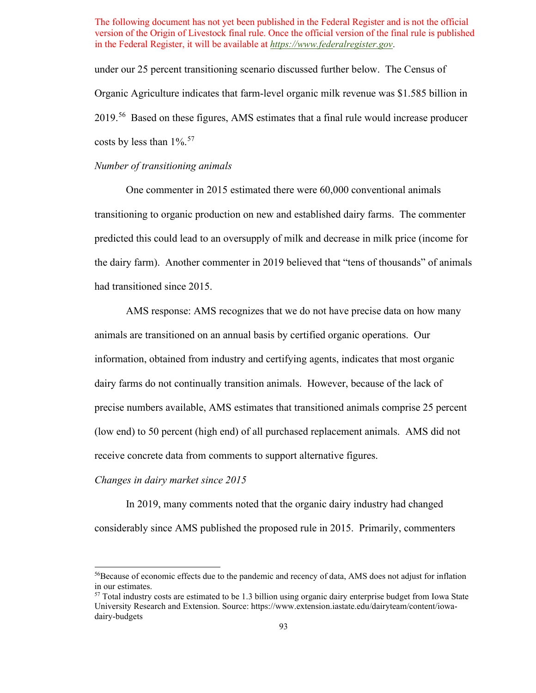2019.<sup>56</sup> Based on these figures, AMS estimates that a final rule would increase producer costs by less than  $1\%$ .<sup>[57](#page-92-1)</sup> under our 25 percent transitioning scenario discussed further below. The Census of Organic Agriculture indicates that farm-level organic milk revenue was \$1.585 billion in

# *Number of transitioning animals*

 transitioning to organic production on new and established dairy farms. The commenter had transitioned since 2015. One commenter in 2015 estimated there were 60,000 conventional animals predicted this could lead to an oversupply of milk and decrease in milk price (income for the dairy farm). Another commenter in 2019 believed that "tens of thousands" of animals

 animals are transitioned on an annual basis by certified organic operations. Our dairy farms do not continually transition animals. However, because of the lack of AMS response: AMS recognizes that we do not have precise data on how many information, obtained from industry and certifying agents, indicates that most organic precise numbers available, AMS estimates that transitioned animals comprise 25 percent (low end) to 50 percent (high end) of all purchased replacement animals. AMS did not receive concrete data from comments to support alternative figures.

# *Changes in dairy market since 2015*

In 2019, many comments noted that the organic dairy industry had changed considerably since AMS published the proposed rule in 2015. Primarily, commenters

<span id="page-92-0"></span><sup>56</sup>Because of economic effects due to the pandemic and recency of data, AMS does not adjust for inflation in our estimates.

<span id="page-92-1"></span> $57$  Total industry costs are estimated to be 1.3 billion using organic dairy enterprise budget from Iowa State University Research and Extension. Source:<https://www.extension.iastate.edu/dairyteam/content/iowa>dairy-budgets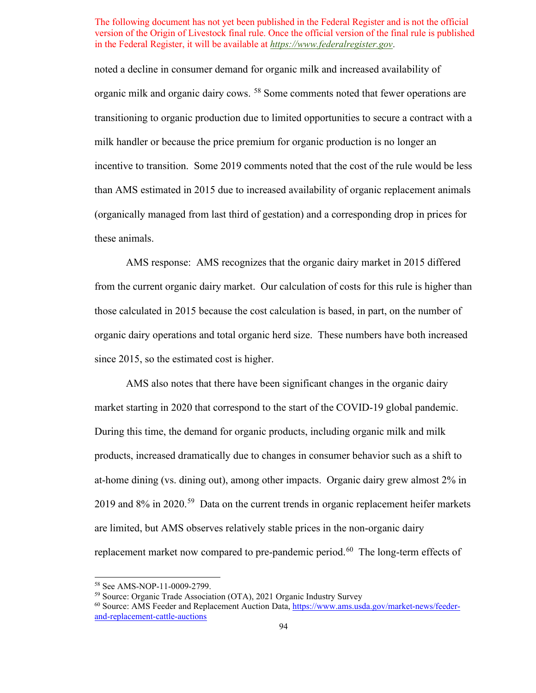these animals. noted a decline in consumer demand for organic milk and increased availability of organic milk and organic dairy cows. <sup>[58](#page-93-0)</sup> Some comments noted that fewer operations are transitioning to organic production due to limited opportunities to secure a contract with a milk handler or because the price premium for organic production is no longer an incentive to transition. Some 2019 comments noted that the cost of the rule would be less than AMS estimated in 2015 due to increased availability of organic replacement animals (organically managed from last third of gestation) and a corresponding drop in prices for

AMS response: AMS recognizes that the organic dairy market in 2015 differed from the current organic dairy market. Our calculation of costs for this rule is higher than those calculated in 2015 because the cost calculation is based, in part, on the number of organic dairy operations and total organic herd size. These numbers have both increased since 2015, so the estimated cost is higher.

2019 and  $8\%$  in 2020.<sup>[59](#page-93-1)</sup> Data on the current trends in organic replacement heifer markets are limited, but AMS observes relatively stable prices in the non-organic dairy replacement market now compared to pre-pandemic period.<sup>60</sup> The long-term effects of AMS also notes that there have been significant changes in the organic dairy market starting in 2020 that correspond to the start of the COVID-19 global pandemic. During this time, the demand for organic products, including organic milk and milk products, increased dramatically due to changes in consumer behavior such as a shift to at-home dining (vs. dining out), among other impacts. Organic dairy grew almost 2% in

<span id="page-93-2"></span><sup>&</sup>lt;sup>59</sup> Source: Organic Trade Association (OTA), 2021 Organic Industry Survey

<span id="page-93-1"></span><span id="page-93-0"></span> [and-replacement-cattle-auctions](https://www.ams.usda.gov/market-news/feeder-and-replacement-cattle-auctions) 94 <sup>58</sup> See AMS-NOP-11-0009-2799.<br><sup>59</sup> Source: Organic Trade Association (OTA), 2021 Organic Industry Survey<br><sup>60</sup> Source: AMS Feeder and Replacement Auction Data, [https://www.ams.usda.gov/market-news/feeder-](https://www.ams.usda.gov/market-news/feeder-and-replacement-cattle-auctions)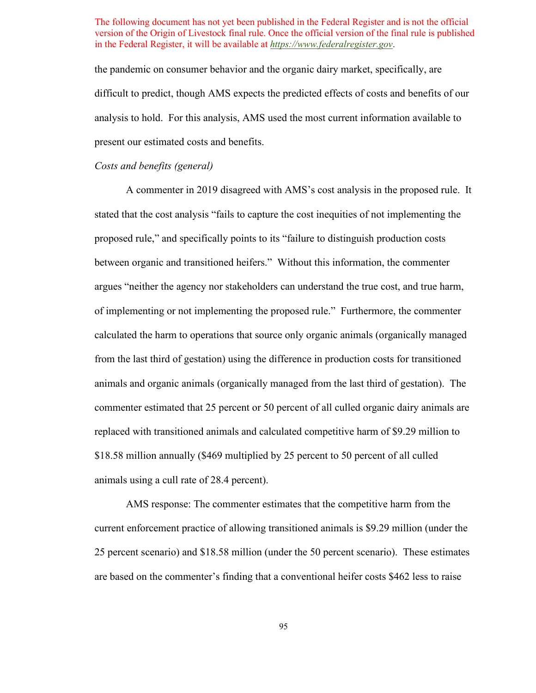the pandemic on consumer behavior and the organic dairy market, specifically, are difficult to predict, though AMS expects the predicted effects of costs and benefits of our analysis to hold. For this analysis, AMS used the most current information available to present our estimated costs and benefits.

# *Costs and benefits (general)*

 of implementing or not implementing the proposed rule." Furthermore, the commenter A commenter in 2019 disagreed with AMS's cost analysis in the proposed rule. It stated that the cost analysis "fails to capture the cost inequities of not implementing the proposed rule," and specifically points to its "failure to distinguish production costs between organic and transitioned heifers." Without this information, the commenter argues "neither the agency nor stakeholders can understand the true cost, and true harm, calculated the harm to operations that source only organic animals (organically managed from the last third of gestation) using the difference in production costs for transitioned animals and organic animals (organically managed from the last third of gestation). The commenter estimated that 25 percent or 50 percent of all culled organic dairy animals are replaced with transitioned animals and calculated competitive harm of \$9.29 million to \$18.58 million annually (\$469 multiplied by 25 percent to 50 percent of all culled animals using a cull rate of 28.4 percent).

 25 percent scenario) and \$18.58 million (under the 50 percent scenario). These estimates AMS response: The commenter estimates that the competitive harm from the current enforcement practice of allowing transitioned animals is \$9.29 million (under the are based on the commenter's finding that a conventional heifer costs \$462 less to raise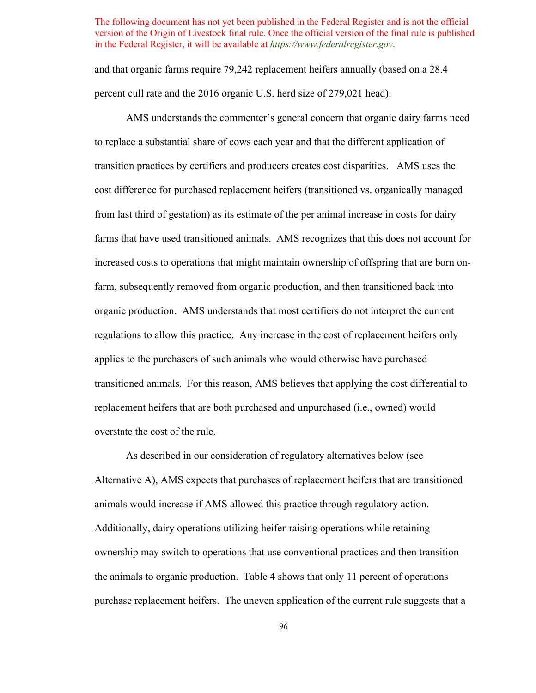and that organic farms require 79,242 replacement heifers annually (based on a 28.4 percent cull rate and the 2016 organic U.S. herd size of 279,021 head).

 transition practices by certifiers and producers creates cost disparities. AMS uses the cost difference for purchased replacement heifers (transitioned vs. organically managed regulations to allow this practice. Any increase in the cost of replacement heifers only AMS understands the commenter's general concern that organic dairy farms need to replace a substantial share of cows each year and that the different application of from last third of gestation) as its estimate of the per animal increase in costs for dairy farms that have used transitioned animals. AMS recognizes that this does not account for increased costs to operations that might maintain ownership of offspring that are born onfarm, subsequently removed from organic production, and then transitioned back into organic production. AMS understands that most certifiers do not interpret the current applies to the purchasers of such animals who would otherwise have purchased transitioned animals. For this reason, AMS believes that applying the cost differential to replacement heifers that are both purchased and unpurchased (i.e., owned) would overstate the cost of the rule.

 As described in our consideration of regulatory alternatives below (see the animals to organic production. [Table 4](#page-100-0) shows that only 11 percent of operations Alternative A), AMS expects that purchases of replacement heifers that are transitioned animals would increase if AMS allowed this practice through regulatory action. Additionally, dairy operations utilizing heifer-raising operations while retaining ownership may switch to operations that use conventional practices and then transition purchase replacement heifers. The uneven application of the current rule suggests that a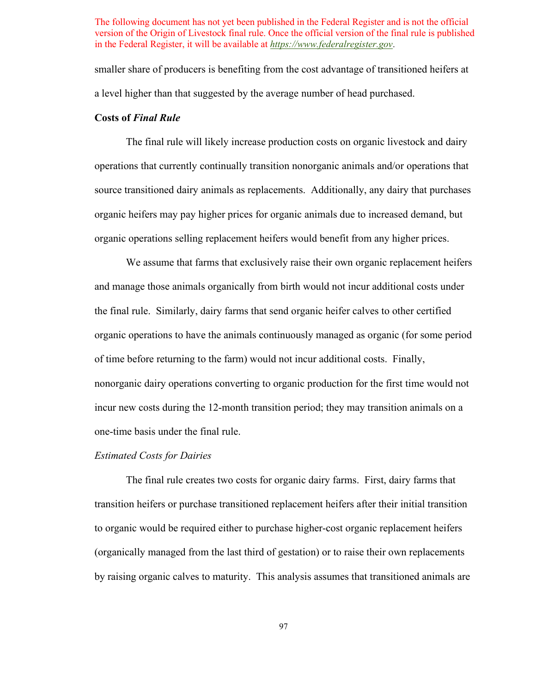smaller share of producers is benefiting from the cost advantage of transitioned heifers at a level higher than that suggested by the average number of head purchased.

# **Costs of** *Final Rule*

 The final rule will likely increase production costs on organic livestock and dairy organic heifers may pay higher prices for organic animals due to increased demand, but operations that currently continually transition nonorganic animals and/or operations that source transitioned dairy animals as replacements. Additionally, any dairy that purchases organic operations selling replacement heifers would benefit from any higher prices.

 the final rule. Similarly, dairy farms that send organic heifer calves to other certified one-time basis under the final rule. We assume that farms that exclusively raise their own organic replacement heifers and manage those animals organically from birth would not incur additional costs under organic operations to have the animals continuously managed as organic (for some period of time before returning to the farm) would not incur additional costs. Finally, nonorganic dairy operations converting to organic production for the first time would not incur new costs during the 12-month transition period; they may transition animals on a

#### *Estimated Costs for Dairies*

 by raising organic calves to maturity. This analysis assumes that transitioned animals are The final rule creates two costs for organic dairy farms. First, dairy farms that transition heifers or purchase transitioned replacement heifers after their initial transition to organic would be required either to purchase higher-cost organic replacement heifers (organically managed from the last third of gestation) or to raise their own replacements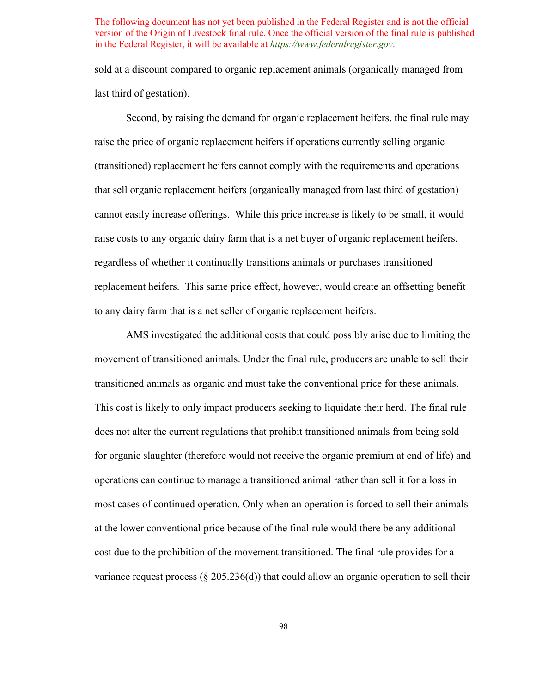sold at a discount compared to organic replacement animals (organically managed from last third of gestation).

 Second, by raising the demand for organic replacement heifers, the final rule may replacement heifers. This same price effect, however, would create an offsetting benefit raise the price of organic replacement heifers if operations currently selling organic (transitioned) replacement heifers cannot comply with the requirements and operations that sell organic replacement heifers (organically managed from last third of gestation) cannot easily increase offerings. While this price increase is likely to be small, it would raise costs to any organic dairy farm that is a net buyer of organic replacement heifers, regardless of whether it continually transitions animals or purchases transitioned to any dairy farm that is a net seller of organic replacement heifers.

 does not alter the current regulations that prohibit transitioned animals from being sold for organic slaughter (therefore would not receive the organic premium at end of life) and cost due to the prohibition of the movement transitioned. The final rule provides for a variance request process (§ 205.236(d)) that could allow an organic operation to sell their AMS investigated the additional costs that could possibly arise due to limiting the movement of transitioned animals. Under the final rule, producers are unable to sell their transitioned animals as organic and must take the conventional price for these animals. This cost is likely to only impact producers seeking to liquidate their herd. The final rule operations can continue to manage a transitioned animal rather than sell it for a loss in most cases of continued operation. Only when an operation is forced to sell their animals at the lower conventional price because of the final rule would there be any additional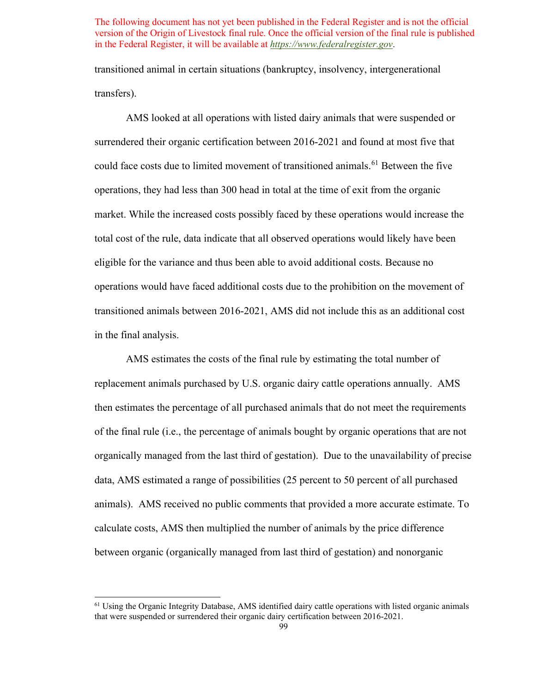transfers). transitioned animal in certain situations (bankruptcy, insolvency, intergenerational

 operations would have faced additional costs due to the prohibition on the movement of AMS looked at all operations with listed dairy animals that were suspended or surrendered their organic certification between 2016-2021 and found at most five that could face costs due to limited movement of transitioned animals.<sup>61</sup> Between the five operations, they had less than 300 head in total at the time of exit from the organic market. While the increased costs possibly faced by these operations would increase the total cost of the rule, data indicate that all observed operations would likely have been eligible for the variance and thus been able to avoid additional costs. Because no transitioned animals between 2016-2021, AMS did not include this as an additional cost in the final analysis.

 replacement animals purchased by U.S. organic dairy cattle operations annually. AMS of the final rule (i.e., the percentage of animals bought by organic operations that are not organically managed from the last third of gestation). Due to the unavailability of precise AMS estimates the costs of the final rule by estimating the total number of then estimates the percentage of all purchased animals that do not meet the requirements data, AMS estimated a range of possibilities (25 percent to 50 percent of all purchased animals). AMS received no public comments that provided a more accurate estimate. To calculate costs, AMS then multiplied the number of animals by the price difference between organic (organically managed from last third of gestation) and nonorganic

<span id="page-98-0"></span><sup>&</sup>lt;sup>61</sup> Using the Organic Integrity Database, AMS identified dairy cattle operations with listed organic animals that were suspended or surrendered their organic dairy certification between 2016-2021.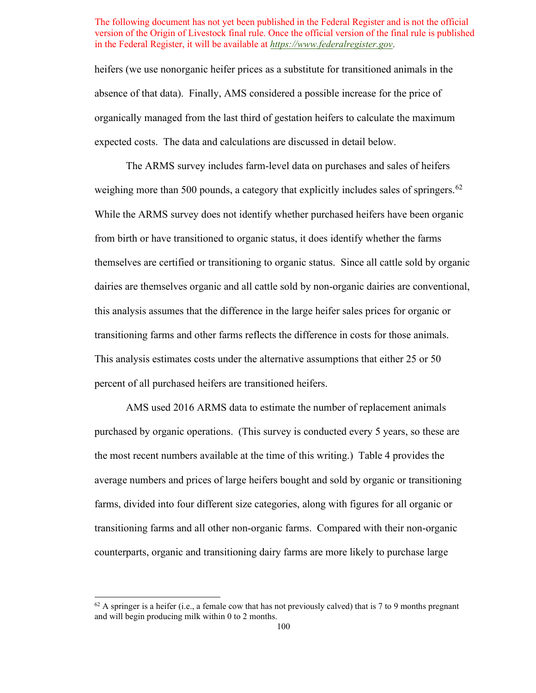absence of that data). Finally, AMS considered a possible increase for the price of organically managed from the last third of gestation heifers to calculate the maximum expected costs. The data and calculations are discussed in detail below. heifers (we use nonorganic heifer prices as a substitute for transitioned animals in the

weighing more than 500 pounds, a category that explicitly includes sales of springers.<sup>62</sup> this analysis assumes that the difference in the large heifer sales prices for organic or The ARMS survey includes farm-level data on purchases and sales of heifers While the ARMS survey does not identify whether purchased heifers have been organic from birth or have transitioned to organic status, it does identify whether the farms themselves are certified or transitioning to organic status. Since all cattle sold by organic dairies are themselves organic and all cattle sold by non-organic dairies are conventional, transitioning farms and other farms reflects the difference in costs for those animals. This analysis estimates costs under the alternative assumptions that either 25 or 50 percent of all purchased heifers are transitioned heifers.

 purchased by organic operations. (This survey is conducted every 5 years, so these are the most recent numbers available at the time of this writing.) [Table 4](#page-100-0) provides the transitioning farms and all other non-organic farms. Compared with their non-organic counterparts, organic and transitioning dairy farms are more likely to purchase large AMS used 2016 ARMS data to estimate the number of replacement animals average numbers and prices of large heifers bought and sold by organic or transitioning farms, divided into four different size categories, along with figures for all organic or

<span id="page-99-0"></span> $62$  A springer is a heifer (i.e., a female cow that has not previously calved) that is 7 to 9 months pregnant and will begin producing milk within 0 to 2 months.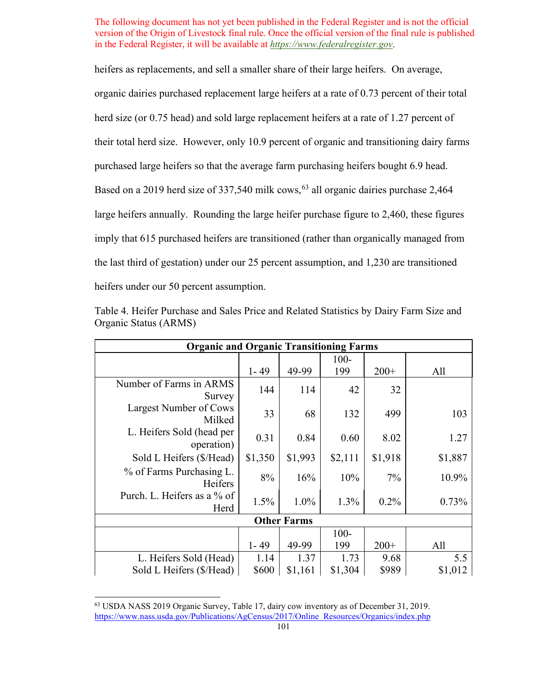large heifers annually. Rounding the large heifer purchase figure to 2,460, these figures heifers as replacements, and sell a smaller share of their large heifers. On average, organic dairies purchased replacement large heifers at a rate of 0.73 percent of their total herd size (or 0.75 head) and sold large replacement heifers at a rate of 1.27 percent of their total herd size. However, only 10.9 percent of organic and transitioning dairy farms purchased large heifers so that the average farm purchasing heifers bought 6.9 head. Based on a 2019 herd size of 337,540 milk cows,  $63$  all organic dairies purchase 2,464 imply that 615 purchased heifers are transitioned (rather than organically managed from the last third of gestation) under our 25 percent assumption, and 1,230 are transitioned heifers under our 50 percent assumption.

| <b>Organic and Organic Transitioning Farms</b> |          |         |         |         |         |  |
|------------------------------------------------|----------|---------|---------|---------|---------|--|
|                                                |          |         | $100 -$ |         |         |  |
|                                                | $1 - 49$ | 49-99   | 199     | $200+$  | All     |  |
| Number of Farms in ARMS<br>Survey              | 144      | 114     | 42      | 32      |         |  |
| Largest Number of Cows<br>Milked               | 33       | 68      | 132     | 499     | 103     |  |
| L. Heifers Sold (head per<br>operation)        | 0.31     | 0.84    | 0.60    | 8.02    | 1.27    |  |
| Sold L Heifers (\$/Head)                       | \$1,350  | \$1,993 | \$2,111 | \$1,918 | \$1,887 |  |
| % of Farms Purchasing L.<br>Heifers            | $8\%$    | 16%     | 10%     | 7%      | 10.9%   |  |
| Purch. L. Heifers as a % of<br>Herd            | 1.5%     | 1.0%    | 1.3%    | $0.2\%$ | 0.73%   |  |
| <b>Other Farms</b>                             |          |         |         |         |         |  |
|                                                |          |         | $100 -$ |         |         |  |
|                                                | $1 - 49$ | 49-99   | 199     | $200+$  | All     |  |
| L. Heifers Sold (Head)                         | 1.14     | 1.37    | 1.73    | 9.68    | 5.5     |  |
| Sold L Heifers (\$/Head)                       | \$600    | \$1,161 | \$1,304 | \$989   | \$1,012 |  |

<span id="page-100-0"></span>Table 4. Heifer Purchase and Sales Price and Related Statistics by Dairy Farm Size and Organic Status (ARMS)

<span id="page-100-1"></span> 63 USDA NASS 2019 Organic Survey, Table 17, dairy cow inventory as of December 31, 2019. [https://www.nass.usda.gov/Publications/AgCensus/2017/Online\\_Resources/Organics/index.php](https://www.nass.usda.gov/Publications/AgCensus/2017/Online_Resources/Organics/index.php) 101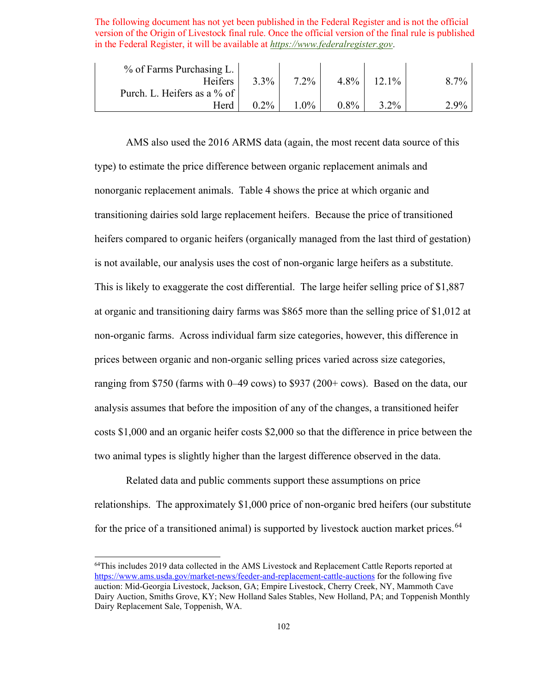| $%$ of Farms Purchasing L.  |         |         |         |                |                 |
|-----------------------------|---------|---------|---------|----------------|-----------------|
| Heifers                     | $3.3\%$ | $7.2\%$ | $4.8\%$ | $\frac{10}{6}$ | 70 <sub>o</sub> |
| Purch. L. Heifers as a % of |         |         |         |                |                 |
| Herd                        | $0.2\%$ | $0\%$   | 8%      | $2\%$          | ു ∩0            |

 type) to estimate the price difference between organic replacement animals and is not available, our analysis uses the cost of non-organic large heifers as a substitute. AMS also used the 2016 ARMS data (again, the most recent data source of this nonorganic replacement animals. [Table 4](#page-100-0) shows the price at which organic and transitioning dairies sold large replacement heifers. Because the price of transitioned heifers compared to organic heifers (organically managed from the last third of gestation) This is likely to exaggerate the cost differential. The large heifer selling price of \$1,887 at organic and transitioning dairy farms was \$865 more than the selling price of \$1,012 at non-organic farms. Across individual farm size categories, however, this difference in prices between organic and non-organic selling prices varied across size categories, ranging from \$750 (farms with 0–49 cows) to \$937 (200+ cows). Based on the data, our analysis assumes that before the imposition of any of the changes, a transitioned heifer costs \$1,000 and an organic heifer costs \$2,000 so that the difference in price between the two animal types is slightly higher than the largest difference observed in the data.

Related data and public comments support these assumptions on price relationships. The approximately \$1,000 price of non-organic bred heifers (our substitute for the price of a transitioned animal) is supported by livestock auction market prices.<sup>64</sup>

<span id="page-101-0"></span><sup>&</sup>lt;sup>64</sup>This includes 2019 data collected in the AMS Livestock and Replacement Cattle Reports reported at Dairy Replacement Sale, Toppenish, WA.<br>102 <https://www.ams.usda.gov/market-news/feeder-and-replacement-cattle-auctions>for the following five auction: Mid-Georgia Livestock, Jackson, GA; Empire Livestock, Cherry Creek, NY, Mammoth Cave Dairy Auction, Smiths Grove, KY; New Holland Sales Stables, New Holland, PA; and Toppenish Monthly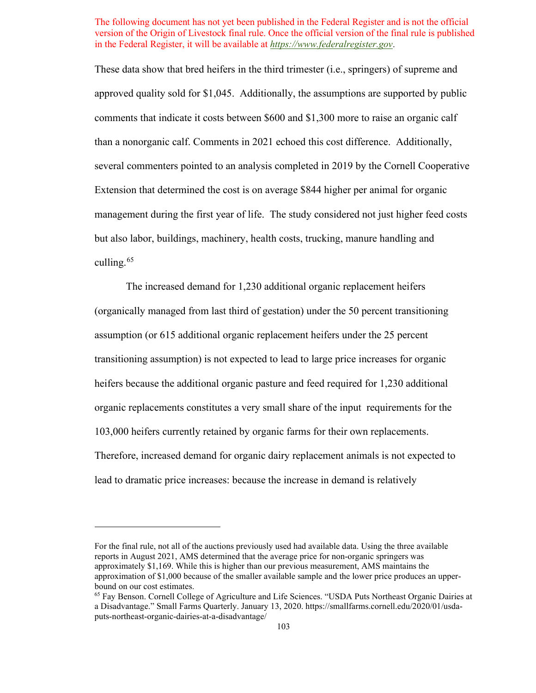Extension that determined the cost is on average \$844 higher per animal for organic management during the first year of life. The study considered not just higher feed costs These data show that bred heifers in the third trimester (i.e., springers) of supreme and approved quality sold for \$1,045. Additionally, the assumptions are supported by public comments that indicate it costs between \$600 and \$1,300 more to raise an organic calf than a nonorganic calf. Comments in 2021 echoed this cost difference. Additionally, several commenters pointed to an analysis completed in 2019 by the Cornell Cooperative but also labor, buildings, machinery, health costs, trucking, manure handling and culling. $65$ 

 assumption (or 615 additional organic replacement heifers under the 25 percent transitioning assumption) is not expected to lead to large price increases for organic heifers because the additional organic pasture and feed required for 1,230 additional organic replacements constitutes a very small share of the input requirements for the 103,000 heirers currently retained by organic farms for their own replacements. 103,000 heifers currently retained by organic farms for their own replacements. Therefore, increased demand for organic dairy replacement animals is not expected to The increased demand for 1,230 additional organic replacement heifers (organically managed from last third of gestation) under the 50 percent transitioning lead to dramatic price increases: because the increase in demand is relatively

For the final rule, not all of the auctions previously used had available data. Using the three available reports in August 2021, AMS determined that the average price for non-organic springers was approximately \$1,169. While this is higher than our previous measurement, AMS maintains the approximation of \$1,000 because of the smaller available sample and the lower price produces an upperbound on our cost estimates.

<span id="page-102-0"></span><sup>65</sup> Fay Benson. Cornell College of Agriculture and Life Sciences. "USDA Puts Northeast Organic Dairies at a Disadvantage." Small Farms Quarterly. January 13, 2020.<https://smallfarms.cornell.edu/2020/01/usda>puts-northeast-organic-dairies-at-a-disadvantage/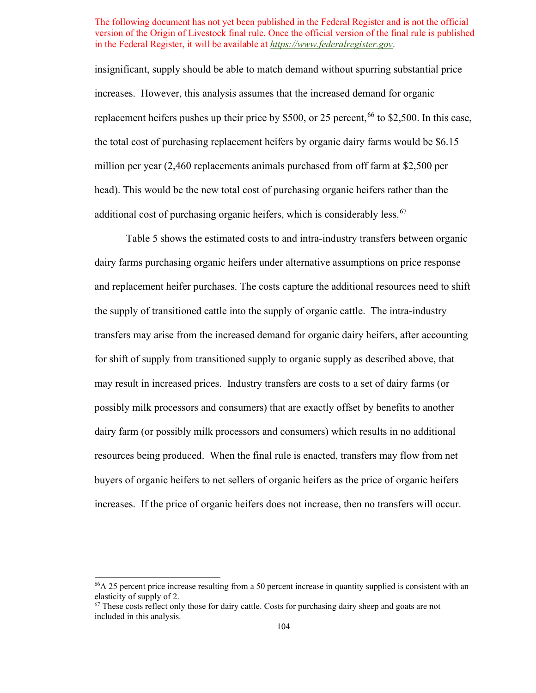increases. However, this analysis assumes that the increased demand for organic insignificant, supply should be able to match demand without spurring substantial price replacement heifers pushes up their price by \$500, or 25 percent,  $^{66}$  to \$2,500. In this case, the total cost of purchasing replacement heifers by organic dairy farms would be \$6.15 million per year (2,460 replacements animals purchased from off farm at \$2,500 per head). This would be the new total cost of purchasing organic heifers rather than the additional cost of purchasing organic heifers, which is considerably less. $67$ 

 the supply of transitioned cattle into the supply of organic cattle. The intra-industry transfers may arise from the increased demand for organic dairy heifers, after accounting for shift of supply from transitioned supply to organic supply as described above, that may result in increased prices. Industry transfers are costs to a set of dairy farms (or resources being produced. When the final rule is enacted, transfers may flow from net increases. If the price of organic heifers does not increase, then no transfers will occur. [Table 5](#page-104-0) shows the estimated costs to and intra-industry transfers between organic dairy farms purchasing organic heifers under alternative assumptions on price response and replacement heifer purchases. The costs capture the additional resources need to shift possibly milk processors and consumers) that are exactly offset by benefits to another dairy farm (or possibly milk processors and consumers) which results in no additional buyers of organic heifers to net sellers of organic heifers as the price of organic heifers

<span id="page-103-0"></span><sup>&</sup>lt;sup>66</sup>A 25 percent price increase resulting from a 50 percent increase in quantity supplied is consistent with an elasticity of supply of 2.

<span id="page-103-1"></span> $67$  These costs reflect only those for dairy cattle. Costs for purchasing dairy sheep and goats are not included in this analysis.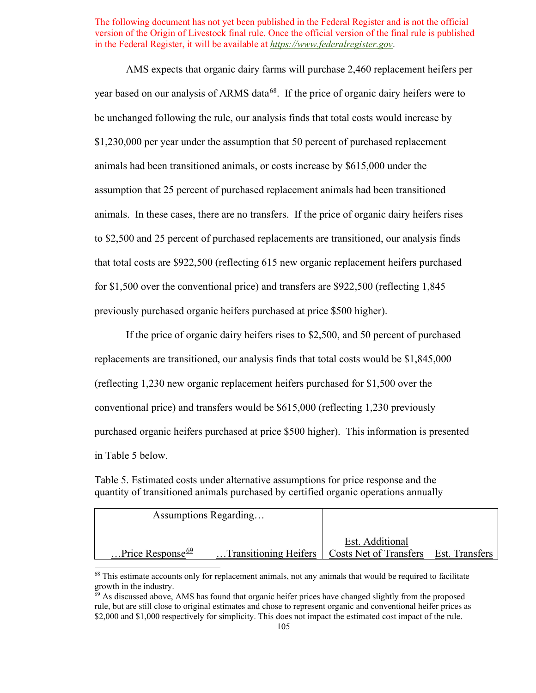animals. In these cases, there are no transfers. If the price of organic dairy heifers rises AMS expects that organic dairy farms will purchase 2,460 replacement heifers per year based on our analysis of ARMS data<sup>[68](#page-104-1)</sup>. If the price of organic dairy heifers were to be unchanged following the rule, our analysis finds that total costs would increase by \$1,230,000 per year under the assumption that 50 percent of purchased replacement animals had been transitioned animals, or costs increase by \$615,000 under the assumption that 25 percent of purchased replacement animals had been transitioned to \$2,500 and 25 percent of purchased replacements are transitioned, our analysis finds that total costs are \$922,500 (reflecting 615 new organic replacement heifers purchased for \$1,500 over the conventional price) and transfers are \$922,500 (reflecting 1,845 previously purchased organic heifers purchased at price \$500 higher).

 If the price of organic dairy heifers rises to \$2,500, and 50 percent of purchased replacements are transitioned, our analysis finds that total costs would be \$1,845,000 (reflecting 1,230 new organic replacement heifers purchased for \$1,500 over the conventional price) and transfers would be \$615,000 (reflecting 1,230 previously purchased organic heifers purchased at price \$500 higher). This information is presented in [Table 5](#page-104-0) below.

<span id="page-104-0"></span>Table 5. Estimated costs under alternative assumptions for price response and the quantity of transitioned animals purchased by certified organic operations annually

| Assumptions Regarding         |                                                               |                 |  |
|-------------------------------|---------------------------------------------------------------|-----------------|--|
|                               |                                                               | Est. Additional |  |
| Price Response $\frac{69}{2}$ | Transitioning Heifers   Costs Net of Transfers Est. Transfers |                 |  |

<span id="page-104-1"></span><sup>&</sup>lt;sup>68</sup> This estimate accounts only for replacement animals, not any animals that would be required to facilitate growth in the industry.

<span id="page-104-2"></span> $69$  As discussed above, AMS has found that organic heifer prices have changed slightly from the proposed rule, but are still close to original estimates and chose to represent organic and conventional heifer prices as \$2,000 and \$1,000 respectively for simplicity. This does not impact the estimated cost impact of the rule.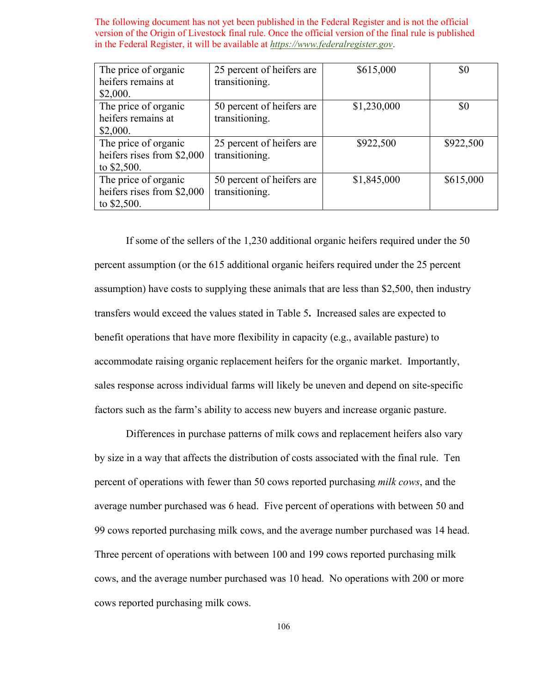| The price of organic       | 25 percent of heifers are | \$615,000   | \$0       |
|----------------------------|---------------------------|-------------|-----------|
| heifers remains at         | transitioning.            |             |           |
| \$2,000.                   |                           |             |           |
| The price of organic       | 50 percent of heifers are | \$1,230,000 | \$0       |
| heifers remains at         | transitioning.            |             |           |
| \$2,000.                   |                           |             |           |
| The price of organic       | 25 percent of heifers are | \$922,500   | \$922,500 |
| heifers rises from \$2,000 | transitioning.            |             |           |
| to $$2,500$ .              |                           |             |           |
| The price of organic       | 50 percent of heifers are | \$1,845,000 | \$615,000 |
| heifers rises from \$2,000 | transitioning.            |             |           |
| to $$2,500$ .              |                           |             |           |

 percent assumption (or the 615 additional organic heifers required under the 25 percent transfers would exceed the values stated in [Table 5](#page-104-0)**.** Increased sales are expected to If some of the sellers of the 1,230 additional organic heifers required under the 50 assumption) have costs to supplying these animals that are less than \$2,500, then industry benefit operations that have more flexibility in capacity (e.g., available pasture) to accommodate raising organic replacement heifers for the organic market. Importantly, sales response across individual farms will likely be uneven and depend on site-specific factors such as the farm's ability to access new buyers and increase organic pasture.

 by size in a way that affects the distribution of costs associated with the final rule. Ten average number purchased was 6 head. Five percent of operations with between 50 and 99 cows reported purchasing milk cows, and the average number purchased was 14 head. Differences in purchase patterns of milk cows and replacement heifers also vary percent of operations with fewer than 50 cows reported purchasing *milk cows*, and the Three percent of operations with between 100 and 199 cows reported purchasing milk cows, and the average number purchased was 10 head. No operations with 200 or more cows reported purchasing milk cows.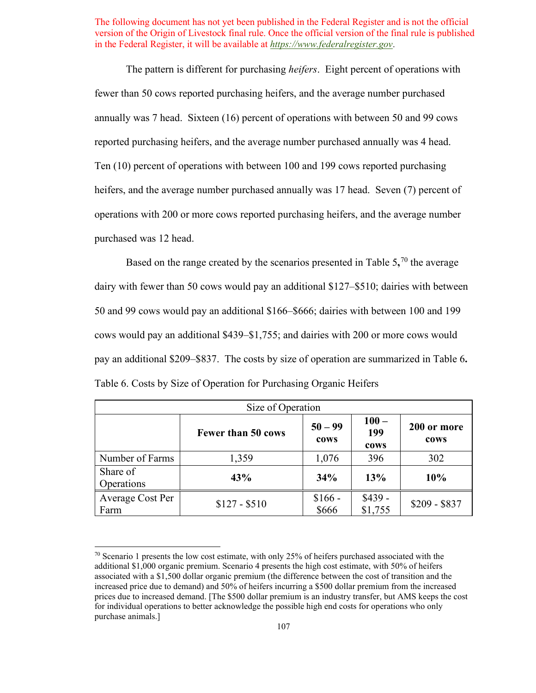annually was 7 head. Sixteen (16) percent of operations with between 50 and 99 cows reported purchasing heifers, and the average number purchased annually was 4 head. heifers, and the average number purchased annually was 17 head. Seven (7) percent of operations with 200 or more cows reported purchasing heifers, and the average number purchased was 12 head. The pattern is different for purchasing *heifers*. Eight percent of operations with fewer than 50 cows reported purchasing heifers, and the average number purchased Ten (10) percent of operations with between 100 and 199 cows reported purchasing

purchased was 12 head.<br>Based on the range created by the scenarios presented in [Table 5](#page-104-0),<sup>70</sup> the average dairy with fewer than 50 cows would pay an additional \$127–\$510; dairies with between 50 and 99 cows would pay an additional \$166–\$666; dairies with between 100 and 199 cows would pay an additional \$439–\$1,755; and dairies with 200 or more cows would pay an additional \$209–\$837. The costs by size of operation are summarized in [Table 6](#page-106-0)**.**  Table 6. Costs by Size of Operation for Purchasing Organic Heifers

<span id="page-106-0"></span>

| Size of Operation        |                           |                   |                        |                     |  |  |
|--------------------------|---------------------------|-------------------|------------------------|---------------------|--|--|
|                          | <b>Fewer than 50 cows</b> | $50 - 99$<br>cows | $100 -$<br>199<br>cows | 200 or more<br>cows |  |  |
| Number of Farms          | 1,359                     | 1,076             | 396                    | 302                 |  |  |
| Share of<br>Operations   | 43%                       | 34%               | 13%                    | 10%                 |  |  |
| Average Cost Per<br>Farm | $$127 - $510$             | $$166 -$<br>\$666 | $$439 -$<br>\$1,755    | $$209 - $837$       |  |  |

<span id="page-106-1"></span> $70$  Scenario 1 presents the low cost estimate, with only 25% of heifers purchased associated with the additional \$1,000 organic premium. Scenario 4 presents the high cost estimate, with 50% of heifers associated with a \$1,500 dollar organic premium (the difference between the cost of transition and the increased price due to demand) and 50% of heifers incurring a \$500 dollar premium from the increased prices due to increased demand. [The \$500 dollar premium is an industry transfer, but AMS keeps the cost for individual operations to better acknowledge the possible high end costs for operations who only purchase animals.]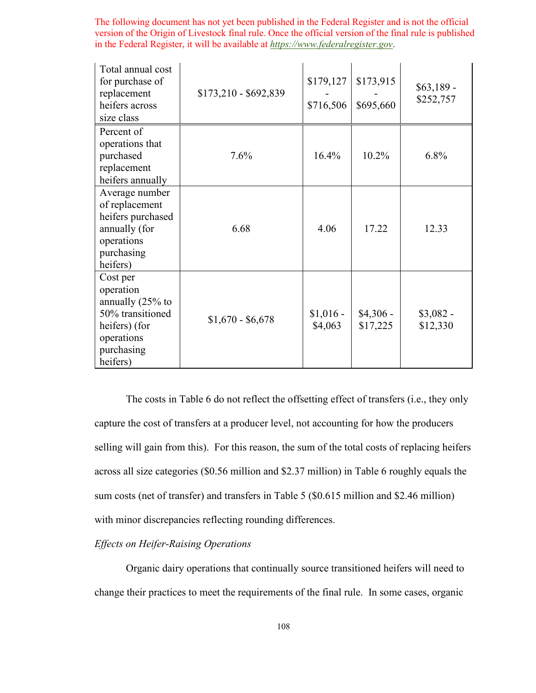| Total annual cost<br>for purchase of<br>replacement<br>heifers across<br>size class                                    | $$173,210 - $692,839$ | \$179,127<br>\$716,506 | \$173,915<br>\$695,660 | $$63,189$ -<br>\$252,757 |
|------------------------------------------------------------------------------------------------------------------------|-----------------------|------------------------|------------------------|--------------------------|
| Percent of<br>operations that<br>purchased<br>replacement<br>heifers annually                                          | 7.6%                  | 16.4%                  | 10.2%                  | 6.8%                     |
| Average number<br>of replacement<br>heifers purchased<br>annually (for<br>operations<br>purchasing<br>heifers)         | 6.68                  | 4.06                   | 17.22                  | 12.33                    |
| Cost per<br>operation<br>annually (25% to<br>50% transitioned<br>heifers) (for<br>operations<br>purchasing<br>heifers) | $$1,670 - $6,678$     | $$1,016$ -<br>\$4,063  | $$4,306$ -<br>\$17,225 | $$3,082-$<br>\$12,330    |

 capture the cost of transfers at a producer level, not accounting for how the producers sum costs (net of transfer) and transfers in [Table 5](#page-104-0) (\$0.615 million and \$2.46 million) The costs in [Table 6](#page-106-0) do not reflect the offsetting effect of transfers (i.e., they only selling will gain from this). For this reason, the sum of the total costs of replacing heifers across all size categories (\$0.56 million and \$2.37 million) in [Table 6](#page-106-0) roughly equals the with minor discrepancies reflecting rounding differences.

# *Effects on Heifer-Raising Operations*

 Organic dairy operations that continually source transitioned heifers will need to change their practices to meet the requirements of the final rule. In some cases, organic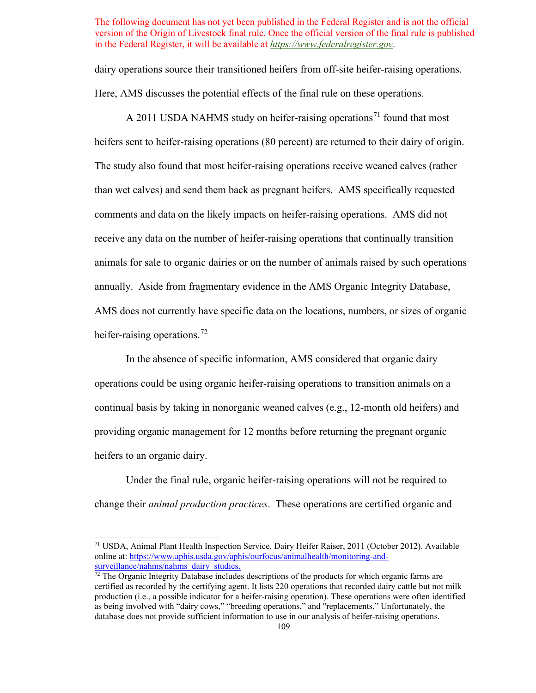dairy operations source their transitioned heifers from off-site heifer-raising operations. Here, AMS discusses the potential effects of the final rule on these operations.

 than wet calves) and send them back as pregnant heifers. AMS specifically requested A 2011 USDA NAHMS study on heifer-raising operations<sup>[71](#page-108-0)</sup> found that most heifers sent to heifer-raising operations (80 percent) are returned to their dairy of origin. The study also found that most heifer-raising operations receive weaned calves (rather comments and data on the likely impacts on heifer-raising operations. AMS did not receive any data on the number of heifer-raising operations that continually transition animals for sale to organic dairies or on the number of animals raised by such operations annually. Aside from fragmentary evidence in the AMS Organic Integrity Database, AMS does not currently have specific data on the locations, numbers, or sizes of organic heifer-raising operations.<sup>[72](#page-108-1)</sup>

In the absence of specific information, AMS considered that organic dairy operations could be using organic heifer-raising operations to transition animals on a continual basis by taking in nonorganic weaned calves (e.g., 12-month old heifers) and providing organic management for 12 months before returning the pregnant organic heifers to an organic dairy.

 Under the final rule, organic heifer-raising operations will not be required to change their *animal production practices*. These operations are certified organic and

<span id="page-108-0"></span> 71 USDA, Animal Plant Health Inspection Service. Dairy Heifer Raiser, 2011 (October 2012). Available online at: [https://www.aphis.usda.gov/aphis/ourfocus/animalhealth/monitoring-and](https://www.aphis.usda.gov/aphis/ourfocus/animalhealth/monitoring-and-surveillance/nahms/nahms_dairy_studies) $surveillance/nahms/nahms$  dairy\_studies.<br><sup>72</sup> The Organic Integrity Database includes descriptions of the products for which organic farms are

<span id="page-108-1"></span>certified as recorded by the certifying agent. It lists 220 operations that recorded dairy cattle but not milk production (i.e., a possible indicator for a heifer-raising operation). These operations were often identified as being involved with "dairy cows," "breeding operations," and "replacements." Unfortunately, the database does not provide sufficient information to use in our analysis of heifer-raising operations.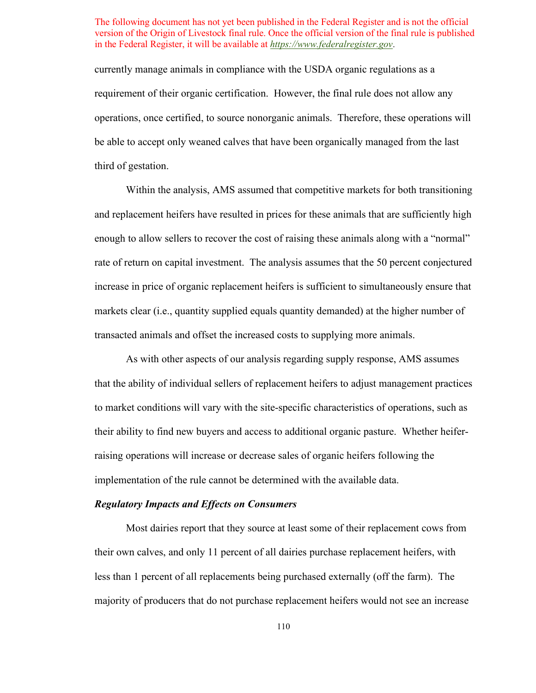requirement of their organic certification. However, the final rule does not allow any currently manage animals in compliance with the USDA organic regulations as a operations, once certified, to source nonorganic animals. Therefore, these operations will be able to accept only weaned calves that have been organically managed from the last third of gestation.

Within the analysis, AMS assumed that competitive markets for both transitioning and replacement heifers have resulted in prices for these animals that are sufficiently high enough to allow sellers to recover the cost of raising these animals along with a "normal" rate of return on capital investment. The analysis assumes that the 50 percent conjectured increase in price of organic replacement heifers is sufficient to simultaneously ensure that markets clear (i.e., quantity supplied equals quantity demanded) at the higher number of transacted animals and offset the increased costs to supplying more animals.

As with other aspects of our analysis regarding supply response, AMS assumes that the ability of individual sellers of replacement heifers to adjust management practices to market conditions will vary with the site-specific characteristics of operations, such as their ability to find new buyers and access to additional organic pasture. Whether heiferraising operations will increase or decrease sales of organic heifers following the implementation of the rule cannot be determined with the available data.

#### *Regulatory Impacts and Effects on Consumers*

 Most dairies report that they source at least some of their replacement cows from their own calves, and only 11 percent of all dairies purchase replacement heifers, with less than 1 percent of all replacements being purchased externally (off the farm). The majority of producers that do not purchase replacement heifers would not see an increase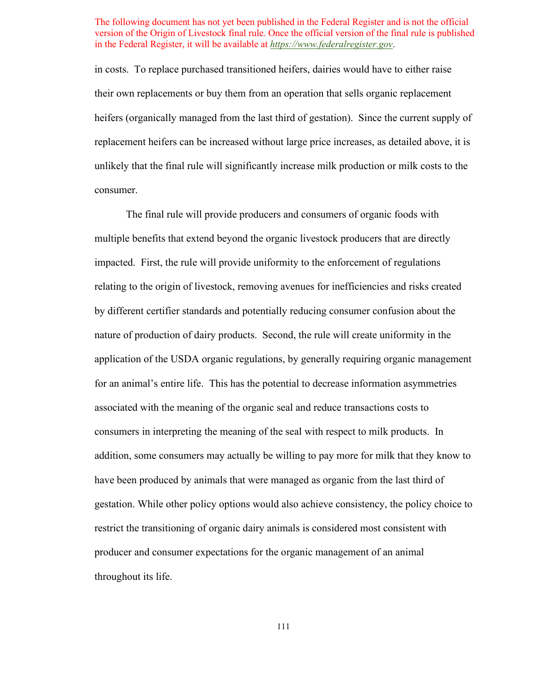in costs. To replace purchased transitioned heifers, dairies would have to either raise heifers (organically managed from the last third of gestation). Since the current supply of unlikely that the final rule will significantly increase milk production or milk costs to the their own replacements or buy them from an operation that sells organic replacement replacement heifers can be increased without large price increases, as detailed above, it is consumer.

 The final rule will provide producers and consumers of organic foods with impacted. First, the rule will provide uniformity to the enforcement of regulations by different certifier standards and potentially reducing consumer confusion about the nature of production of dairy products. Second, the rule will create uniformity in the for an animal's entire life. This has the potential to decrease information asymmetries producer and consumer expectations for the organic management of an animal throughout its life. multiple benefits that extend beyond the organic livestock producers that are directly relating to the origin of livestock, removing avenues for inefficiencies and risks created application of the USDA organic regulations, by generally requiring organic management associated with the meaning of the organic seal and reduce transactions costs to consumers in interpreting the meaning of the seal with respect to milk products. In addition, some consumers may actually be willing to pay more for milk that they know to have been produced by animals that were managed as organic from the last third of gestation. While other policy options would also achieve consistency, the policy choice to restrict the transitioning of organic dairy animals is considered most consistent with throughout its life.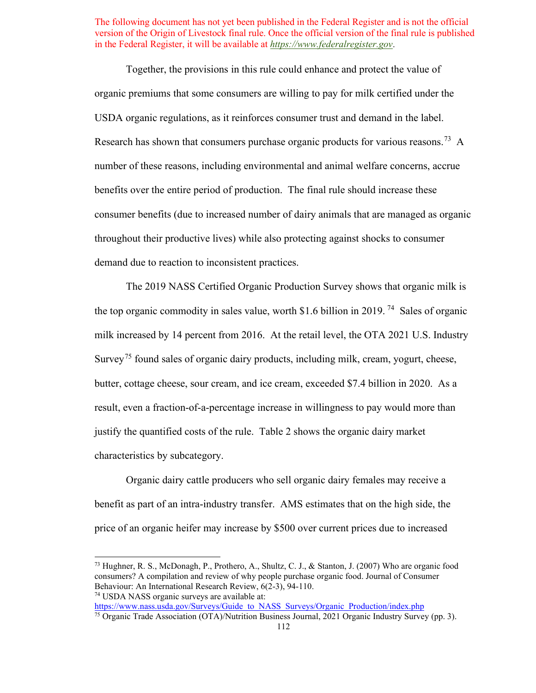USDA organic regulations, as it reinforces consumer trust and demand in the label. Research has shown that consumers purchase organic products for various reasons.<sup>73</sup> A Together, the provisions in this rule could enhance and protect the value of organic premiums that some consumers are willing to pay for milk certified under the number of these reasons, including environmental and animal welfare concerns, accrue benefits over the entire period of production. The final rule should increase these consumer benefits (due to increased number of dairy animals that are managed as organic throughout their productive lives) while also protecting against shocks to consumer demand due to reaction to inconsistent practices.

 The 2019 NASS Certified Organic Production Survey shows that organic milk is the top organic commodity in sales value, worth \$1.6 billion in 2019.<sup>74</sup> Sales of organic milk increased by 14 percent from 2016. At the retail level, the OTA 2021 U.S. Industry Survey<sup>75</sup> found sales of organic dairy products, including milk, cream, yogurt, cheese, butter, cottage cheese, sour cream, and ice cream, exceeded \$7.4 billion in 2020. As a result, even a fraction-of-a-percentage increase in willingness to pay would more than justify the quantified costs of the rule. [Table 2](#page-79-0) shows the organic dairy market characteristics by subcategory.

 price of an organic heifer may increase by \$500 over current prices due to increased Organic dairy cattle producers who sell organic dairy females may receive a benefit as part of an intra-industry transfer. AMS estimates that on the high side, the

<span id="page-111-0"></span> consumers? A compilation and review of why people purchase organic food. Journal of Consumer 73 Hughner, R. S., McDonagh, P., Prothero, A., Shultz, C. J., & Stanton, J. (2007) Who are organic food Behaviour: An International Research Review, 6(2-3), 94-110.<br><sup>74</sup> USDA NASS organic surveys are available at:

<span id="page-111-2"></span><span id="page-111-1"></span>https://www.nass.usda.gov/Surveys/Guide to NASS Surveys/Organic Production/index.php <sup>75</sup> Organic Trade Association (OTA)/Nutrition Business Journal, 2021 Organic Industry Survey (pp. 3).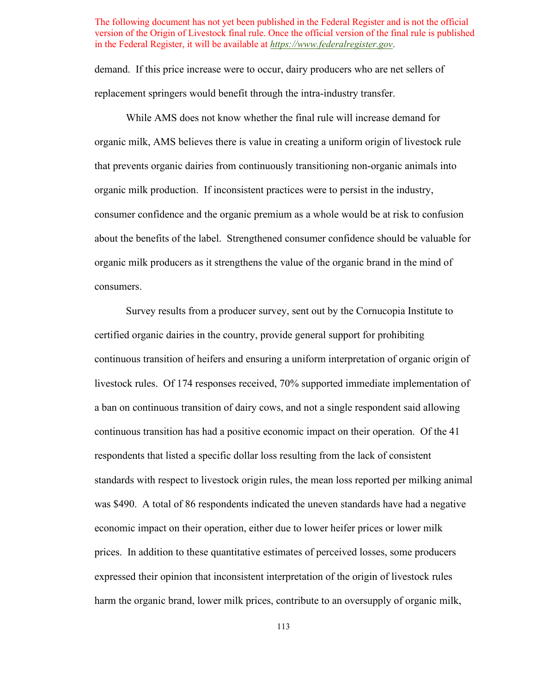demand. If this price increase were to occur, dairy producers who are net sellers of replacement springers would benefit through the intra-industry transfer.

 While AMS does not know whether the final rule will increase demand for that prevents organic dairies from continuously transitioning non-organic animals into organic milk production. If inconsistent practices were to persist in the industry, about the benefits of the label. Strengthened consumer confidence should be valuable for organic milk producers as it strengthens the value of the organic brand in the mind of organic milk, AMS believes there is value in creating a uniform origin of livestock rule consumer confidence and the organic premium as a whole would be at risk to confusion consumers.

 Survey results from a producer survey, sent out by the Cornucopia Institute to certified organic dairies in the country, provide general support for prohibiting continuous transition of heifers and ensuring a uniform interpretation of organic origin of livestock rules. Of 174 responses received, 70% supported immediate implementation of continuous transition has had a positive economic impact on their operation. Of the 41 respondents that listed a specific dollar loss resulting from the lack of consistent prices. In addition to these quantitative estimates of perceived losses, some producers a ban on continuous transition of dairy cows, and not a single respondent said allowing standards with respect to livestock origin rules, the mean loss reported per milking animal was \$490. A total of 86 respondents indicated the uneven standards have had a negative economic impact on their operation, either due to lower heifer prices or lower milk expressed their opinion that inconsistent interpretation of the origin of livestock rules harm the organic brand, lower milk prices, contribute to an oversupply of organic milk,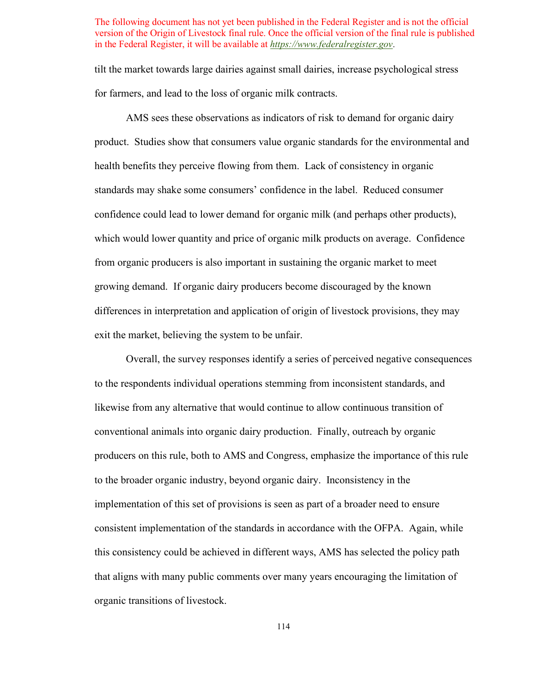tilt the market towards large dairies against small dairies, increase psychological stress for farmers, and lead to the loss of organic milk contracts.

 AMS sees these observations as indicators of risk to demand for organic dairy product. Studies show that consumers value organic standards for the environmental and health benefits they perceive flowing from them. Lack of consistency in organic standards may shake some consumers' confidence in the label. Reduced consumer which would lower quantity and price of organic milk products on average. Confidence confidence could lead to lower demand for organic milk (and perhaps other products), from organic producers is also important in sustaining the organic market to meet growing demand. If organic dairy producers become discouraged by the known differences in interpretation and application of origin of livestock provisions, they may exit the market, believing the system to be unfair.

 Overall, the survey responses identify a series of perceived negative consequences conventional animals into organic dairy production. Finally, outreach by organic implementation of this set of provisions is seen as part of a broader need to ensure consistent implementation of the standards in accordance with the OFPA. Again, while to the respondents individual operations stemming from inconsistent standards, and likewise from any alternative that would continue to allow continuous transition of producers on this rule, both to AMS and Congress, emphasize the importance of this rule to the broader organic industry, beyond organic dairy. Inconsistency in the this consistency could be achieved in different ways, AMS has selected the policy path that aligns with many public comments over many years encouraging the limitation of organic transitions of livestock.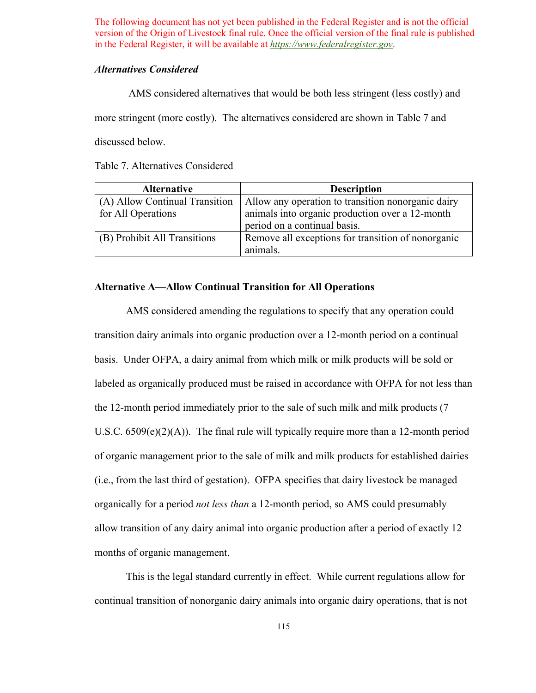### *Alternatives Considered*

AMS considered alternatives that would be both less stringent (less costly) and

more stringent (more costly). The alternatives considered are shown in [Table 7](#page-114-0) and

discussed below.

<span id="page-114-0"></span>Table 7. Alternatives Considered

| <b>Alternative</b>             | <b>Description</b>                                 |  |  |
|--------------------------------|----------------------------------------------------|--|--|
| (A) Allow Continual Transition | Allow any operation to transition nonorganic dairy |  |  |
| for All Operations             | animals into organic production over a 12-month    |  |  |
|                                | period on a continual basis.                       |  |  |
| (B) Prohibit All Transitions   | Remove all exceptions for transition of nonorganic |  |  |
|                                | animals.                                           |  |  |

## **Alternative A—Allow Continual Transition for All Operations**

 basis. Under OFPA, a dairy animal from which milk or milk products will be sold or U.S.C.  $6509(e)(2)(A)$ ). The final rule will typically require more than a 12-month period organically for a period *not less than* a 12-month period, so AMS could presumably allow transition of any dairy animal into organic production after a period of exactly 12 months of organic management. AMS considered amending the regulations to specify that any operation could transition dairy animals into organic production over a 12-month period on a continual labeled as organically produced must be raised in accordance with OFPA for not less than the 12-month period immediately prior to the sale of such milk and milk products (7 of organic management prior to the sale of milk and milk products for established dairies (i.e., from the last third of gestation). OFPA specifies that dairy livestock be managed

This is the legal standard currently in effect. While current regulations allow for continual transition of nonorganic dairy animals into organic dairy operations, that is not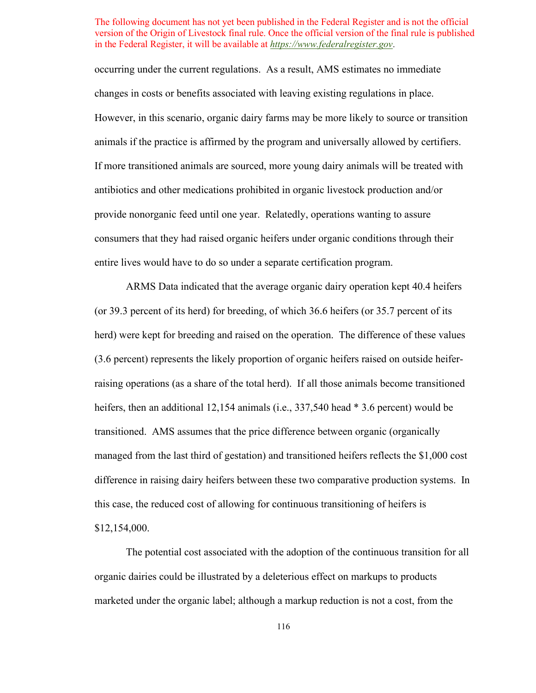occurring under the current regulations. As a result, AMS estimates no immediate provide nonorganic feed until one year. Relatedly, operations wanting to assure entire lives would have to do so under a separate certification program. changes in costs or benefits associated with leaving existing regulations in place. However, in this scenario, organic dairy farms may be more likely to source or transition animals if the practice is affirmed by the program and universally allowed by certifiers. If more transitioned animals are sourced, more young dairy animals will be treated with antibiotics and other medications prohibited in organic livestock production and/or consumers that they had raised organic heifers under organic conditions through their

 herd) were kept for breeding and raised on the operation. The difference of these values heifers, then an additional 12,154 animals (i.e., 337,540 head \* 3.6 percent) would be difference in raising dairy heifers between these two comparative production systems. In ARMS Data indicated that the average organic dairy operation kept 40.4 heifers (or 39.3 percent of its herd) for breeding, of which 36.6 heifers (or 35.7 percent of its (3.6 percent) represents the likely proportion of organic heifers raised on outside heiferraising operations (as a share of the total herd). If all those animals become transitioned transitioned. AMS assumes that the price difference between organic (organically managed from the last third of gestation) and transitioned heifers reflects the \$1,000 cost this case, the reduced cost of allowing for continuous transitioning of heifers is \$12,154,000.

The potential cost associated with the adoption of the continuous transition for all organic dairies could be illustrated by a deleterious effect on markups to products marketed under the organic label; although a markup reduction is not a cost, from the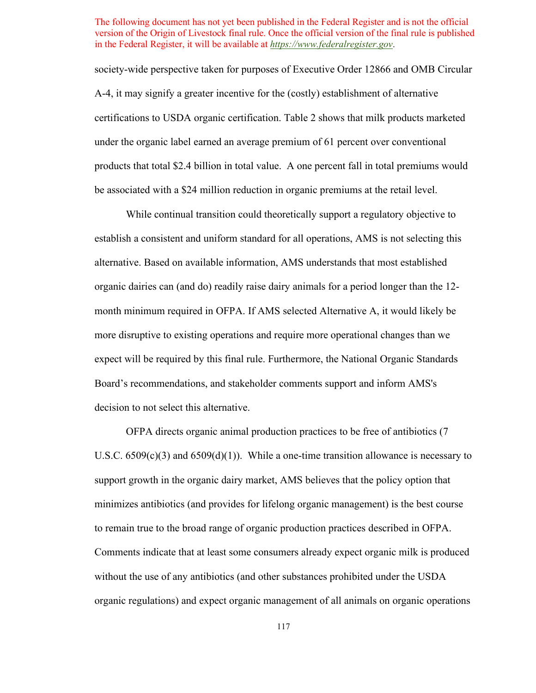A-4, it may signify a greater incentive for the (costly) establishment of alternative certifications to USDA organic certification. [Table 2](#page-79-0) shows that milk products marketed under the organic label earned an average premium of 61 percent over conventional products that total \$2.4 billion in total value. A one percent fall in total premiums would society-wide perspective taken for purposes of Executive Order 12866 and OMB Circular be associated with a \$24 million reduction in organic premiums at the retail level.

 establish a consistent and uniform standard for all operations, AMS is not selecting this organic dairies can (and do) readily raise dairy animals for a period longer than the 12- month minimum required in OFPA. If AMS selected Alternative A, it would likely be more disruptive to existing operations and require more operational changes than we Board's recommendations, and stakeholder comments support and inform AMS's While continual transition could theoretically support a regulatory objective to alternative. Based on available information, AMS understands that most established expect will be required by this final rule. Furthermore, the National Organic Standards decision to not select this alternative.

U.S.C.  $6509(c)(3)$  and  $6509(d)(1)$ ). While a one-time transition allowance is necessary to to remain true to the broad range of organic production practices described in OFPA. Comments indicate that at least some consumers already expect organic milk is produced OFPA directs organic animal production practices to be free of antibiotics (7 support growth in the organic dairy market, AMS believes that the policy option that minimizes antibiotics (and provides for lifelong organic management) is the best course without the use of any antibiotics (and other substances prohibited under the USDA organic regulations) and expect organic management of all animals on organic operations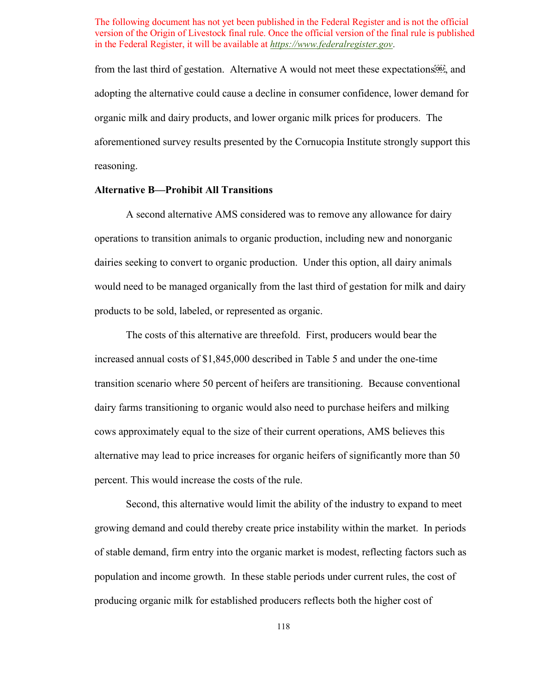from the last third of gestation. Alternative A would not meet these expectations<sup>ton</sup>, and adopting the alternative could cause a decline in consumer confidence, lower demand for aforementioned survey results presented by the Cornucopia Institute strongly support this organic milk and dairy products, and lower organic milk prices for producers. The reasoning.

### **Alternative B—Prohibit All Transitions**

A second alternative AMS considered was to remove any allowance for dairy operations to transition animals to organic production, including new and nonorganic dairies seeking to convert to organic production. Under this option, all dairy animals would need to be managed organically from the last third of gestation for milk and dairy products to be sold, labeled, or represented as organic.

 alternative may lead to price increases for organic heifers of significantly more than 50 The costs of this alternative are threefold. First, producers would bear the increased annual costs of \$1,845,000 described in [Table 5](#page-104-0) and under the one-time transition scenario where 50 percent of heifers are transitioning. Because conventional dairy farms transitioning to organic would also need to purchase heifers and milking cows approximately equal to the size of their current operations, AMS believes this percent. This would increase the costs of the rule.

 growing demand and could thereby create price instability within the market. In periods Second, this alternative would limit the ability of the industry to expand to meet of stable demand, firm entry into the organic market is modest, reflecting factors such as population and income growth. In these stable periods under current rules, the cost of producing organic milk for established producers reflects both the higher cost of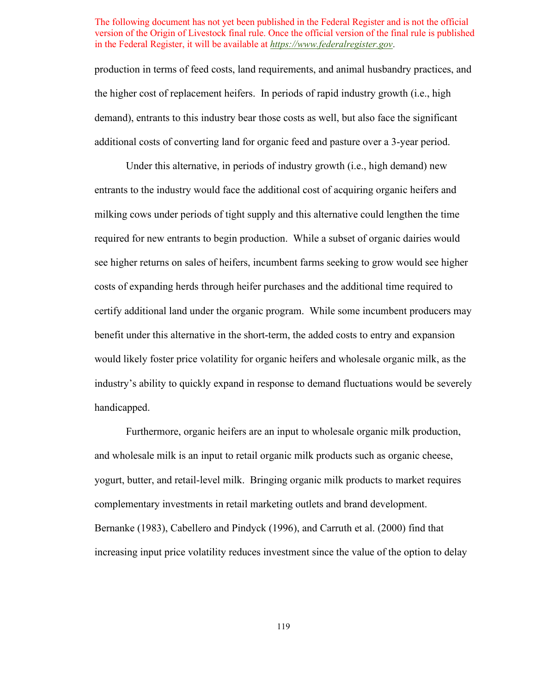the higher cost of replacement heifers. In periods of rapid industry growth (i.e., high demand), entrants to this industry bear those costs as well, but also face the significant production in terms of feed costs, land requirements, and animal husbandry practices, and additional costs of converting land for organic feed and pasture over a 3-year period.

 industry's ability to quickly expand in response to demand fluctuations would be severely Under this alternative, in periods of industry growth (i.e., high demand) new entrants to the industry would face the additional cost of acquiring organic heifers and milking cows under periods of tight supply and this alternative could lengthen the time required for new entrants to begin production. While a subset of organic dairies would see higher returns on sales of heifers, incumbent farms seeking to grow would see higher costs of expanding herds through heifer purchases and the additional time required to certify additional land under the organic program. While some incumbent producers may benefit under this alternative in the short-term, the added costs to entry and expansion would likely foster price volatility for organic heifers and wholesale organic milk, as the handicapped.

complementary investments in retail marketing outlets and brand development. complementary investments in retail marketing outlets and brand development. Bernanke (1983), Cabellero and Pindyck (1996), and Carruth et al. (2000) find that Furthermore, organic heifers are an input to wholesale organic milk production, and wholesale milk is an input to retail organic milk products such as organic cheese, yogurt, butter, and retail-level milk. Bringing organic milk products to market requires increasing input price volatility reduces investment since the value of the option to delay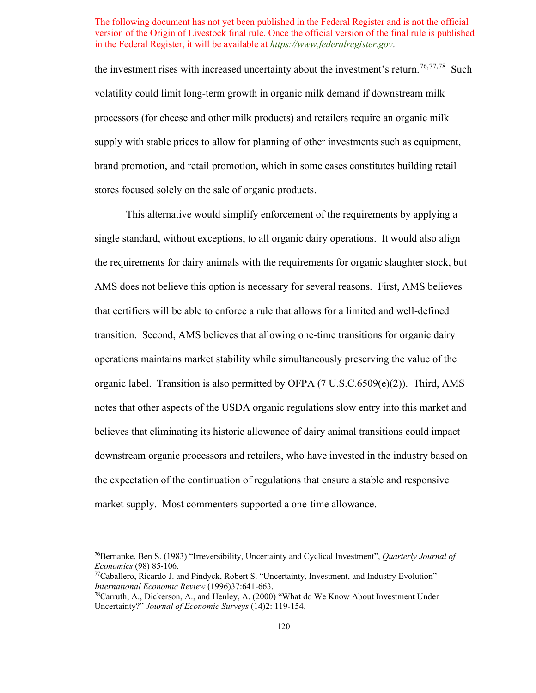the investment rises with increased uncertainty about the investment's return.<sup>[76,](#page-119-0)[77,](#page-119-1)[78](#page-119-2)</sup> Such supply with stable prices to allow for planning of other investments such as equipment, volatility could limit long-term growth in organic milk demand if downstream milk processors (for cheese and other milk products) and retailers require an organic milk brand promotion, and retail promotion, which in some cases constitutes building retail stores focused solely on the sale of organic products.

 single standard, without exceptions, to all organic dairy operations. It would also align the requirements for dairy animals with the requirements for organic slaughter stock, but AMS does not believe this option is necessary for several reasons. First, AMS believes operations maintains market stability while simultaneously preserving the value of the organic label. Transition is also permitted by OFPA (7 U.S.C.6509(e)(2)). Third, AMS market supply. Most commenters supported a one-time allowance. This alternative would simplify enforcement of the requirements by applying a that certifiers will be able to enforce a rule that allows for a limited and well-defined transition. Second, AMS believes that allowing one-time transitions for organic dairy notes that other aspects of the USDA organic regulations slow entry into this market and believes that eliminating its historic allowance of dairy animal transitions could impact downstream organic processors and retailers, who have invested in the industry based on the expectation of the continuation of regulations that ensure a stable and responsive

<span id="page-119-0"></span><sup>76</sup>Bernanke, Ben S. (1983) "Irreversibility, Uncertainty and Cyclical Investment", *Quarterly Journal of Economics* (98) 85-106.<br><sup>77</sup>Caballero, Ricardo J. and Pindyck, Robert S. "Uncertainty, Investment, and Industry Evolution"

<span id="page-119-1"></span>*International Economic Review* (1996)37:641-663.<br><sup>78</sup>Carruth, A., Dickerson, A., and Henley, A. (2000) "What do We Know About Investment Under

<span id="page-119-2"></span> Uncertainty?" *Journal of Economic Surveys* (14)2: 119-154.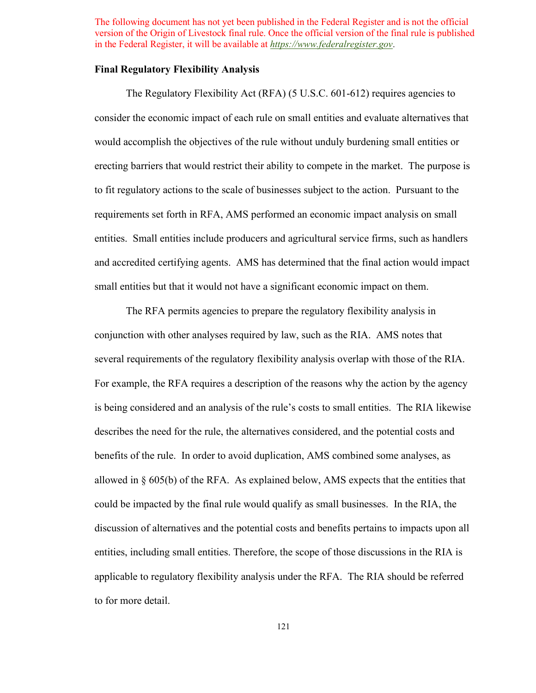### **Final Regulatory Flexibility Analysis**

 erecting barriers that would restrict their ability to compete in the market. The purpose is to fit regulatory actions to the scale of businesses subject to the action. Pursuant to the The Regulatory Flexibility Act (RFA) (5 U.S.C. 601-612) requires agencies to consider the economic impact of each rule on small entities and evaluate alternatives that would accomplish the objectives of the rule without unduly burdening small entities or requirements set forth in RFA, AMS performed an economic impact analysis on small entities. Small entities include producers and agricultural service firms, such as handlers and accredited certifying agents. AMS has determined that the final action would impact small entities but that it would not have a significant economic impact on them.

 conjunction with other analyses required by law, such as the RIA. AMS notes that For example, the RFA requires a description of the reasons why the action by the agency allowed in § 605(b) of the RFA. As explained below, AMS expects that the entities that could be impacted by the final rule would qualify as small businesses. In the RIA, the The RFA permits agencies to prepare the regulatory flexibility analysis in several requirements of the regulatory flexibility analysis overlap with those of the RIA. is being considered and an analysis of the rule's costs to small entities. The RIA likewise describes the need for the rule, the alternatives considered, and the potential costs and benefits of the rule. In order to avoid duplication, AMS combined some analyses, as discussion of alternatives and the potential costs and benefits pertains to impacts upon all entities, including small entities. Therefore, the scope of those discussions in the RIA is applicable to regulatory flexibility analysis under the RFA. The RIA should be referred to for more detail.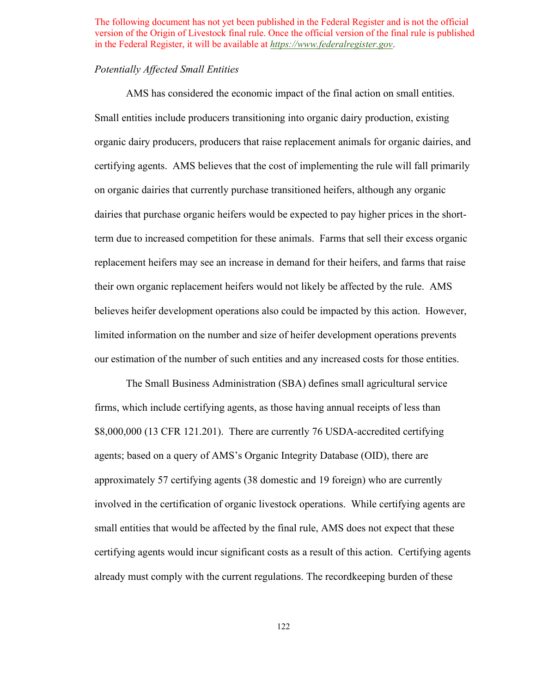## *Potentially Affected Small Entities*

 AMS has considered the economic impact of the final action on small entities. certifying agents. AMS believes that the cost of implementing the rule will fall primarily on organic dairies that currently purchase transitioned heifers, although any organic their own organic replacement heifers would not likely be affected by the rule. AMS Small entities include producers transitioning into organic dairy production, existing organic dairy producers, producers that raise replacement animals for organic dairies, and dairies that purchase organic heifers would be expected to pay higher prices in the shortterm due to increased competition for these animals. Farms that sell their excess organic replacement heifers may see an increase in demand for their heifers, and farms that raise believes heifer development operations also could be impacted by this action. However, limited information on the number and size of heifer development operations prevents our estimation of the number of such entities and any increased costs for those entities.

 involved in the certification of organic livestock operations. While certifying agents are certifying agents would incur significant costs as a result of this action. Certifying agents The Small Business Administration (SBA) defines small agricultural service firms, which include certifying agents, as those having annual receipts of less than \$8,000,000 (13 CFR 121.201). There are currently 76 USDA-accredited certifying agents; based on a query of AMS's Organic Integrity Database (OID), there are approximately 57 certifying agents (38 domestic and 19 foreign) who are currently small entities that would be affected by the final rule, AMS does not expect that these already must comply with the current regulations. The recordkeeping burden of these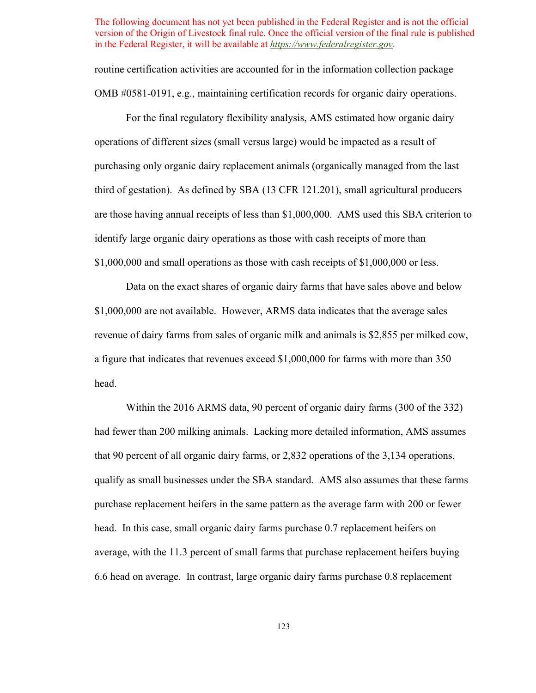routine certification activities are accounted for in the information collection package OMB #0581-0191, e.g., maintaining certification records for organic dairy operations.

 For the final regulatory flexibility analysis, AMS estimated how organic dairy operations of different sizes (small versus large) would be impacted as a result of purchasing only organic dairy replacement animals (organically managed from the last identify large organic dairy operations as those with cash receipts of more than \$1,000,000 and small operations as those with cash receipts of \$1,000,000 or less. third of gestation). As defined by SBA (13 CFR 121.201), small agricultural producers are those having annual receipts of less than \$1,000,000. AMS used this SBA criterion to

 \$1,000,000 are not available. However, ARMS data indicates that the average sales Data on the exact shares of organic dairy farms that have sales above and below revenue of dairy farms from sales of organic milk and animals is \$2,855 per milked cow, a figure that indicates that revenues exceed \$1,000,000 for farms with more than 350 head.

 had fewer than 200 milking animals. Lacking more detailed information, AMS assumes that 90 percent of all organic dairy farms, or 2,832 operations of the 3,134 operations, qualify as small businesses under the SBA standard. AMS also assumes that these farms average, with the 11.3 percent of small farms that purchase replacement heifers buying 6.6 head on average. In contrast, large organic dairy farms purchase 0.8 replacement Within the 2016 ARMS data, 90 percent of organic dairy farms (300 of the 332) purchase replacement heifers in the same pattern as the average farm with 200 or fewer head. In this case, small organic dairy farms purchase 0.7 replacement heifers on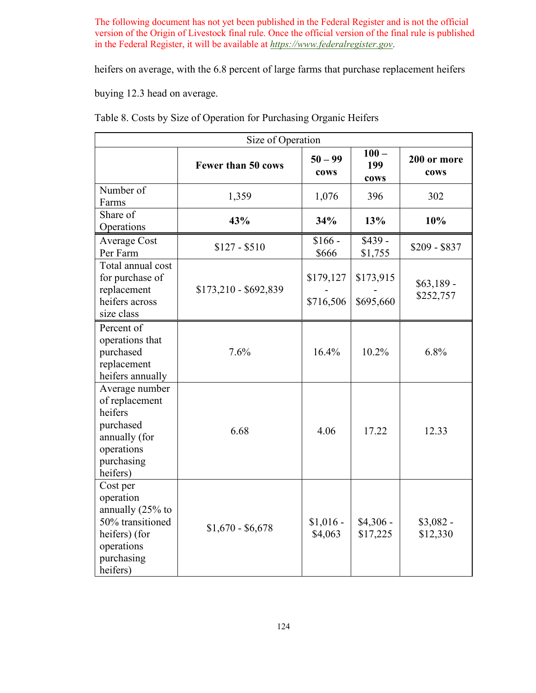heifers on average, with the 6.8 percent of large farms that purchase replacement heifers

buying 12.3 head on average.

| Size of Operation                                                                                                      |                       |                        |                        |                          |  |  |
|------------------------------------------------------------------------------------------------------------------------|-----------------------|------------------------|------------------------|--------------------------|--|--|
|                                                                                                                        | Fewer than 50 cows    | $50 - 99$<br>cows      | $100 -$<br>199<br>cows | 200 or more<br>cows      |  |  |
| Number of<br>Farms                                                                                                     | 1,359                 | 1,076                  | 396                    | 302                      |  |  |
| Share of<br>Operations                                                                                                 | 43%                   | 34%                    | 13%                    | 10%                      |  |  |
| <b>Average Cost</b><br>Per Farm                                                                                        | $$127 - $510$         | $$166 -$<br>\$666      | $$439 -$<br>\$1,755    | $$209 - $837$            |  |  |
| Total annual cost<br>for purchase of<br>replacement<br>heifers across<br>size class                                    | $$173,210 - $692,839$ | \$179,127<br>\$716,506 | \$173,915<br>\$695,660 | $$63,189$ -<br>\$252,757 |  |  |
| Percent of<br>operations that<br>purchased<br>replacement<br>heifers annually                                          | 7.6%                  | 16.4%                  | $10.2\%$               | $6.8\%$                  |  |  |
| Average number<br>of replacement<br>heifers<br>purchased<br>annually (for<br>operations<br>purchasing<br>heifers)      | 6.68                  | 4.06                   | 17.22                  | 12.33                    |  |  |
| Cost per<br>operation<br>annually (25% to<br>50% transitioned<br>heifers) (for<br>operations<br>purchasing<br>heifers) | $$1,670 - $6,678$     | $$1,016$ -<br>\$4,063  | $$4,306$ -<br>\$17,225 | $$3,082-$<br>\$12,330    |  |  |

<span id="page-123-0"></span>Table 8. Costs by Size of Operation for Purchasing Organic Heifers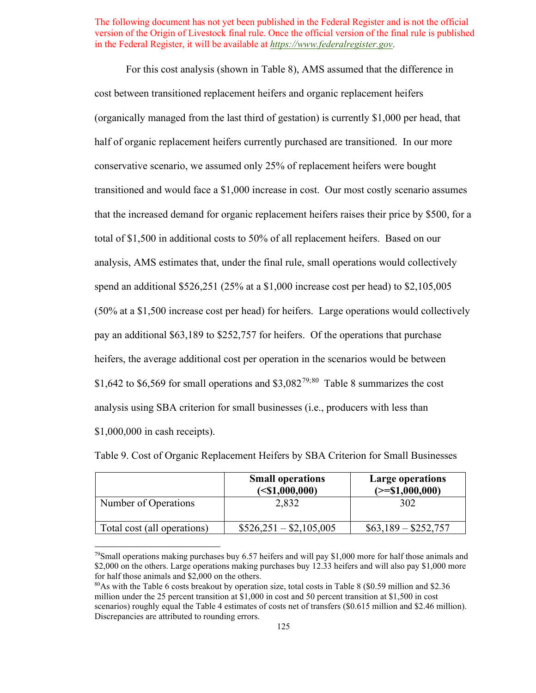half of organic replacement heifers currently purchased are transitioned. In our more transitioned and would face a \$1,000 increase in cost. Our most costly scenario assumes total of \$1,500 in additional costs to 50% of all replacement heifers. Based on our analysis, AMS estimates that, under the final rule, small operations would collectively spend an additional \$526,251 (25% at a \$1,000 increase cost per head) to \$2,105,005 (50% at a \$1,500 increase cost per head) for heifers. Large operations would collectively pay an additional \$63,189 to \$252,757 for heifers. Of the operations that purchase heifers, the average additional cost per operation in the scenarios would be between \$1,642 to \$6,569 for small operations and  $$3,082^{79,80}$  $$3,082^{79,80}$  $$3,082^{79,80}$  $$3,082^{79,80}$  $$3,082^{79,80}$  [Table 8](#page-123-0) summarizes the cost For this cost analysis (shown in [Table 8\)](#page-123-0), AMS assumed that the difference in cost between transitioned replacement heifers and organic replacement heifers (organically managed from the last third of gestation) is currently \$1,000 per head, that conservative scenario, we assumed only 25% of replacement heifers were bought that the increased demand for organic replacement heifers raises their price by \$500, for a analysis using SBA criterion for small businesses (i.e., producers with less than \$1,000,000 in cash receipts).

|                             | <b>Small operations</b><br>$(\leq 1,000,000)$ | <b>Large operations</b><br>$(>= $1,000,000)$ |
|-----------------------------|-----------------------------------------------|----------------------------------------------|
| Number of Operations        | 2,832                                         | 302                                          |
| Total cost (all operations) | $$526,251 - $2,105,005$                       | $$63,189 - $252,757$                         |

<span id="page-124-2"></span>Table 9. Cost of Organic Replacement Heifers by SBA Criterion for Small Businesses

<span id="page-124-0"></span><sup>&</sup>lt;sup>79</sup>Small operations making purchases buy 6.57 heifers and will pay \$1,000 more for half those animals and \$2,000 on the others. Large operations making purchases buy 12.33 heifers and will also pay \$1,000 more for half those animals and \$2,000 on the others.

<span id="page-124-1"></span> $80\text{As}$  with the Table 6 costs breakout by operation size, total costs in Table 8 (\$0.59 million and \$2.36) million under the 25 percent transition at \$1,000 in cost and 50 percent transition at \$1,500 in cost scenarios) roughly equal the Table 4 estimates of costs net of transfers (\$0.615 million and \$2.46 million). Discrepancies are attributed to rounding errors.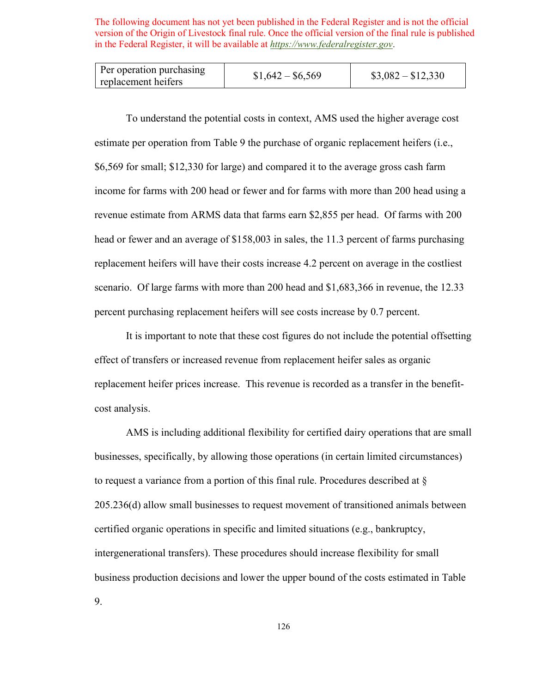| Per operation purchasing<br>replacement heifers | $$1,642 - $6,569$ | $\$3,082 - \$12,330$ |
|-------------------------------------------------|-------------------|----------------------|
|-------------------------------------------------|-------------------|----------------------|

 estimate per operation from [Table 9](#page-124-2) the purchase of organic replacement heifers (i.e., scenario. Of large farms with more than 200 head and \$1,683,366 in revenue, the 12.33 To understand the potential costs in context, AMS used the higher average cost \$6,569 for small; \$12,330 for large) and compared it to the average gross cash farm income for farms with 200 head or fewer and for farms with more than 200 head using a revenue estimate from ARMS data that farms earn \$2,855 per head. Of farms with 200 head or fewer and an average of \$158,003 in sales, the 11.3 percent of farms purchasing replacement heifers will have their costs increase 4.2 percent on average in the costliest percent purchasing replacement heifers will see costs increase by 0.7 percent.

It is important to note that these cost figures do not include the potential offsetting effect of transfers or increased revenue from replacement heifer sales as organic replacement heifer prices increase. This revenue is recorded as a transfer in the benefitcost analysis.

 205.236(d) allow small businesses to request movement of transitioned animals between AMS is including additional flexibility for certified dairy operations that are small businesses, specifically, by allowing those operations (in certain limited circumstances) to request a variance from a portion of this final rule. Procedures described at § certified organic operations in specific and limited situations (e.g., bankruptcy, intergenerational transfers). These procedures should increase flexibility for small business production decisions and lower the upper bound of the costs estimated in [Table](#page-124-2)  [9.](#page-124-2)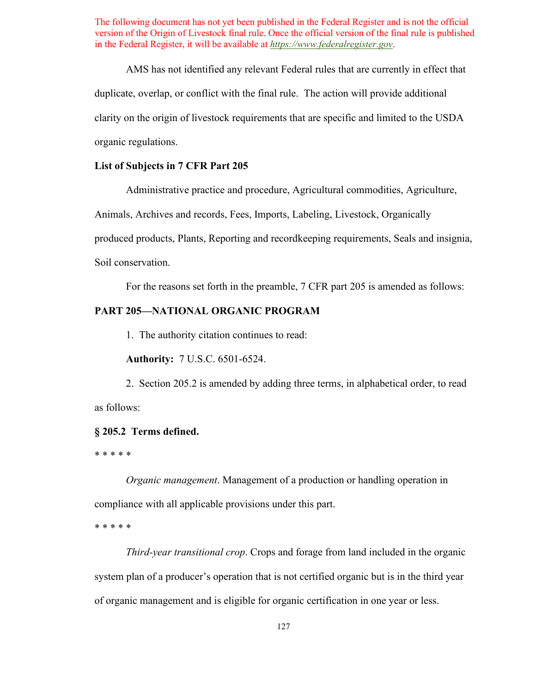duplicate, overlap, or conflict with the final rule. The action will provide additional AMS has not identified any relevant Federal rules that are currently in effect that clarity on the origin of livestock requirements that are specific and limited to the USDA organic regulations.

#### **List of Subjects in 7 CFR Part 205**

Administrative practice and procedure, Agricultural commodities, Agriculture, Animals, Archives and records, Fees, Imports, Labeling, Livestock, Organically produced products, Plants, Reporting and recordkeeping requirements, Seals and insignia, Soil conservation.

For the reasons set forth in the preamble, 7 CFR part 205 is amended as follows:

### **PART 205—NATIONAL ORGANIC PROGRAM**

1. The authority citation continues to read:

**Authority:** 7 U.S.C. 6501-6524.

2. Section 205.2 is amended by adding three terms, in alphabetical order, to read as follows:

#### **§ 205.2 Terms defined.**

#### \* \* \* \* \*

*Organic management*. Management of a production or handling operation in compliance with all applicable provisions under this part.

\* \* \* \* \*

 of organic management and is eligible for organic certification in one year or less. *Third-year transitional crop*. Crops and forage from land included in the organic system plan of a producer's operation that is not certified organic but is in the third year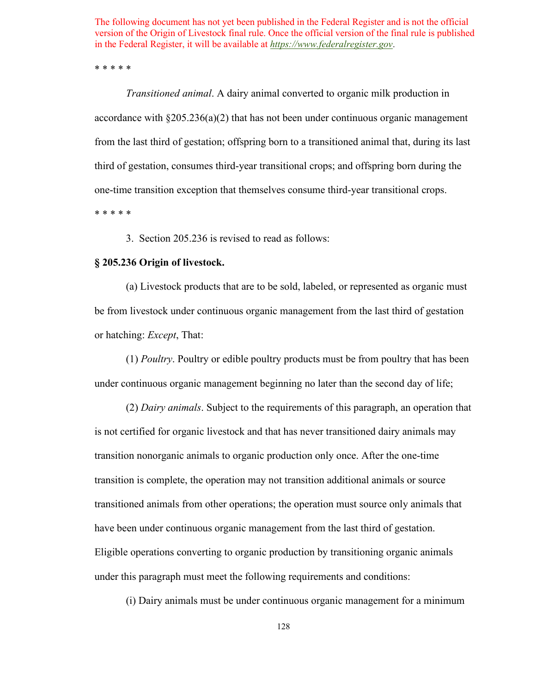\* \* \* \* \*

*Transitioned animal*. A dairy animal converted to organic milk production in accordance with  $\S 205.236(a)(2)$  that has not been under continuous organic management from the last third of gestation; offspring born to a transitioned animal that, during its last third of gestation, consumes third-year transitional crops; and offspring born during the one-time transition exception that themselves consume third-year transitional crops.

\* \* \* \* \*

3. Section 205.236 is revised to read as follows:

### **§ 205.236 Origin of livestock.**

(a) Livestock products that are to be sold, labeled, or represented as organic must be from livestock under continuous organic management from the last third of gestation or hatching: *Except*, That:

under continuous organic management beginning no later than the second day of life; (1) *Poultry*. Poultry or edible poultry products must be from poultry that has been

 Eligible operations converting to organic production by transitioning organic animals (2) *Dairy animals*. Subject to the requirements of this paragraph, an operation that is not certified for organic livestock and that has never transitioned dairy animals may transition nonorganic animals to organic production only once. After the one-time transition is complete, the operation may not transition additional animals or source transitioned animals from other operations; the operation must source only animals that have been under continuous organic management from the last third of gestation. under this paragraph must meet the following requirements and conditions:

(i) Dairy animals must be under continuous organic management for a minimum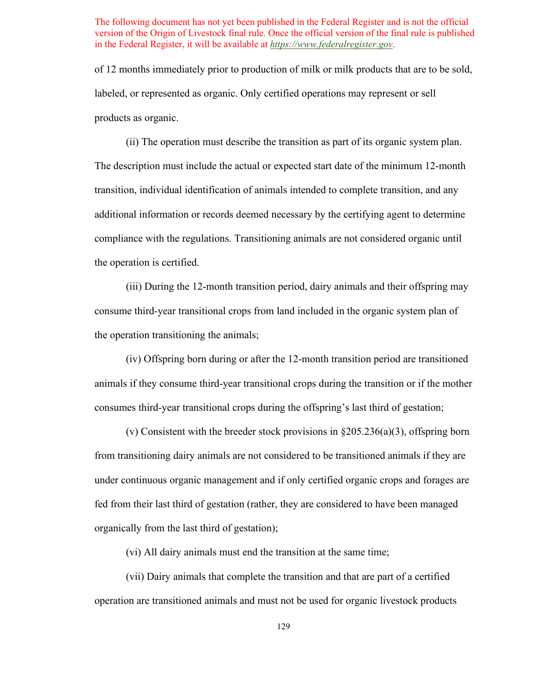of 12 months immediately prior to production of milk or milk products that are to be sold, labeled, or represented as organic. Only certified operations may represent or sell products as organic.

the operation is certified. (ii) The operation must describe the transition as part of its organic system plan. The description must include the actual or expected start date of the minimum 12-month transition, individual identification of animals intended to complete transition, and any additional information or records deemed necessary by the certifying agent to determine compliance with the regulations. Transitioning animals are not considered organic until

(iii) During the 12-month transition period, dairy animals and their offspring may consume third-year transitional crops from land included in the organic system plan of the operation transitioning the animals;

(iv) Offspring born during or after the 12-month transition period are transitioned animals if they consume third-year transitional crops during the transition or if the mother consumes third-year transitional crops during the offspring's last third of gestation;

(v) Consistent with the breeder stock provisions in  $\S 205.236(a)(3)$ , offspring born from transitioning dairy animals are not considered to be transitioned animals if they are under continuous organic management and if only certified organic crops and forages are fed from their last third of gestation (rather, they are considered to have been managed organically from the last third of gestation);

(vi) All dairy animals must end the transition at the same time;

(vii) Dairy animals that complete the transition and that are part of a certified operation are transitioned animals and must not be used for organic livestock products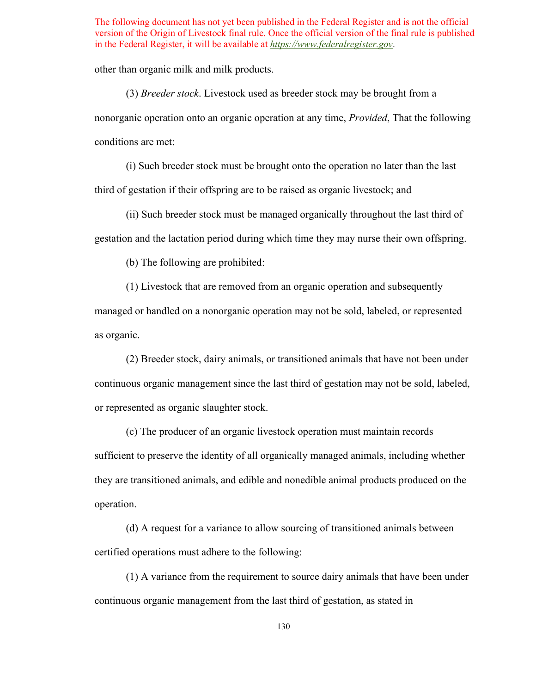other than organic milk and milk products.

(3) *Breeder stock*. Livestock used as breeder stock may be brought from a nonorganic operation onto an organic operation at any time, *Provided*, That the following conditions are met:

 third of gestation if their offspring are to be raised as organic livestock; and (i) Such breeder stock must be brought onto the operation no later than the last

(ii) Such breeder stock must be managed organically throughout the last third of gestation and the lactation period during which time they may nurse their own offspring.

(b) The following are prohibited:

 managed or handled on a nonorganic operation may not be sold, labeled, or represented as organic. (1) Livestock that are removed from an organic operation and subsequently

(2) Breeder stock, dairy animals, or transitioned animals that have not been under continuous organic management since the last third of gestation may not be sold, labeled, or represented as organic slaughter stock.

(c) The producer of an organic livestock operation must maintain records sufficient to preserve the identity of all organically managed animals, including whether they are transitioned animals, and edible and nonedible animal products produced on the operation.

 certified operations must adhere to the following: (d) A request for a variance to allow sourcing of transitioned animals between

(1) A variance from the requirement to source dairy animals that have been under continuous organic management from the last third of gestation, as stated in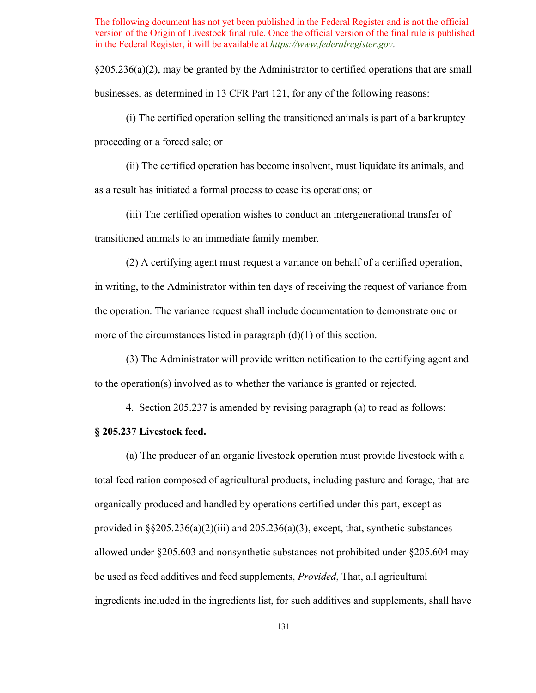$\S205.236(a)(2)$ , may be granted by the Administrator to certified operations that are small businesses, as determined in 13 CFR Part 121, for any of the following reasons:

(i) The certified operation selling the transitioned animals is part of a bankruptcy proceeding or a forced sale; or

(ii) The certified operation has become insolvent, must liquidate its animals, and

as a result has initiated a formal process to cease its operations; or

 (iii) The certified operation wishes to conduct an intergenerational transfer of transitioned animals to an immediate family member.

 in writing, to the Administrator within ten days of receiving the request of variance from (2) A certifying agent must request a variance on behalf of a certified operation, the operation. The variance request shall include documentation to demonstrate one or more of the circumstances listed in paragraph  $(d)(1)$  of this section.

(3) The Administrator will provide written notification to the certifying agent and to the operation(s) involved as to whether the variance is granted or rejected.

4. Section 205.237 is amended by revising paragraph (a) to read as follows:

## **§ 205.237 Livestock feed.**

(a) The producer of an organic livestock operation must provide livestock with a total feed ration composed of agricultural products, including pasture and forage, that are organically produced and handled by operations certified under this part, except as provided in  $\S$ §205.236(a)(2)(iii) and 205.236(a)(3), except, that, synthetic substances allowed under §205.603 and nonsynthetic substances not prohibited under §205.604 may be used as feed additives and feed supplements, *Provided*, That, all agricultural ingredients included in the ingredients list, for such additives and supplements, shall have